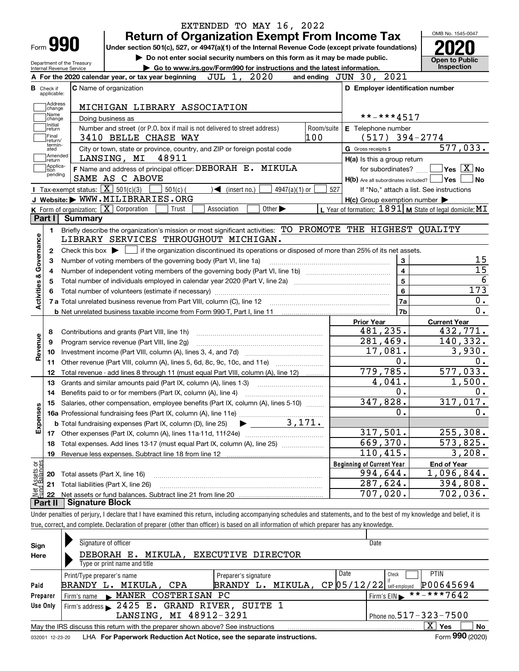| Form <b>990</b>                  | <b>Return of Organization Exempt From Income Tax</b><br>Under section 501(c), 527, or 4947(a)(1) of the Internal Revenue Code (except private foundations) |                                                           | OMB No. 1545-0047                      |
|----------------------------------|------------------------------------------------------------------------------------------------------------------------------------------------------------|-----------------------------------------------------------|----------------------------------------|
| Department of the Treasury       | Do not enter social security numbers on this form as it may be made public.                                                                                |                                                           | <b>Open to Public</b>                  |
| Internal Revenue Service         | Go to www.irs.gov/Form990 for instructions and the latest information.                                                                                     |                                                           | <b>Inspection</b>                      |
|                                  | JUL 1, 2020<br>A For the 2020 calendar year, or tax year beginning                                                                                         | and ending JUN 30, 2021                                   |                                        |
| <b>B</b> Check if<br>applicable: | <b>C</b> Name of organization                                                                                                                              | D Employer identification number                          |                                        |
| Address<br>change<br>Name        | MICHIGAN LIBRARY ASSOCIATION                                                                                                                               |                                                           |                                        |
| change<br>Initial                | Doing business as                                                                                                                                          | **-***4517                                                |                                        |
| return<br> Final                 | Number and street (or P.O. box if mail is not delivered to street address)<br>Room/suite<br>100<br>3410 BELLE CHASE WAY                                    | E Telephone number<br>$(517) 394 - 2774$                  |                                        |
| return/<br>termin-<br>ated       | City or town, state or province, country, and ZIP or foreign postal code                                                                                   | G Gross receipts \$                                       | 577,033.                               |
| Amended<br>return]               | LANSING, MI<br>48911                                                                                                                                       | H(a) Is this a group return                               |                                        |
| Applica-<br>tion                 | F Name and address of principal officer: DEBORAH E. MIKULA                                                                                                 | for subordinates?                                         | $\sqrt{}$ Yes $\sqrt{}$ X $\sqrt{}$ No |
| pending                          | SAME AS C ABOVE                                                                                                                                            | $H(b)$ Are all subordinates included? $\Box$ Yes          |                                        |
|                                  | Tax-exempt status: $\boxed{\mathbf{X}}$ 501(c)(3)<br>$501(c)$ (<br>$\triangleleft$ (insert no.)<br>$4947(a)(1)$ or<br>527                                  | If "No," attach a list. See instructions                  |                                        |
|                                  | J Website: WWW.MILIBRARIES.ORG                                                                                                                             | $H(c)$ Group exemption number $\blacktriangleright$       |                                        |
|                                  | K Form of organization: $\boxed{\mathbf{X}}$ Corporation<br>Other $\blacktriangleright$<br>Association<br>Trust                                            | L Year of formation: $1891$ M State of legal domicile: MT |                                        |
| Part I Summary                   |                                                                                                                                                            |                                                           |                                        |
| 1.                               | Briefly describe the organization's mission or most significant activities: TO PROMOTE THE HIGHEST QUALITY                                                 |                                                           |                                        |
|                                  | LIBRARY SERVICES THROUGHOUT MICHIGAN.                                                                                                                      |                                                           |                                        |
| Activities & Governance<br>2     | Check this box $\blacktriangleright$   if the organization discontinued its operations or disposed of more than 25% of its net assets.                     |                                                           |                                        |
| З                                | Number of voting members of the governing body (Part VI, line 1a)                                                                                          | 3                                                         |                                        |
| 4                                |                                                                                                                                                            | 4                                                         |                                        |
| 5                                |                                                                                                                                                            | 5                                                         |                                        |
|                                  |                                                                                                                                                            | 6                                                         | 173                                    |
|                                  |                                                                                                                                                            | 7a                                                        |                                        |
|                                  |                                                                                                                                                            | 7b                                                        |                                        |
|                                  |                                                                                                                                                            | <b>Prior Year</b>                                         | <b>Current Year</b>                    |
| 8                                | Contributions and grants (Part VIII, line 1h)                                                                                                              | 481,235.                                                  | 432,771.                               |
| Revenue<br>9                     | Program service revenue (Part VIII, line 2g)                                                                                                               | 281,469.                                                  | 140, 332.                              |
| 10                               |                                                                                                                                                            | 17,081.                                                   | 3,930.                                 |
| 11                               | Other revenue (Part VIII, column (A), lines 5, 6d, 8c, 9c, 10c, and 11e)                                                                                   | 0.                                                        |                                        |
| 12                               | Total revenue - add lines 8 through 11 (must equal Part VIII, column (A), line 12)                                                                         | 779,785.                                                  | 577,033.                               |
| 13                               | Grants and similar amounts paid (Part IX, column (A), lines 1-3)                                                                                           | 4,041.                                                    | 1,500.                                 |
| 14                               |                                                                                                                                                            | 0.                                                        |                                        |
|                                  | 15 Salaries, other compensation, employee benefits (Part IX, column (A), lines 5-10)                                                                       | 347,828.                                                  | 317,017.                               |
| Expenses                         |                                                                                                                                                            | 0.                                                        |                                        |
|                                  | 3,171.<br><b>b</b> Total fundraising expenses (Part IX, column (D), line 25)                                                                               |                                                           |                                        |
| 17                               |                                                                                                                                                            | 317,501.                                                  | 255, 308.                              |
| 18                               | Total expenses. Add lines 13-17 (must equal Part IX, column (A), line 25)                                                                                  | 669,370.                                                  | 573,825.                               |
| 19                               |                                                                                                                                                            | 110,415.                                                  | 3,208.                                 |
|                                  |                                                                                                                                                            | <b>Beginning of Current Year</b>                          | <b>End of Year</b>                     |
| t Assets or<br>d Balances<br>20  | Total assets (Part X, line 16)                                                                                                                             | $\overline{994}$ , 644.                                   | 1,096,844.                             |
| 21                               | Total liabilities (Part X, line 26)                                                                                                                        | 287,624.                                                  | 394,808.                               |
| 鲳<br>22                          |                                                                                                                                                            | 707,020.                                                  | 702,036.                               |
|                                  |                                                                                                                                                            |                                                           |                                        |

| Sign     | Signature of officer                                                                                         | Date                                           |  |  |  |  |  |  |  |  |
|----------|--------------------------------------------------------------------------------------------------------------|------------------------------------------------|--|--|--|--|--|--|--|--|
| Here     | DEBORAH E.<br>EXECUTIVE DIRECTOR<br>MIKULA,                                                                  |                                                |  |  |  |  |  |  |  |  |
|          | Type or print name and title                                                                                 |                                                |  |  |  |  |  |  |  |  |
|          | Preparer's signature<br>Print/Type preparer's name                                                           | Date<br><b>PTIN</b><br>Check                   |  |  |  |  |  |  |  |  |
| Paid     | MIKULA, CPA<br>MIKULA.<br>BRANDY L.<br>BRANDY<br>L.                                                          | P00645694<br>$CP$   05/12/22 <br>self-emploved |  |  |  |  |  |  |  |  |
| Preparer | MANER COSTERISAN PC<br>Firm's name<br>$\mathbf{r}$                                                           | **-***7642<br>Firm's $EIN$                     |  |  |  |  |  |  |  |  |
| Use Only | Firm's address 2425 E. GRAND RIVER, SUITE 1                                                                  |                                                |  |  |  |  |  |  |  |  |
|          | LANSING, MI 48912-3291<br>Phone no. $517 - 323 - 7500$                                                       |                                                |  |  |  |  |  |  |  |  |
|          | May the IRS discuss this return with the preparer shown above? See instructions                              | x<br><b>No</b><br>Yes                          |  |  |  |  |  |  |  |  |
|          | Form 990 (2020)<br>LHA For Paperwork Reduction Act Notice, see the separate instructions.<br>032001 12-23-20 |                                                |  |  |  |  |  |  |  |  |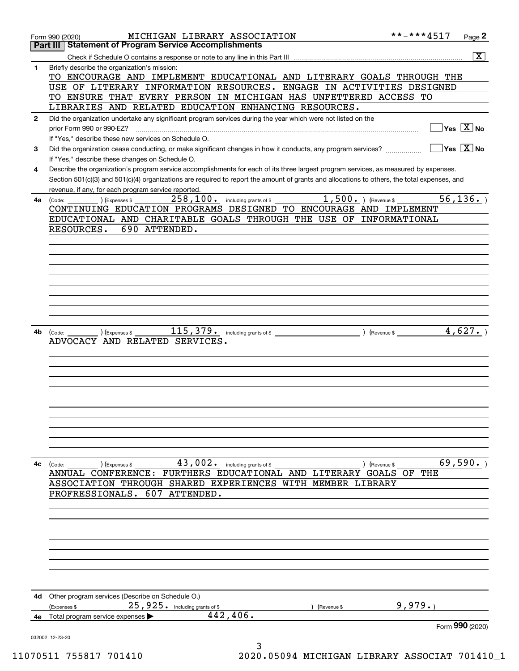|              | MICHIGAN LIBRARY ASSOCIATION<br>Form 990 (2020)                                                                                                                                                                                                                                      | **-***4517 | Page <sub>2</sub>                      |
|--------------|--------------------------------------------------------------------------------------------------------------------------------------------------------------------------------------------------------------------------------------------------------------------------------------|------------|----------------------------------------|
|              | <b>Statement of Program Service Accomplishments</b><br>Part III                                                                                                                                                                                                                      |            |                                        |
|              | Check if Schedule O contains a response or note to any line in this Part III                                                                                                                                                                                                         |            | $\overline{\mathbf{X}}$                |
| 1            | Briefly describe the organization's mission:                                                                                                                                                                                                                                         |            |                                        |
|              | TO ENCOURAGE AND IMPLEMENT EDUCATIONAL AND LITERARY GOALS THROUGH THE<br>USE OF LITERARY INFORMATION RESOURCES. ENGAGE IN ACTIVITIES DESIGNED                                                                                                                                        |            |                                        |
|              | TO ENSURE THAT EVERY PERSON IN MICHIGAN HAS UNFETTERED ACCESS TO                                                                                                                                                                                                                     |            |                                        |
|              | LIBRARIES AND RELATED EDUCATION ENHANCING RESOURCES.                                                                                                                                                                                                                                 |            |                                        |
| $\mathbf{2}$ | Did the organization undertake any significant program services during the year which were not listed on the                                                                                                                                                                         |            |                                        |
|              | prior Form 990 or 990-EZ?                                                                                                                                                                                                                                                            |            | $Yes \quad X$ No                       |
|              | If "Yes," describe these new services on Schedule O.                                                                                                                                                                                                                                 |            |                                        |
| 3            | Did the organization cease conducting, or make significant changes in how it conducts, any program services?                                                                                                                                                                         |            | $\sqrt{}$ Yes $\sqrt{}$ X $\sqrt{}$ No |
|              | If "Yes," describe these changes on Schedule O.                                                                                                                                                                                                                                      |            |                                        |
| 4            | Describe the organization's program service accomplishments for each of its three largest program services, as measured by expenses.<br>Section 501(c)(3) and 501(c)(4) organizations are required to report the amount of grants and allocations to others, the total expenses, and |            |                                        |
|              | revenue, if any, for each program service reported.                                                                                                                                                                                                                                  |            |                                        |
| 4a           | $\overline{1,500.}$ ) (Revenue \$<br>258, 100. including grants of \$<br>(Expenses \$<br>(Code:                                                                                                                                                                                      |            | 56, 136.                               |
|              | CONTINUING EDUCATION PROGRAMS DESIGNED TO ENCOURAGE AND IMPLEMENT                                                                                                                                                                                                                    |            |                                        |
|              | EDUCATIONAL AND CHARITABLE GOALS THROUGH THE USE OF INFORMATIONAL                                                                                                                                                                                                                    |            |                                        |
|              | 690 ATTENDED.<br>RESOURCES.                                                                                                                                                                                                                                                          |            |                                        |
|              |                                                                                                                                                                                                                                                                                      |            |                                        |
|              |                                                                                                                                                                                                                                                                                      |            |                                        |
|              |                                                                                                                                                                                                                                                                                      |            |                                        |
|              |                                                                                                                                                                                                                                                                                      |            |                                        |
|              |                                                                                                                                                                                                                                                                                      |            |                                        |
|              |                                                                                                                                                                                                                                                                                      |            |                                        |
|              |                                                                                                                                                                                                                                                                                      |            |                                        |
|              |                                                                                                                                                                                                                                                                                      |            |                                        |
| 4b           | (Code:<br>) (Expenses \$                                                                                                                                                                                                                                                             |            | 4,627.                                 |
|              | ADVOCACY AND RELATED SERVICES.                                                                                                                                                                                                                                                       |            |                                        |
|              |                                                                                                                                                                                                                                                                                      |            |                                        |
|              |                                                                                                                                                                                                                                                                                      |            |                                        |
|              |                                                                                                                                                                                                                                                                                      |            |                                        |
|              |                                                                                                                                                                                                                                                                                      |            |                                        |
|              |                                                                                                                                                                                                                                                                                      |            |                                        |
|              |                                                                                                                                                                                                                                                                                      |            |                                        |
|              |                                                                                                                                                                                                                                                                                      |            |                                        |
|              |                                                                                                                                                                                                                                                                                      |            |                                        |
|              |                                                                                                                                                                                                                                                                                      |            |                                        |
|              |                                                                                                                                                                                                                                                                                      |            |                                        |
| 4с           | 43,002. including grants of \$<br>$\left(\text{Code:}\right)$ $\left(\text{Expenses $}\right)$<br>) (Revenue \$<br>ANNUAL CONFERENCE: FURTHERS EDUCATIONAL AND LITERARY GOALS OF                                                                                                     | THE        | 69,590.                                |
|              | ASSOCIATION THROUGH SHARED EXPERIENCES WITH MEMBER LIBRARY                                                                                                                                                                                                                           |            |                                        |
|              | PROFRESSIONALS. 607 ATTENDED.                                                                                                                                                                                                                                                        |            |                                        |
|              |                                                                                                                                                                                                                                                                                      |            |                                        |
|              |                                                                                                                                                                                                                                                                                      |            |                                        |
|              |                                                                                                                                                                                                                                                                                      |            |                                        |
|              |                                                                                                                                                                                                                                                                                      |            |                                        |
|              |                                                                                                                                                                                                                                                                                      |            |                                        |
|              |                                                                                                                                                                                                                                                                                      |            |                                        |
|              |                                                                                                                                                                                                                                                                                      |            |                                        |
|              |                                                                                                                                                                                                                                                                                      |            |                                        |
|              | 4d Other program services (Describe on Schedule O.)                                                                                                                                                                                                                                  |            |                                        |
|              | 25,925. including grants of \$<br>(Expenses \$<br>(Revenue \$                                                                                                                                                                                                                        | 9,979.     |                                        |
| 4е           | 442,406.<br>Total program service expenses                                                                                                                                                                                                                                           |            |                                        |
|              |                                                                                                                                                                                                                                                                                      |            | Form 990 (2020)                        |
|              | 032002 12-23-20                                                                                                                                                                                                                                                                      |            |                                        |
|              | 3                                                                                                                                                                                                                                                                                    |            |                                        |

11070511 755817 701410 2020.05094 MICHIGAN LIBRARY ASSOCIAT 701410\_1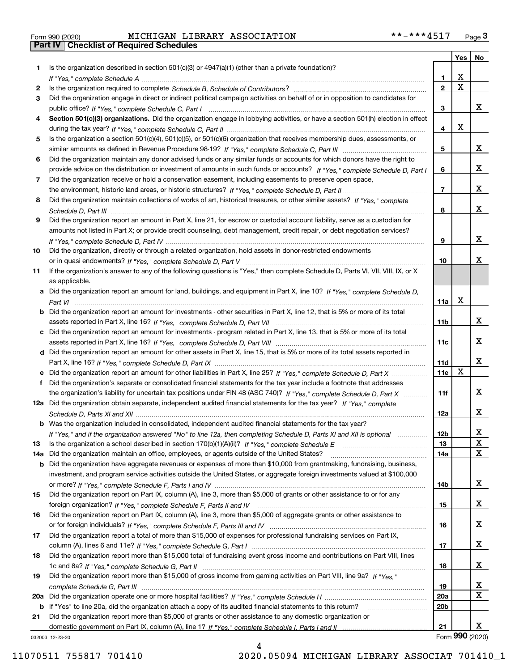|  | Form 990 (2020) |  |
|--|-----------------|--|

Form 990 (2020) MICHIGAN LIBRARY ASSOCIATION \*\*-\*\*\*4517 <sub>Page</sub> 3<br>**Part IV | Checklist of Required Schedules** 

|     |                                                                                                                                                 |                 | Yes                     | No              |
|-----|-------------------------------------------------------------------------------------------------------------------------------------------------|-----------------|-------------------------|-----------------|
| 1.  | Is the organization described in section $501(c)(3)$ or $4947(a)(1)$ (other than a private foundation)?                                         |                 |                         |                 |
|     |                                                                                                                                                 | 1.              | X                       |                 |
| 2   |                                                                                                                                                 | $\overline{2}$  | $\overline{\mathbf{x}}$ |                 |
| 3   | Did the organization engage in direct or indirect political campaign activities on behalf of or in opposition to candidates for                 |                 |                         |                 |
|     |                                                                                                                                                 | 3               |                         | x               |
| 4   | Section 501(c)(3) organizations. Did the organization engage in lobbying activities, or have a section 501(h) election in effect                |                 |                         |                 |
|     |                                                                                                                                                 | 4               | X                       |                 |
| 5   | Is the organization a section 501(c)(4), 501(c)(5), or 501(c)(6) organization that receives membership dues, assessments, or                    |                 |                         |                 |
|     |                                                                                                                                                 | 5               |                         | x               |
| 6   | Did the organization maintain any donor advised funds or any similar funds or accounts for which donors have the right to                       |                 |                         |                 |
|     | provide advice on the distribution or investment of amounts in such funds or accounts? If "Yes," complete Schedule D, Part I                    | 6               |                         | x               |
| 7   | Did the organization receive or hold a conservation easement, including easements to preserve open space,                                       |                 |                         |                 |
|     |                                                                                                                                                 | $\overline{7}$  |                         | x               |
| 8   | Did the organization maintain collections of works of art, historical treasures, or other similar assets? If "Yes," complete                    |                 |                         |                 |
|     |                                                                                                                                                 | 8               |                         | X.              |
| 9   | Did the organization report an amount in Part X, line 21, for escrow or custodial account liability, serve as a custodian for                   |                 |                         |                 |
|     | amounts not listed in Part X; or provide credit counseling, debt management, credit repair, or debt negotiation services?                       |                 |                         | X.              |
|     |                                                                                                                                                 | 9               |                         |                 |
| 10  | Did the organization, directly or through a related organization, hold assets in donor-restricted endowments                                    | 10              |                         | x.              |
|     | If the organization's answer to any of the following questions is "Yes," then complete Schedule D, Parts VI, VII, VIII, IX, or X                |                 |                         |                 |
| 11  |                                                                                                                                                 |                 |                         |                 |
|     | as applicable.<br>a Did the organization report an amount for land, buildings, and equipment in Part X, line 10? If "Yes," complete Schedule D, |                 |                         |                 |
|     |                                                                                                                                                 | 11a             | Х                       |                 |
|     | b Did the organization report an amount for investments - other securities in Part X, line 12, that is 5% or more of its total                  |                 |                         |                 |
|     |                                                                                                                                                 | 11b             |                         | X.              |
|     | c Did the organization report an amount for investments - program related in Part X, line 13, that is 5% or more of its total                   |                 |                         |                 |
|     |                                                                                                                                                 | 11c             |                         | x               |
|     | d Did the organization report an amount for other assets in Part X, line 15, that is 5% or more of its total assets reported in                 |                 |                         |                 |
|     |                                                                                                                                                 | 11d             |                         | x               |
|     | e Did the organization report an amount for other liabilities in Part X, line 25? If "Yes," complete Schedule D, Part X                         | 11e             | X                       |                 |
| f   | Did the organization's separate or consolidated financial statements for the tax year include a footnote that addresses                         |                 |                         |                 |
|     | the organization's liability for uncertain tax positions under FIN 48 (ASC 740)? If "Yes," complete Schedule D, Part X                          | 11f             |                         | X.              |
|     | 12a Did the organization obtain separate, independent audited financial statements for the tax year? If "Yes," complete                         |                 |                         |                 |
|     |                                                                                                                                                 | 12a             |                         | X.              |
|     | <b>b</b> Was the organization included in consolidated, independent audited financial statements for the tax year?                              |                 |                         |                 |
|     | If "Yes," and if the organization answered "No" to line 12a, then completing Schedule D, Parts XI and XII is optional manum                     | 12b             |                         | X               |
| 13  |                                                                                                                                                 | 13              |                         | X               |
| 14a | Did the organization maintain an office, employees, or agents outside of the United States?                                                     | 14a             |                         | х               |
| b   | Did the organization have aggregate revenues or expenses of more than \$10,000 from grantmaking, fundraising, business,                         |                 |                         |                 |
|     | investment, and program service activities outside the United States, or aggregate foreign investments valued at \$100,000                      |                 |                         |                 |
|     |                                                                                                                                                 | 14b             |                         | X.              |
| 15  | Did the organization report on Part IX, column (A), line 3, more than \$5,000 of grants or other assistance to or for any                       |                 |                         |                 |
|     |                                                                                                                                                 | 15              |                         | X.              |
| 16  | Did the organization report on Part IX, column (A), line 3, more than \$5,000 of aggregate grants or other assistance to                        |                 |                         |                 |
|     |                                                                                                                                                 | 16              |                         | x               |
| 17  | Did the organization report a total of more than \$15,000 of expenses for professional fundraising services on Part IX,                         |                 |                         |                 |
|     |                                                                                                                                                 | 17              |                         | X.              |
| 18  | Did the organization report more than \$15,000 total of fundraising event gross income and contributions on Part VIII, lines                    |                 |                         |                 |
|     |                                                                                                                                                 | 18              |                         | x               |
| 19  | Did the organization report more than \$15,000 of gross income from gaming activities on Part VIII, line 9a? If "Yes."                          |                 |                         |                 |
|     |                                                                                                                                                 | 19              |                         | x               |
|     |                                                                                                                                                 | <b>20a</b>      |                         | х               |
|     | b If "Yes" to line 20a, did the organization attach a copy of its audited financial statements to this return?                                  | 20 <sub>b</sub> |                         |                 |
| 21  | Did the organization report more than \$5,000 of grants or other assistance to any domestic organization or                                     |                 |                         |                 |
|     |                                                                                                                                                 | 21              |                         | X.              |
|     | 032003 12-23-20                                                                                                                                 |                 |                         | Form 990 (2020) |

032003 12-23-20

4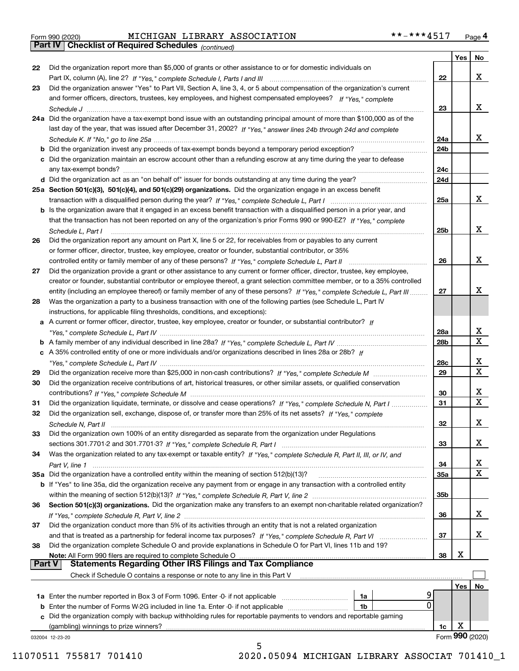|  | Form 990 (2020) |
|--|-----------------|

Form 990 (2020) MICHIGAN LIBRARY ASSOCIATION \*\*-\*\*\*4517 <sub>Page</sub> 4<br>**Part IV | Checklist of Required Schedules** <sub>(continued)</sub>

*(continued)*

| Did the organization report more than \$5,000 of grants or other assistance to or for domestic individuals on<br>22<br>x<br>22<br>Did the organization answer "Yes" to Part VII, Section A, line 3, 4, or 5 about compensation of the organization's current<br>23<br>and former officers, directors, trustees, key employees, and highest compensated employees? If "Yes," complete<br>х<br>23<br>24a Did the organization have a tax-exempt bond issue with an outstanding principal amount of more than \$100,000 as of the<br>last day of the year, that was issued after December 31, 2002? If "Yes," answer lines 24b through 24d and complete<br>x<br>24a<br>24b<br><b>b</b> Did the organization invest any proceeds of tax-exempt bonds beyond a temporary period exception?<br>c Did the organization maintain an escrow account other than a refunding escrow at any time during the year to defease<br>24c<br>24d<br>25a Section 501(c)(3), 501(c)(4), and 501(c)(29) organizations. Did the organization engage in an excess benefit<br>x<br>25a<br>b Is the organization aware that it engaged in an excess benefit transaction with a disqualified person in a prior year, and<br>that the transaction has not been reported on any of the organization's prior Forms 990 or 990-EZ? If "Yes," complete<br>х<br>25b<br>Schedule L, Part I<br>Did the organization report any amount on Part X, line 5 or 22, for receivables from or payables to any current<br>26<br>or former officer, director, trustee, key employee, creator or founder, substantial contributor, or 35%<br>x<br>controlled entity or family member of any of these persons? If "Yes," complete Schedule L, Part II<br>26<br>Did the organization provide a grant or other assistance to any current or former officer, director, trustee, key employee,<br>27<br>creator or founder, substantial contributor or employee thereof, a grant selection committee member, or to a 35% controlled<br>х<br>entity (including an employee thereof) or family member of any of these persons? If "Yes," complete Schedule L, Part III<br>27<br>Was the organization a party to a business transaction with one of the following parties (see Schedule L, Part IV<br>28<br>instructions, for applicable filing thresholds, conditions, and exceptions):<br>a A current or former officer, director, trustee, key employee, creator or founder, or substantial contributor? If<br>х<br>28a<br>x<br>28 <sub>b</sub><br>c A 35% controlled entity of one or more individuals and/or organizations described in lines 28a or 28b? If<br>х<br>28c<br>X<br>29<br>29<br>Did the organization receive contributions of art, historical treasures, or other similar assets, or qualified conservation<br>30<br>х<br>30<br>x<br>Did the organization liquidate, terminate, or dissolve and cease operations? If "Yes," complete Schedule N, Part I<br>31<br>31<br>Did the organization sell, exchange, dispose of, or transfer more than 25% of its net assets? If "Yes," complete<br>32<br>х<br>32<br>Did the organization own 100% of an entity disregarded as separate from the organization under Regulations<br>33<br>x<br>33<br>Was the organization related to any tax-exempt or taxable entity? If "Yes," complete Schedule R, Part II, III, or IV, and<br>34<br>X<br>34<br>x<br>35a Did the organization have a controlled entity within the meaning of section 512(b)(13)?<br>35a<br>b If "Yes" to line 35a, did the organization receive any payment from or engage in any transaction with a controlled entity<br>35b<br>Section 501(c)(3) organizations. Did the organization make any transfers to an exempt non-charitable related organization?<br>36<br>х<br>36<br>Did the organization conduct more than 5% of its activities through an entity that is not a related organization<br>37<br>x<br>and that is treated as a partnership for federal income tax purposes? If "Yes," complete Schedule R, Part VI<br>37<br>Did the organization complete Schedule O and provide explanations in Schedule O for Part VI, lines 11b and 19?<br>38<br>х<br>Note: All Form 990 filers are required to complete Schedule O<br>38<br><b>Statements Regarding Other IRS Filings and Tax Compliance</b><br><b>Part V</b><br>Check if Schedule O contains a response or note to any line in this Part V<br>Yes<br>No<br>1a Enter the number reported in Box 3 of Form 1096. Enter -0- if not applicable<br>1a<br>0<br>Enter the number of Forms W-2G included in line 1a. Enter -0- if not applicable<br>1b<br>b<br>Did the organization comply with backup withholding rules for reportable payments to vendors and reportable gaming<br>х<br>1c<br>Form 990 (2020)<br>032004 12-23-20 |  | Yes | No |
|----------------------------------------------------------------------------------------------------------------------------------------------------------------------------------------------------------------------------------------------------------------------------------------------------------------------------------------------------------------------------------------------------------------------------------------------------------------------------------------------------------------------------------------------------------------------------------------------------------------------------------------------------------------------------------------------------------------------------------------------------------------------------------------------------------------------------------------------------------------------------------------------------------------------------------------------------------------------------------------------------------------------------------------------------------------------------------------------------------------------------------------------------------------------------------------------------------------------------------------------------------------------------------------------------------------------------------------------------------------------------------------------------------------------------------------------------------------------------------------------------------------------------------------------------------------------------------------------------------------------------------------------------------------------------------------------------------------------------------------------------------------------------------------------------------------------------------------------------------------------------------------------------------------------------------------------------------------------------------------------------------------------------------------------------------------------------------------------------------------------------------------------------------------------------------------------------------------------------------------------------------------------------------------------------------------------------------------------------------------------------------------------------------------------------------------------------------------------------------------------------------------------------------------------------------------------------------------------------------------------------------------------------------------------------------------------------------------------------------------------------------------------------------------------------------------------------------------------------------------------------------------------------------------------------------------------------------------------------------------------------------------------------------------------------------------------------------------------------------------------------------------------------------------------------------------------------------------------------------------------------------------------------------------------------------------------------------------------------------------------------------------------------------------------------------------------------------------------------------------------------------------------------------------------------------------------------------------------------------------------------------------------------------------------------------------------------------------------------------------------------------------------------------------------------------------------------------------------------------------------------------------------------------------------------------------------------------------------------------------------------------------------------------------------------------------------------------------------------------------------------------------------------------------------------------------------------------------------------------------------------------------------------------------------------------------------------------------------------------------------------------------------------------------------------------------------------------------------------------------------------------------------------------------------------------------------------------------------------------------------------------------------------------------------------------------------------------------------------------------------------------------|--|-----|----|
|                                                                                                                                                                                                                                                                                                                                                                                                                                                                                                                                                                                                                                                                                                                                                                                                                                                                                                                                                                                                                                                                                                                                                                                                                                                                                                                                                                                                                                                                                                                                                                                                                                                                                                                                                                                                                                                                                                                                                                                                                                                                                                                                                                                                                                                                                                                                                                                                                                                                                                                                                                                                                                                                                                                                                                                                                                                                                                                                                                                                                                                                                                                                                                                                                                                                                                                                                                                                                                                                                                                                                                                                                                                                                                                                                                                                                                                                                                                                                                                                                                                                                                                                                                                                                                                                                                                                                                                                                                                                                                                                                                                                                                                                                                                                                                |  |     |    |
|                                                                                                                                                                                                                                                                                                                                                                                                                                                                                                                                                                                                                                                                                                                                                                                                                                                                                                                                                                                                                                                                                                                                                                                                                                                                                                                                                                                                                                                                                                                                                                                                                                                                                                                                                                                                                                                                                                                                                                                                                                                                                                                                                                                                                                                                                                                                                                                                                                                                                                                                                                                                                                                                                                                                                                                                                                                                                                                                                                                                                                                                                                                                                                                                                                                                                                                                                                                                                                                                                                                                                                                                                                                                                                                                                                                                                                                                                                                                                                                                                                                                                                                                                                                                                                                                                                                                                                                                                                                                                                                                                                                                                                                                                                                                                                |  |     |    |
|                                                                                                                                                                                                                                                                                                                                                                                                                                                                                                                                                                                                                                                                                                                                                                                                                                                                                                                                                                                                                                                                                                                                                                                                                                                                                                                                                                                                                                                                                                                                                                                                                                                                                                                                                                                                                                                                                                                                                                                                                                                                                                                                                                                                                                                                                                                                                                                                                                                                                                                                                                                                                                                                                                                                                                                                                                                                                                                                                                                                                                                                                                                                                                                                                                                                                                                                                                                                                                                                                                                                                                                                                                                                                                                                                                                                                                                                                                                                                                                                                                                                                                                                                                                                                                                                                                                                                                                                                                                                                                                                                                                                                                                                                                                                                                |  |     |    |
|                                                                                                                                                                                                                                                                                                                                                                                                                                                                                                                                                                                                                                                                                                                                                                                                                                                                                                                                                                                                                                                                                                                                                                                                                                                                                                                                                                                                                                                                                                                                                                                                                                                                                                                                                                                                                                                                                                                                                                                                                                                                                                                                                                                                                                                                                                                                                                                                                                                                                                                                                                                                                                                                                                                                                                                                                                                                                                                                                                                                                                                                                                                                                                                                                                                                                                                                                                                                                                                                                                                                                                                                                                                                                                                                                                                                                                                                                                                                                                                                                                                                                                                                                                                                                                                                                                                                                                                                                                                                                                                                                                                                                                                                                                                                                                |  |     |    |
|                                                                                                                                                                                                                                                                                                                                                                                                                                                                                                                                                                                                                                                                                                                                                                                                                                                                                                                                                                                                                                                                                                                                                                                                                                                                                                                                                                                                                                                                                                                                                                                                                                                                                                                                                                                                                                                                                                                                                                                                                                                                                                                                                                                                                                                                                                                                                                                                                                                                                                                                                                                                                                                                                                                                                                                                                                                                                                                                                                                                                                                                                                                                                                                                                                                                                                                                                                                                                                                                                                                                                                                                                                                                                                                                                                                                                                                                                                                                                                                                                                                                                                                                                                                                                                                                                                                                                                                                                                                                                                                                                                                                                                                                                                                                                                |  |     |    |
|                                                                                                                                                                                                                                                                                                                                                                                                                                                                                                                                                                                                                                                                                                                                                                                                                                                                                                                                                                                                                                                                                                                                                                                                                                                                                                                                                                                                                                                                                                                                                                                                                                                                                                                                                                                                                                                                                                                                                                                                                                                                                                                                                                                                                                                                                                                                                                                                                                                                                                                                                                                                                                                                                                                                                                                                                                                                                                                                                                                                                                                                                                                                                                                                                                                                                                                                                                                                                                                                                                                                                                                                                                                                                                                                                                                                                                                                                                                                                                                                                                                                                                                                                                                                                                                                                                                                                                                                                                                                                                                                                                                                                                                                                                                                                                |  |     |    |
|                                                                                                                                                                                                                                                                                                                                                                                                                                                                                                                                                                                                                                                                                                                                                                                                                                                                                                                                                                                                                                                                                                                                                                                                                                                                                                                                                                                                                                                                                                                                                                                                                                                                                                                                                                                                                                                                                                                                                                                                                                                                                                                                                                                                                                                                                                                                                                                                                                                                                                                                                                                                                                                                                                                                                                                                                                                                                                                                                                                                                                                                                                                                                                                                                                                                                                                                                                                                                                                                                                                                                                                                                                                                                                                                                                                                                                                                                                                                                                                                                                                                                                                                                                                                                                                                                                                                                                                                                                                                                                                                                                                                                                                                                                                                                                |  |     |    |
|                                                                                                                                                                                                                                                                                                                                                                                                                                                                                                                                                                                                                                                                                                                                                                                                                                                                                                                                                                                                                                                                                                                                                                                                                                                                                                                                                                                                                                                                                                                                                                                                                                                                                                                                                                                                                                                                                                                                                                                                                                                                                                                                                                                                                                                                                                                                                                                                                                                                                                                                                                                                                                                                                                                                                                                                                                                                                                                                                                                                                                                                                                                                                                                                                                                                                                                                                                                                                                                                                                                                                                                                                                                                                                                                                                                                                                                                                                                                                                                                                                                                                                                                                                                                                                                                                                                                                                                                                                                                                                                                                                                                                                                                                                                                                                |  |     |    |
|                                                                                                                                                                                                                                                                                                                                                                                                                                                                                                                                                                                                                                                                                                                                                                                                                                                                                                                                                                                                                                                                                                                                                                                                                                                                                                                                                                                                                                                                                                                                                                                                                                                                                                                                                                                                                                                                                                                                                                                                                                                                                                                                                                                                                                                                                                                                                                                                                                                                                                                                                                                                                                                                                                                                                                                                                                                                                                                                                                                                                                                                                                                                                                                                                                                                                                                                                                                                                                                                                                                                                                                                                                                                                                                                                                                                                                                                                                                                                                                                                                                                                                                                                                                                                                                                                                                                                                                                                                                                                                                                                                                                                                                                                                                                                                |  |     |    |
|                                                                                                                                                                                                                                                                                                                                                                                                                                                                                                                                                                                                                                                                                                                                                                                                                                                                                                                                                                                                                                                                                                                                                                                                                                                                                                                                                                                                                                                                                                                                                                                                                                                                                                                                                                                                                                                                                                                                                                                                                                                                                                                                                                                                                                                                                                                                                                                                                                                                                                                                                                                                                                                                                                                                                                                                                                                                                                                                                                                                                                                                                                                                                                                                                                                                                                                                                                                                                                                                                                                                                                                                                                                                                                                                                                                                                                                                                                                                                                                                                                                                                                                                                                                                                                                                                                                                                                                                                                                                                                                                                                                                                                                                                                                                                                |  |     |    |
|                                                                                                                                                                                                                                                                                                                                                                                                                                                                                                                                                                                                                                                                                                                                                                                                                                                                                                                                                                                                                                                                                                                                                                                                                                                                                                                                                                                                                                                                                                                                                                                                                                                                                                                                                                                                                                                                                                                                                                                                                                                                                                                                                                                                                                                                                                                                                                                                                                                                                                                                                                                                                                                                                                                                                                                                                                                                                                                                                                                                                                                                                                                                                                                                                                                                                                                                                                                                                                                                                                                                                                                                                                                                                                                                                                                                                                                                                                                                                                                                                                                                                                                                                                                                                                                                                                                                                                                                                                                                                                                                                                                                                                                                                                                                                                |  |     |    |
|                                                                                                                                                                                                                                                                                                                                                                                                                                                                                                                                                                                                                                                                                                                                                                                                                                                                                                                                                                                                                                                                                                                                                                                                                                                                                                                                                                                                                                                                                                                                                                                                                                                                                                                                                                                                                                                                                                                                                                                                                                                                                                                                                                                                                                                                                                                                                                                                                                                                                                                                                                                                                                                                                                                                                                                                                                                                                                                                                                                                                                                                                                                                                                                                                                                                                                                                                                                                                                                                                                                                                                                                                                                                                                                                                                                                                                                                                                                                                                                                                                                                                                                                                                                                                                                                                                                                                                                                                                                                                                                                                                                                                                                                                                                                                                |  |     |    |
|                                                                                                                                                                                                                                                                                                                                                                                                                                                                                                                                                                                                                                                                                                                                                                                                                                                                                                                                                                                                                                                                                                                                                                                                                                                                                                                                                                                                                                                                                                                                                                                                                                                                                                                                                                                                                                                                                                                                                                                                                                                                                                                                                                                                                                                                                                                                                                                                                                                                                                                                                                                                                                                                                                                                                                                                                                                                                                                                                                                                                                                                                                                                                                                                                                                                                                                                                                                                                                                                                                                                                                                                                                                                                                                                                                                                                                                                                                                                                                                                                                                                                                                                                                                                                                                                                                                                                                                                                                                                                                                                                                                                                                                                                                                                                                |  |     |    |
|                                                                                                                                                                                                                                                                                                                                                                                                                                                                                                                                                                                                                                                                                                                                                                                                                                                                                                                                                                                                                                                                                                                                                                                                                                                                                                                                                                                                                                                                                                                                                                                                                                                                                                                                                                                                                                                                                                                                                                                                                                                                                                                                                                                                                                                                                                                                                                                                                                                                                                                                                                                                                                                                                                                                                                                                                                                                                                                                                                                                                                                                                                                                                                                                                                                                                                                                                                                                                                                                                                                                                                                                                                                                                                                                                                                                                                                                                                                                                                                                                                                                                                                                                                                                                                                                                                                                                                                                                                                                                                                                                                                                                                                                                                                                                                |  |     |    |
|                                                                                                                                                                                                                                                                                                                                                                                                                                                                                                                                                                                                                                                                                                                                                                                                                                                                                                                                                                                                                                                                                                                                                                                                                                                                                                                                                                                                                                                                                                                                                                                                                                                                                                                                                                                                                                                                                                                                                                                                                                                                                                                                                                                                                                                                                                                                                                                                                                                                                                                                                                                                                                                                                                                                                                                                                                                                                                                                                                                                                                                                                                                                                                                                                                                                                                                                                                                                                                                                                                                                                                                                                                                                                                                                                                                                                                                                                                                                                                                                                                                                                                                                                                                                                                                                                                                                                                                                                                                                                                                                                                                                                                                                                                                                                                |  |     |    |
|                                                                                                                                                                                                                                                                                                                                                                                                                                                                                                                                                                                                                                                                                                                                                                                                                                                                                                                                                                                                                                                                                                                                                                                                                                                                                                                                                                                                                                                                                                                                                                                                                                                                                                                                                                                                                                                                                                                                                                                                                                                                                                                                                                                                                                                                                                                                                                                                                                                                                                                                                                                                                                                                                                                                                                                                                                                                                                                                                                                                                                                                                                                                                                                                                                                                                                                                                                                                                                                                                                                                                                                                                                                                                                                                                                                                                                                                                                                                                                                                                                                                                                                                                                                                                                                                                                                                                                                                                                                                                                                                                                                                                                                                                                                                                                |  |     |    |
|                                                                                                                                                                                                                                                                                                                                                                                                                                                                                                                                                                                                                                                                                                                                                                                                                                                                                                                                                                                                                                                                                                                                                                                                                                                                                                                                                                                                                                                                                                                                                                                                                                                                                                                                                                                                                                                                                                                                                                                                                                                                                                                                                                                                                                                                                                                                                                                                                                                                                                                                                                                                                                                                                                                                                                                                                                                                                                                                                                                                                                                                                                                                                                                                                                                                                                                                                                                                                                                                                                                                                                                                                                                                                                                                                                                                                                                                                                                                                                                                                                                                                                                                                                                                                                                                                                                                                                                                                                                                                                                                                                                                                                                                                                                                                                |  |     |    |
|                                                                                                                                                                                                                                                                                                                                                                                                                                                                                                                                                                                                                                                                                                                                                                                                                                                                                                                                                                                                                                                                                                                                                                                                                                                                                                                                                                                                                                                                                                                                                                                                                                                                                                                                                                                                                                                                                                                                                                                                                                                                                                                                                                                                                                                                                                                                                                                                                                                                                                                                                                                                                                                                                                                                                                                                                                                                                                                                                                                                                                                                                                                                                                                                                                                                                                                                                                                                                                                                                                                                                                                                                                                                                                                                                                                                                                                                                                                                                                                                                                                                                                                                                                                                                                                                                                                                                                                                                                                                                                                                                                                                                                                                                                                                                                |  |     |    |
|                                                                                                                                                                                                                                                                                                                                                                                                                                                                                                                                                                                                                                                                                                                                                                                                                                                                                                                                                                                                                                                                                                                                                                                                                                                                                                                                                                                                                                                                                                                                                                                                                                                                                                                                                                                                                                                                                                                                                                                                                                                                                                                                                                                                                                                                                                                                                                                                                                                                                                                                                                                                                                                                                                                                                                                                                                                                                                                                                                                                                                                                                                                                                                                                                                                                                                                                                                                                                                                                                                                                                                                                                                                                                                                                                                                                                                                                                                                                                                                                                                                                                                                                                                                                                                                                                                                                                                                                                                                                                                                                                                                                                                                                                                                                                                |  |     |    |
|                                                                                                                                                                                                                                                                                                                                                                                                                                                                                                                                                                                                                                                                                                                                                                                                                                                                                                                                                                                                                                                                                                                                                                                                                                                                                                                                                                                                                                                                                                                                                                                                                                                                                                                                                                                                                                                                                                                                                                                                                                                                                                                                                                                                                                                                                                                                                                                                                                                                                                                                                                                                                                                                                                                                                                                                                                                                                                                                                                                                                                                                                                                                                                                                                                                                                                                                                                                                                                                                                                                                                                                                                                                                                                                                                                                                                                                                                                                                                                                                                                                                                                                                                                                                                                                                                                                                                                                                                                                                                                                                                                                                                                                                                                                                                                |  |     |    |
|                                                                                                                                                                                                                                                                                                                                                                                                                                                                                                                                                                                                                                                                                                                                                                                                                                                                                                                                                                                                                                                                                                                                                                                                                                                                                                                                                                                                                                                                                                                                                                                                                                                                                                                                                                                                                                                                                                                                                                                                                                                                                                                                                                                                                                                                                                                                                                                                                                                                                                                                                                                                                                                                                                                                                                                                                                                                                                                                                                                                                                                                                                                                                                                                                                                                                                                                                                                                                                                                                                                                                                                                                                                                                                                                                                                                                                                                                                                                                                                                                                                                                                                                                                                                                                                                                                                                                                                                                                                                                                                                                                                                                                                                                                                                                                |  |     |    |
|                                                                                                                                                                                                                                                                                                                                                                                                                                                                                                                                                                                                                                                                                                                                                                                                                                                                                                                                                                                                                                                                                                                                                                                                                                                                                                                                                                                                                                                                                                                                                                                                                                                                                                                                                                                                                                                                                                                                                                                                                                                                                                                                                                                                                                                                                                                                                                                                                                                                                                                                                                                                                                                                                                                                                                                                                                                                                                                                                                                                                                                                                                                                                                                                                                                                                                                                                                                                                                                                                                                                                                                                                                                                                                                                                                                                                                                                                                                                                                                                                                                                                                                                                                                                                                                                                                                                                                                                                                                                                                                                                                                                                                                                                                                                                                |  |     |    |
|                                                                                                                                                                                                                                                                                                                                                                                                                                                                                                                                                                                                                                                                                                                                                                                                                                                                                                                                                                                                                                                                                                                                                                                                                                                                                                                                                                                                                                                                                                                                                                                                                                                                                                                                                                                                                                                                                                                                                                                                                                                                                                                                                                                                                                                                                                                                                                                                                                                                                                                                                                                                                                                                                                                                                                                                                                                                                                                                                                                                                                                                                                                                                                                                                                                                                                                                                                                                                                                                                                                                                                                                                                                                                                                                                                                                                                                                                                                                                                                                                                                                                                                                                                                                                                                                                                                                                                                                                                                                                                                                                                                                                                                                                                                                                                |  |     |    |
|                                                                                                                                                                                                                                                                                                                                                                                                                                                                                                                                                                                                                                                                                                                                                                                                                                                                                                                                                                                                                                                                                                                                                                                                                                                                                                                                                                                                                                                                                                                                                                                                                                                                                                                                                                                                                                                                                                                                                                                                                                                                                                                                                                                                                                                                                                                                                                                                                                                                                                                                                                                                                                                                                                                                                                                                                                                                                                                                                                                                                                                                                                                                                                                                                                                                                                                                                                                                                                                                                                                                                                                                                                                                                                                                                                                                                                                                                                                                                                                                                                                                                                                                                                                                                                                                                                                                                                                                                                                                                                                                                                                                                                                                                                                                                                |  |     |    |
|                                                                                                                                                                                                                                                                                                                                                                                                                                                                                                                                                                                                                                                                                                                                                                                                                                                                                                                                                                                                                                                                                                                                                                                                                                                                                                                                                                                                                                                                                                                                                                                                                                                                                                                                                                                                                                                                                                                                                                                                                                                                                                                                                                                                                                                                                                                                                                                                                                                                                                                                                                                                                                                                                                                                                                                                                                                                                                                                                                                                                                                                                                                                                                                                                                                                                                                                                                                                                                                                                                                                                                                                                                                                                                                                                                                                                                                                                                                                                                                                                                                                                                                                                                                                                                                                                                                                                                                                                                                                                                                                                                                                                                                                                                                                                                |  |     |    |
|                                                                                                                                                                                                                                                                                                                                                                                                                                                                                                                                                                                                                                                                                                                                                                                                                                                                                                                                                                                                                                                                                                                                                                                                                                                                                                                                                                                                                                                                                                                                                                                                                                                                                                                                                                                                                                                                                                                                                                                                                                                                                                                                                                                                                                                                                                                                                                                                                                                                                                                                                                                                                                                                                                                                                                                                                                                                                                                                                                                                                                                                                                                                                                                                                                                                                                                                                                                                                                                                                                                                                                                                                                                                                                                                                                                                                                                                                                                                                                                                                                                                                                                                                                                                                                                                                                                                                                                                                                                                                                                                                                                                                                                                                                                                                                |  |     |    |
|                                                                                                                                                                                                                                                                                                                                                                                                                                                                                                                                                                                                                                                                                                                                                                                                                                                                                                                                                                                                                                                                                                                                                                                                                                                                                                                                                                                                                                                                                                                                                                                                                                                                                                                                                                                                                                                                                                                                                                                                                                                                                                                                                                                                                                                                                                                                                                                                                                                                                                                                                                                                                                                                                                                                                                                                                                                                                                                                                                                                                                                                                                                                                                                                                                                                                                                                                                                                                                                                                                                                                                                                                                                                                                                                                                                                                                                                                                                                                                                                                                                                                                                                                                                                                                                                                                                                                                                                                                                                                                                                                                                                                                                                                                                                                                |  |     |    |
|                                                                                                                                                                                                                                                                                                                                                                                                                                                                                                                                                                                                                                                                                                                                                                                                                                                                                                                                                                                                                                                                                                                                                                                                                                                                                                                                                                                                                                                                                                                                                                                                                                                                                                                                                                                                                                                                                                                                                                                                                                                                                                                                                                                                                                                                                                                                                                                                                                                                                                                                                                                                                                                                                                                                                                                                                                                                                                                                                                                                                                                                                                                                                                                                                                                                                                                                                                                                                                                                                                                                                                                                                                                                                                                                                                                                                                                                                                                                                                                                                                                                                                                                                                                                                                                                                                                                                                                                                                                                                                                                                                                                                                                                                                                                                                |  |     |    |
|                                                                                                                                                                                                                                                                                                                                                                                                                                                                                                                                                                                                                                                                                                                                                                                                                                                                                                                                                                                                                                                                                                                                                                                                                                                                                                                                                                                                                                                                                                                                                                                                                                                                                                                                                                                                                                                                                                                                                                                                                                                                                                                                                                                                                                                                                                                                                                                                                                                                                                                                                                                                                                                                                                                                                                                                                                                                                                                                                                                                                                                                                                                                                                                                                                                                                                                                                                                                                                                                                                                                                                                                                                                                                                                                                                                                                                                                                                                                                                                                                                                                                                                                                                                                                                                                                                                                                                                                                                                                                                                                                                                                                                                                                                                                                                |  |     |    |
|                                                                                                                                                                                                                                                                                                                                                                                                                                                                                                                                                                                                                                                                                                                                                                                                                                                                                                                                                                                                                                                                                                                                                                                                                                                                                                                                                                                                                                                                                                                                                                                                                                                                                                                                                                                                                                                                                                                                                                                                                                                                                                                                                                                                                                                                                                                                                                                                                                                                                                                                                                                                                                                                                                                                                                                                                                                                                                                                                                                                                                                                                                                                                                                                                                                                                                                                                                                                                                                                                                                                                                                                                                                                                                                                                                                                                                                                                                                                                                                                                                                                                                                                                                                                                                                                                                                                                                                                                                                                                                                                                                                                                                                                                                                                                                |  |     |    |
|                                                                                                                                                                                                                                                                                                                                                                                                                                                                                                                                                                                                                                                                                                                                                                                                                                                                                                                                                                                                                                                                                                                                                                                                                                                                                                                                                                                                                                                                                                                                                                                                                                                                                                                                                                                                                                                                                                                                                                                                                                                                                                                                                                                                                                                                                                                                                                                                                                                                                                                                                                                                                                                                                                                                                                                                                                                                                                                                                                                                                                                                                                                                                                                                                                                                                                                                                                                                                                                                                                                                                                                                                                                                                                                                                                                                                                                                                                                                                                                                                                                                                                                                                                                                                                                                                                                                                                                                                                                                                                                                                                                                                                                                                                                                                                |  |     |    |
|                                                                                                                                                                                                                                                                                                                                                                                                                                                                                                                                                                                                                                                                                                                                                                                                                                                                                                                                                                                                                                                                                                                                                                                                                                                                                                                                                                                                                                                                                                                                                                                                                                                                                                                                                                                                                                                                                                                                                                                                                                                                                                                                                                                                                                                                                                                                                                                                                                                                                                                                                                                                                                                                                                                                                                                                                                                                                                                                                                                                                                                                                                                                                                                                                                                                                                                                                                                                                                                                                                                                                                                                                                                                                                                                                                                                                                                                                                                                                                                                                                                                                                                                                                                                                                                                                                                                                                                                                                                                                                                                                                                                                                                                                                                                                                |  |     |    |
|                                                                                                                                                                                                                                                                                                                                                                                                                                                                                                                                                                                                                                                                                                                                                                                                                                                                                                                                                                                                                                                                                                                                                                                                                                                                                                                                                                                                                                                                                                                                                                                                                                                                                                                                                                                                                                                                                                                                                                                                                                                                                                                                                                                                                                                                                                                                                                                                                                                                                                                                                                                                                                                                                                                                                                                                                                                                                                                                                                                                                                                                                                                                                                                                                                                                                                                                                                                                                                                                                                                                                                                                                                                                                                                                                                                                                                                                                                                                                                                                                                                                                                                                                                                                                                                                                                                                                                                                                                                                                                                                                                                                                                                                                                                                                                |  |     |    |
|                                                                                                                                                                                                                                                                                                                                                                                                                                                                                                                                                                                                                                                                                                                                                                                                                                                                                                                                                                                                                                                                                                                                                                                                                                                                                                                                                                                                                                                                                                                                                                                                                                                                                                                                                                                                                                                                                                                                                                                                                                                                                                                                                                                                                                                                                                                                                                                                                                                                                                                                                                                                                                                                                                                                                                                                                                                                                                                                                                                                                                                                                                                                                                                                                                                                                                                                                                                                                                                                                                                                                                                                                                                                                                                                                                                                                                                                                                                                                                                                                                                                                                                                                                                                                                                                                                                                                                                                                                                                                                                                                                                                                                                                                                                                                                |  |     |    |
|                                                                                                                                                                                                                                                                                                                                                                                                                                                                                                                                                                                                                                                                                                                                                                                                                                                                                                                                                                                                                                                                                                                                                                                                                                                                                                                                                                                                                                                                                                                                                                                                                                                                                                                                                                                                                                                                                                                                                                                                                                                                                                                                                                                                                                                                                                                                                                                                                                                                                                                                                                                                                                                                                                                                                                                                                                                                                                                                                                                                                                                                                                                                                                                                                                                                                                                                                                                                                                                                                                                                                                                                                                                                                                                                                                                                                                                                                                                                                                                                                                                                                                                                                                                                                                                                                                                                                                                                                                                                                                                                                                                                                                                                                                                                                                |  |     |    |
|                                                                                                                                                                                                                                                                                                                                                                                                                                                                                                                                                                                                                                                                                                                                                                                                                                                                                                                                                                                                                                                                                                                                                                                                                                                                                                                                                                                                                                                                                                                                                                                                                                                                                                                                                                                                                                                                                                                                                                                                                                                                                                                                                                                                                                                                                                                                                                                                                                                                                                                                                                                                                                                                                                                                                                                                                                                                                                                                                                                                                                                                                                                                                                                                                                                                                                                                                                                                                                                                                                                                                                                                                                                                                                                                                                                                                                                                                                                                                                                                                                                                                                                                                                                                                                                                                                                                                                                                                                                                                                                                                                                                                                                                                                                                                                |  |     |    |
|                                                                                                                                                                                                                                                                                                                                                                                                                                                                                                                                                                                                                                                                                                                                                                                                                                                                                                                                                                                                                                                                                                                                                                                                                                                                                                                                                                                                                                                                                                                                                                                                                                                                                                                                                                                                                                                                                                                                                                                                                                                                                                                                                                                                                                                                                                                                                                                                                                                                                                                                                                                                                                                                                                                                                                                                                                                                                                                                                                                                                                                                                                                                                                                                                                                                                                                                                                                                                                                                                                                                                                                                                                                                                                                                                                                                                                                                                                                                                                                                                                                                                                                                                                                                                                                                                                                                                                                                                                                                                                                                                                                                                                                                                                                                                                |  |     |    |
|                                                                                                                                                                                                                                                                                                                                                                                                                                                                                                                                                                                                                                                                                                                                                                                                                                                                                                                                                                                                                                                                                                                                                                                                                                                                                                                                                                                                                                                                                                                                                                                                                                                                                                                                                                                                                                                                                                                                                                                                                                                                                                                                                                                                                                                                                                                                                                                                                                                                                                                                                                                                                                                                                                                                                                                                                                                                                                                                                                                                                                                                                                                                                                                                                                                                                                                                                                                                                                                                                                                                                                                                                                                                                                                                                                                                                                                                                                                                                                                                                                                                                                                                                                                                                                                                                                                                                                                                                                                                                                                                                                                                                                                                                                                                                                |  |     |    |
|                                                                                                                                                                                                                                                                                                                                                                                                                                                                                                                                                                                                                                                                                                                                                                                                                                                                                                                                                                                                                                                                                                                                                                                                                                                                                                                                                                                                                                                                                                                                                                                                                                                                                                                                                                                                                                                                                                                                                                                                                                                                                                                                                                                                                                                                                                                                                                                                                                                                                                                                                                                                                                                                                                                                                                                                                                                                                                                                                                                                                                                                                                                                                                                                                                                                                                                                                                                                                                                                                                                                                                                                                                                                                                                                                                                                                                                                                                                                                                                                                                                                                                                                                                                                                                                                                                                                                                                                                                                                                                                                                                                                                                                                                                                                                                |  |     |    |
|                                                                                                                                                                                                                                                                                                                                                                                                                                                                                                                                                                                                                                                                                                                                                                                                                                                                                                                                                                                                                                                                                                                                                                                                                                                                                                                                                                                                                                                                                                                                                                                                                                                                                                                                                                                                                                                                                                                                                                                                                                                                                                                                                                                                                                                                                                                                                                                                                                                                                                                                                                                                                                                                                                                                                                                                                                                                                                                                                                                                                                                                                                                                                                                                                                                                                                                                                                                                                                                                                                                                                                                                                                                                                                                                                                                                                                                                                                                                                                                                                                                                                                                                                                                                                                                                                                                                                                                                                                                                                                                                                                                                                                                                                                                                                                |  |     |    |
|                                                                                                                                                                                                                                                                                                                                                                                                                                                                                                                                                                                                                                                                                                                                                                                                                                                                                                                                                                                                                                                                                                                                                                                                                                                                                                                                                                                                                                                                                                                                                                                                                                                                                                                                                                                                                                                                                                                                                                                                                                                                                                                                                                                                                                                                                                                                                                                                                                                                                                                                                                                                                                                                                                                                                                                                                                                                                                                                                                                                                                                                                                                                                                                                                                                                                                                                                                                                                                                                                                                                                                                                                                                                                                                                                                                                                                                                                                                                                                                                                                                                                                                                                                                                                                                                                                                                                                                                                                                                                                                                                                                                                                                                                                                                                                |  |     |    |
|                                                                                                                                                                                                                                                                                                                                                                                                                                                                                                                                                                                                                                                                                                                                                                                                                                                                                                                                                                                                                                                                                                                                                                                                                                                                                                                                                                                                                                                                                                                                                                                                                                                                                                                                                                                                                                                                                                                                                                                                                                                                                                                                                                                                                                                                                                                                                                                                                                                                                                                                                                                                                                                                                                                                                                                                                                                                                                                                                                                                                                                                                                                                                                                                                                                                                                                                                                                                                                                                                                                                                                                                                                                                                                                                                                                                                                                                                                                                                                                                                                                                                                                                                                                                                                                                                                                                                                                                                                                                                                                                                                                                                                                                                                                                                                |  |     |    |
|                                                                                                                                                                                                                                                                                                                                                                                                                                                                                                                                                                                                                                                                                                                                                                                                                                                                                                                                                                                                                                                                                                                                                                                                                                                                                                                                                                                                                                                                                                                                                                                                                                                                                                                                                                                                                                                                                                                                                                                                                                                                                                                                                                                                                                                                                                                                                                                                                                                                                                                                                                                                                                                                                                                                                                                                                                                                                                                                                                                                                                                                                                                                                                                                                                                                                                                                                                                                                                                                                                                                                                                                                                                                                                                                                                                                                                                                                                                                                                                                                                                                                                                                                                                                                                                                                                                                                                                                                                                                                                                                                                                                                                                                                                                                                                |  |     |    |
|                                                                                                                                                                                                                                                                                                                                                                                                                                                                                                                                                                                                                                                                                                                                                                                                                                                                                                                                                                                                                                                                                                                                                                                                                                                                                                                                                                                                                                                                                                                                                                                                                                                                                                                                                                                                                                                                                                                                                                                                                                                                                                                                                                                                                                                                                                                                                                                                                                                                                                                                                                                                                                                                                                                                                                                                                                                                                                                                                                                                                                                                                                                                                                                                                                                                                                                                                                                                                                                                                                                                                                                                                                                                                                                                                                                                                                                                                                                                                                                                                                                                                                                                                                                                                                                                                                                                                                                                                                                                                                                                                                                                                                                                                                                                                                |  |     |    |
|                                                                                                                                                                                                                                                                                                                                                                                                                                                                                                                                                                                                                                                                                                                                                                                                                                                                                                                                                                                                                                                                                                                                                                                                                                                                                                                                                                                                                                                                                                                                                                                                                                                                                                                                                                                                                                                                                                                                                                                                                                                                                                                                                                                                                                                                                                                                                                                                                                                                                                                                                                                                                                                                                                                                                                                                                                                                                                                                                                                                                                                                                                                                                                                                                                                                                                                                                                                                                                                                                                                                                                                                                                                                                                                                                                                                                                                                                                                                                                                                                                                                                                                                                                                                                                                                                                                                                                                                                                                                                                                                                                                                                                                                                                                                                                |  |     |    |
|                                                                                                                                                                                                                                                                                                                                                                                                                                                                                                                                                                                                                                                                                                                                                                                                                                                                                                                                                                                                                                                                                                                                                                                                                                                                                                                                                                                                                                                                                                                                                                                                                                                                                                                                                                                                                                                                                                                                                                                                                                                                                                                                                                                                                                                                                                                                                                                                                                                                                                                                                                                                                                                                                                                                                                                                                                                                                                                                                                                                                                                                                                                                                                                                                                                                                                                                                                                                                                                                                                                                                                                                                                                                                                                                                                                                                                                                                                                                                                                                                                                                                                                                                                                                                                                                                                                                                                                                                                                                                                                                                                                                                                                                                                                                                                |  |     |    |
|                                                                                                                                                                                                                                                                                                                                                                                                                                                                                                                                                                                                                                                                                                                                                                                                                                                                                                                                                                                                                                                                                                                                                                                                                                                                                                                                                                                                                                                                                                                                                                                                                                                                                                                                                                                                                                                                                                                                                                                                                                                                                                                                                                                                                                                                                                                                                                                                                                                                                                                                                                                                                                                                                                                                                                                                                                                                                                                                                                                                                                                                                                                                                                                                                                                                                                                                                                                                                                                                                                                                                                                                                                                                                                                                                                                                                                                                                                                                                                                                                                                                                                                                                                                                                                                                                                                                                                                                                                                                                                                                                                                                                                                                                                                                                                |  |     |    |
|                                                                                                                                                                                                                                                                                                                                                                                                                                                                                                                                                                                                                                                                                                                                                                                                                                                                                                                                                                                                                                                                                                                                                                                                                                                                                                                                                                                                                                                                                                                                                                                                                                                                                                                                                                                                                                                                                                                                                                                                                                                                                                                                                                                                                                                                                                                                                                                                                                                                                                                                                                                                                                                                                                                                                                                                                                                                                                                                                                                                                                                                                                                                                                                                                                                                                                                                                                                                                                                                                                                                                                                                                                                                                                                                                                                                                                                                                                                                                                                                                                                                                                                                                                                                                                                                                                                                                                                                                                                                                                                                                                                                                                                                                                                                                                |  |     |    |
|                                                                                                                                                                                                                                                                                                                                                                                                                                                                                                                                                                                                                                                                                                                                                                                                                                                                                                                                                                                                                                                                                                                                                                                                                                                                                                                                                                                                                                                                                                                                                                                                                                                                                                                                                                                                                                                                                                                                                                                                                                                                                                                                                                                                                                                                                                                                                                                                                                                                                                                                                                                                                                                                                                                                                                                                                                                                                                                                                                                                                                                                                                                                                                                                                                                                                                                                                                                                                                                                                                                                                                                                                                                                                                                                                                                                                                                                                                                                                                                                                                                                                                                                                                                                                                                                                                                                                                                                                                                                                                                                                                                                                                                                                                                                                                |  |     |    |
|                                                                                                                                                                                                                                                                                                                                                                                                                                                                                                                                                                                                                                                                                                                                                                                                                                                                                                                                                                                                                                                                                                                                                                                                                                                                                                                                                                                                                                                                                                                                                                                                                                                                                                                                                                                                                                                                                                                                                                                                                                                                                                                                                                                                                                                                                                                                                                                                                                                                                                                                                                                                                                                                                                                                                                                                                                                                                                                                                                                                                                                                                                                                                                                                                                                                                                                                                                                                                                                                                                                                                                                                                                                                                                                                                                                                                                                                                                                                                                                                                                                                                                                                                                                                                                                                                                                                                                                                                                                                                                                                                                                                                                                                                                                                                                |  |     |    |
|                                                                                                                                                                                                                                                                                                                                                                                                                                                                                                                                                                                                                                                                                                                                                                                                                                                                                                                                                                                                                                                                                                                                                                                                                                                                                                                                                                                                                                                                                                                                                                                                                                                                                                                                                                                                                                                                                                                                                                                                                                                                                                                                                                                                                                                                                                                                                                                                                                                                                                                                                                                                                                                                                                                                                                                                                                                                                                                                                                                                                                                                                                                                                                                                                                                                                                                                                                                                                                                                                                                                                                                                                                                                                                                                                                                                                                                                                                                                                                                                                                                                                                                                                                                                                                                                                                                                                                                                                                                                                                                                                                                                                                                                                                                                                                |  |     |    |
|                                                                                                                                                                                                                                                                                                                                                                                                                                                                                                                                                                                                                                                                                                                                                                                                                                                                                                                                                                                                                                                                                                                                                                                                                                                                                                                                                                                                                                                                                                                                                                                                                                                                                                                                                                                                                                                                                                                                                                                                                                                                                                                                                                                                                                                                                                                                                                                                                                                                                                                                                                                                                                                                                                                                                                                                                                                                                                                                                                                                                                                                                                                                                                                                                                                                                                                                                                                                                                                                                                                                                                                                                                                                                                                                                                                                                                                                                                                                                                                                                                                                                                                                                                                                                                                                                                                                                                                                                                                                                                                                                                                                                                                                                                                                                                |  |     |    |
|                                                                                                                                                                                                                                                                                                                                                                                                                                                                                                                                                                                                                                                                                                                                                                                                                                                                                                                                                                                                                                                                                                                                                                                                                                                                                                                                                                                                                                                                                                                                                                                                                                                                                                                                                                                                                                                                                                                                                                                                                                                                                                                                                                                                                                                                                                                                                                                                                                                                                                                                                                                                                                                                                                                                                                                                                                                                                                                                                                                                                                                                                                                                                                                                                                                                                                                                                                                                                                                                                                                                                                                                                                                                                                                                                                                                                                                                                                                                                                                                                                                                                                                                                                                                                                                                                                                                                                                                                                                                                                                                                                                                                                                                                                                                                                |  |     |    |
|                                                                                                                                                                                                                                                                                                                                                                                                                                                                                                                                                                                                                                                                                                                                                                                                                                                                                                                                                                                                                                                                                                                                                                                                                                                                                                                                                                                                                                                                                                                                                                                                                                                                                                                                                                                                                                                                                                                                                                                                                                                                                                                                                                                                                                                                                                                                                                                                                                                                                                                                                                                                                                                                                                                                                                                                                                                                                                                                                                                                                                                                                                                                                                                                                                                                                                                                                                                                                                                                                                                                                                                                                                                                                                                                                                                                                                                                                                                                                                                                                                                                                                                                                                                                                                                                                                                                                                                                                                                                                                                                                                                                                                                                                                                                                                |  |     |    |
|                                                                                                                                                                                                                                                                                                                                                                                                                                                                                                                                                                                                                                                                                                                                                                                                                                                                                                                                                                                                                                                                                                                                                                                                                                                                                                                                                                                                                                                                                                                                                                                                                                                                                                                                                                                                                                                                                                                                                                                                                                                                                                                                                                                                                                                                                                                                                                                                                                                                                                                                                                                                                                                                                                                                                                                                                                                                                                                                                                                                                                                                                                                                                                                                                                                                                                                                                                                                                                                                                                                                                                                                                                                                                                                                                                                                                                                                                                                                                                                                                                                                                                                                                                                                                                                                                                                                                                                                                                                                                                                                                                                                                                                                                                                                                                |  |     |    |

5

11070511 755817 701410 2020.05094 MICHIGAN LIBRARY ASSOCIAT 701410\_1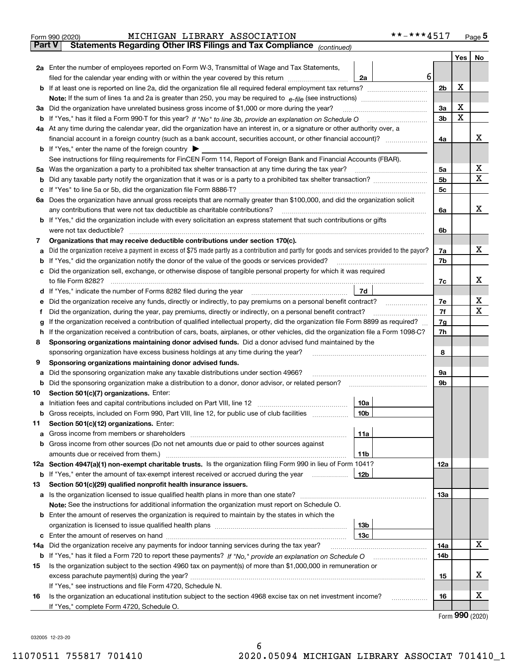| <b>Part V</b><br>Yes<br>No<br>2a Enter the number of employees reported on Form W-3, Transmittal of Wage and Tax Statements,<br>6<br>filed for the calendar year ending with or within the year covered by this return<br>2a<br>х<br>2b<br>b<br>х<br>За<br>3a Did the organization have unrelated business gross income of \$1,000 or more during the year?<br>X<br>3b<br>4a At any time during the calendar year, did the organization have an interest in, or a signature or other authority over, a<br>х<br>4a<br><b>b</b> If "Yes," enter the name of the foreign country $\triangleright$<br>See instructions for filing requirements for FinCEN Form 114, Report of Foreign Bank and Financial Accounts (FBAR).<br>х<br>Was the organization a party to a prohibited tax shelter transaction at any time during the tax year?<br>5а<br>5a<br>х<br>5 <sub>b</sub><br>b<br>5c<br>c<br>6a Does the organization have annual gross receipts that are normally greater than \$100,000, and did the organization solicit<br>x<br>any contributions that were not tax deductible as charitable contributions?<br>6a<br><b>b</b> If "Yes," did the organization include with every solicitation an express statement that such contributions or gifts<br>6b<br>Organizations that may receive deductible contributions under section 170(c).<br>7<br>х<br>Did the organization receive a payment in excess of \$75 made partly as a contribution and partly for goods and services provided to the payor?<br>7a<br>а<br>If "Yes," did the organization notify the donor of the value of the goods or services provided?<br>7b<br>b<br>Did the organization sell, exchange, or otherwise dispose of tangible personal property for which it was required<br>с<br>х<br>7c<br>7d<br>d If "Yes," indicate the number of Forms 8282 filed during the year [11] [11] No. 2010 [12] Henry Marian Marian Marian Marian Marian Marian Marian Marian Marian Marian Marian Marian Marian Marian Marian Marian Marian Maria<br>х<br>7e<br>Did the organization receive any funds, directly or indirectly, to pay premiums on a personal benefit contract?<br>е<br>х<br>7f<br>Did the organization, during the year, pay premiums, directly or indirectly, on a personal benefit contract?<br>f<br>If the organization received a contribution of qualified intellectual property, did the organization file Form 8899 as required?<br>7g<br>g<br>If the organization received a contribution of cars, boats, airplanes, or other vehicles, did the organization file a Form 1098-C?<br>7h<br>h.<br>Sponsoring organizations maintaining donor advised funds. Did a donor advised fund maintained by the<br>8<br>8<br>sponsoring organization have excess business holdings at any time during the year?<br>Sponsoring organizations maintaining donor advised funds.<br>9<br>Did the sponsoring organization make any taxable distributions under section 4966?<br>9а<br>а<br>9b<br>Did the sponsoring organization make a distribution to a donor, donor advisor, or related person?<br>b<br>Section 501(c)(7) organizations. Enter:<br>10<br>10a<br>a Initiation fees and capital contributions included on Part VIII, line 12 [111] [11] [11] Initiation fees and capital contributions included on Part VIII, line 12<br> 10b <br>Gross receipts, included on Form 990, Part VIII, line 12, for public use of club facilities<br>Section 501(c)(12) organizations. Enter:<br>11<br>Gross income from members or shareholders<br>11a<br>а<br>Gross income from other sources (Do not net amounts due or paid to other sources against<br>b<br>11 <sub>b</sub><br>12a Section 4947(a)(1) non-exempt charitable trusts. Is the organization filing Form 990 in lieu of Form 1041?<br>12a<br><b>b</b> If "Yes," enter the amount of tax-exempt interest received or accrued during the year<br>12b<br>Section 501(c)(29) qualified nonprofit health insurance issuers.<br>13<br>13a<br>a Is the organization licensed to issue qualified health plans in more than one state?<br>Note: See the instructions for additional information the organization must report on Schedule O.<br>Enter the amount of reserves the organization is required to maintain by the states in which the<br>b<br>13 <sub>b</sub><br>13c<br>c<br>X<br>Did the organization receive any payments for indoor tanning services during the tax year?<br>14a<br>14a<br>14b<br><b>b</b> If "Yes," has it filed a Form 720 to report these payments? If "No," provide an explanation on Schedule O<br>Is the organization subject to the section 4960 tax on payment(s) of more than \$1,000,000 in remuneration or<br>15<br>x<br>15<br>If "Yes," see instructions and file Form 4720, Schedule N.<br>х<br>Is the organization an educational institution subject to the section 4968 excise tax on net investment income?<br>16<br>16<br>If "Yes," complete Form 4720, Schedule O.<br>Form 990 (2020) | MICHIGAN LIBRARY ASSOCIATION<br>Form 990 (2020)                       | **-***4517 |  | $_{\text{Page}}$ 5 |
|----------------------------------------------------------------------------------------------------------------------------------------------------------------------------------------------------------------------------------------------------------------------------------------------------------------------------------------------------------------------------------------------------------------------------------------------------------------------------------------------------------------------------------------------------------------------------------------------------------------------------------------------------------------------------------------------------------------------------------------------------------------------------------------------------------------------------------------------------------------------------------------------------------------------------------------------------------------------------------------------------------------------------------------------------------------------------------------------------------------------------------------------------------------------------------------------------------------------------------------------------------------------------------------------------------------------------------------------------------------------------------------------------------------------------------------------------------------------------------------------------------------------------------------------------------------------------------------------------------------------------------------------------------------------------------------------------------------------------------------------------------------------------------------------------------------------------------------------------------------------------------------------------------------------------------------------------------------------------------------------------------------------------------------------------------------------------------------------------------------------------------------------------------------------------------------------------------------------------------------------------------------------------------------------------------------------------------------------------------------------------------------------------------------------------------------------------------------------------------------------------------------------------------------------------------------------------------------------------------------------------------------------------------------------------------------------------------------------------------------------------------------------------------------------------------------------------------------------------------------------------------------------------------------------------------------------------------------------------------------------------------------------------------------------------------------------------------------------------------------------------------------------------------------------------------------------------------------------------------------------------------------------------------------------------------------------------------------------------------------------------------------------------------------------------------------------------------------------------------------------------------------------------------------------------------------------------------------------------------------------------------------------------------------------------------------------------------------------------------------------------------------------------------------------------------------------------------------------------------------------------------------------------------------------------------------------------------------------------------------------------------------------------------------------------------------------------------------------------------------------------------------------------------------------------------------------------------------------------------------------------------------------------------------------------------------------------------------------------------------------------------------------------------------------------------------------------------------------------------------------------------------------------------------------------------------------------------------------------------------------------------------------------------------------------------------------------------------------------------------------------------------------------------------------------------------------------------------------------------------------------------------------------------------------------------------------------------------|-----------------------------------------------------------------------|------------|--|--------------------|
|                                                                                                                                                                                                                                                                                                                                                                                                                                                                                                                                                                                                                                                                                                                                                                                                                                                                                                                                                                                                                                                                                                                                                                                                                                                                                                                                                                                                                                                                                                                                                                                                                                                                                                                                                                                                                                                                                                                                                                                                                                                                                                                                                                                                                                                                                                                                                                                                                                                                                                                                                                                                                                                                                                                                                                                                                                                                                                                                                                                                                                                                                                                                                                                                                                                                                                                                                                                                                                                                                                                                                                                                                                                                                                                                                                                                                                                                                                                                                                                                                                                                                                                                                                                                                                                                                                                                                                                                                                                                                                                                                                                                                                                                                                                                                                                                                                                                                                                                                                | Statements Regarding Other IRS Filings and Tax Compliance (continued) |            |  |                    |
|                                                                                                                                                                                                                                                                                                                                                                                                                                                                                                                                                                                                                                                                                                                                                                                                                                                                                                                                                                                                                                                                                                                                                                                                                                                                                                                                                                                                                                                                                                                                                                                                                                                                                                                                                                                                                                                                                                                                                                                                                                                                                                                                                                                                                                                                                                                                                                                                                                                                                                                                                                                                                                                                                                                                                                                                                                                                                                                                                                                                                                                                                                                                                                                                                                                                                                                                                                                                                                                                                                                                                                                                                                                                                                                                                                                                                                                                                                                                                                                                                                                                                                                                                                                                                                                                                                                                                                                                                                                                                                                                                                                                                                                                                                                                                                                                                                                                                                                                                                |                                                                       |            |  |                    |
|                                                                                                                                                                                                                                                                                                                                                                                                                                                                                                                                                                                                                                                                                                                                                                                                                                                                                                                                                                                                                                                                                                                                                                                                                                                                                                                                                                                                                                                                                                                                                                                                                                                                                                                                                                                                                                                                                                                                                                                                                                                                                                                                                                                                                                                                                                                                                                                                                                                                                                                                                                                                                                                                                                                                                                                                                                                                                                                                                                                                                                                                                                                                                                                                                                                                                                                                                                                                                                                                                                                                                                                                                                                                                                                                                                                                                                                                                                                                                                                                                                                                                                                                                                                                                                                                                                                                                                                                                                                                                                                                                                                                                                                                                                                                                                                                                                                                                                                                                                |                                                                       |            |  |                    |
|                                                                                                                                                                                                                                                                                                                                                                                                                                                                                                                                                                                                                                                                                                                                                                                                                                                                                                                                                                                                                                                                                                                                                                                                                                                                                                                                                                                                                                                                                                                                                                                                                                                                                                                                                                                                                                                                                                                                                                                                                                                                                                                                                                                                                                                                                                                                                                                                                                                                                                                                                                                                                                                                                                                                                                                                                                                                                                                                                                                                                                                                                                                                                                                                                                                                                                                                                                                                                                                                                                                                                                                                                                                                                                                                                                                                                                                                                                                                                                                                                                                                                                                                                                                                                                                                                                                                                                                                                                                                                                                                                                                                                                                                                                                                                                                                                                                                                                                                                                |                                                                       |            |  |                    |
|                                                                                                                                                                                                                                                                                                                                                                                                                                                                                                                                                                                                                                                                                                                                                                                                                                                                                                                                                                                                                                                                                                                                                                                                                                                                                                                                                                                                                                                                                                                                                                                                                                                                                                                                                                                                                                                                                                                                                                                                                                                                                                                                                                                                                                                                                                                                                                                                                                                                                                                                                                                                                                                                                                                                                                                                                                                                                                                                                                                                                                                                                                                                                                                                                                                                                                                                                                                                                                                                                                                                                                                                                                                                                                                                                                                                                                                                                                                                                                                                                                                                                                                                                                                                                                                                                                                                                                                                                                                                                                                                                                                                                                                                                                                                                                                                                                                                                                                                                                |                                                                       |            |  |                    |
|                                                                                                                                                                                                                                                                                                                                                                                                                                                                                                                                                                                                                                                                                                                                                                                                                                                                                                                                                                                                                                                                                                                                                                                                                                                                                                                                                                                                                                                                                                                                                                                                                                                                                                                                                                                                                                                                                                                                                                                                                                                                                                                                                                                                                                                                                                                                                                                                                                                                                                                                                                                                                                                                                                                                                                                                                                                                                                                                                                                                                                                                                                                                                                                                                                                                                                                                                                                                                                                                                                                                                                                                                                                                                                                                                                                                                                                                                                                                                                                                                                                                                                                                                                                                                                                                                                                                                                                                                                                                                                                                                                                                                                                                                                                                                                                                                                                                                                                                                                |                                                                       |            |  |                    |
|                                                                                                                                                                                                                                                                                                                                                                                                                                                                                                                                                                                                                                                                                                                                                                                                                                                                                                                                                                                                                                                                                                                                                                                                                                                                                                                                                                                                                                                                                                                                                                                                                                                                                                                                                                                                                                                                                                                                                                                                                                                                                                                                                                                                                                                                                                                                                                                                                                                                                                                                                                                                                                                                                                                                                                                                                                                                                                                                                                                                                                                                                                                                                                                                                                                                                                                                                                                                                                                                                                                                                                                                                                                                                                                                                                                                                                                                                                                                                                                                                                                                                                                                                                                                                                                                                                                                                                                                                                                                                                                                                                                                                                                                                                                                                                                                                                                                                                                                                                |                                                                       |            |  |                    |
|                                                                                                                                                                                                                                                                                                                                                                                                                                                                                                                                                                                                                                                                                                                                                                                                                                                                                                                                                                                                                                                                                                                                                                                                                                                                                                                                                                                                                                                                                                                                                                                                                                                                                                                                                                                                                                                                                                                                                                                                                                                                                                                                                                                                                                                                                                                                                                                                                                                                                                                                                                                                                                                                                                                                                                                                                                                                                                                                                                                                                                                                                                                                                                                                                                                                                                                                                                                                                                                                                                                                                                                                                                                                                                                                                                                                                                                                                                                                                                                                                                                                                                                                                                                                                                                                                                                                                                                                                                                                                                                                                                                                                                                                                                                                                                                                                                                                                                                                                                |                                                                       |            |  |                    |
|                                                                                                                                                                                                                                                                                                                                                                                                                                                                                                                                                                                                                                                                                                                                                                                                                                                                                                                                                                                                                                                                                                                                                                                                                                                                                                                                                                                                                                                                                                                                                                                                                                                                                                                                                                                                                                                                                                                                                                                                                                                                                                                                                                                                                                                                                                                                                                                                                                                                                                                                                                                                                                                                                                                                                                                                                                                                                                                                                                                                                                                                                                                                                                                                                                                                                                                                                                                                                                                                                                                                                                                                                                                                                                                                                                                                                                                                                                                                                                                                                                                                                                                                                                                                                                                                                                                                                                                                                                                                                                                                                                                                                                                                                                                                                                                                                                                                                                                                                                |                                                                       |            |  |                    |
|                                                                                                                                                                                                                                                                                                                                                                                                                                                                                                                                                                                                                                                                                                                                                                                                                                                                                                                                                                                                                                                                                                                                                                                                                                                                                                                                                                                                                                                                                                                                                                                                                                                                                                                                                                                                                                                                                                                                                                                                                                                                                                                                                                                                                                                                                                                                                                                                                                                                                                                                                                                                                                                                                                                                                                                                                                                                                                                                                                                                                                                                                                                                                                                                                                                                                                                                                                                                                                                                                                                                                                                                                                                                                                                                                                                                                                                                                                                                                                                                                                                                                                                                                                                                                                                                                                                                                                                                                                                                                                                                                                                                                                                                                                                                                                                                                                                                                                                                                                |                                                                       |            |  |                    |
|                                                                                                                                                                                                                                                                                                                                                                                                                                                                                                                                                                                                                                                                                                                                                                                                                                                                                                                                                                                                                                                                                                                                                                                                                                                                                                                                                                                                                                                                                                                                                                                                                                                                                                                                                                                                                                                                                                                                                                                                                                                                                                                                                                                                                                                                                                                                                                                                                                                                                                                                                                                                                                                                                                                                                                                                                                                                                                                                                                                                                                                                                                                                                                                                                                                                                                                                                                                                                                                                                                                                                                                                                                                                                                                                                                                                                                                                                                                                                                                                                                                                                                                                                                                                                                                                                                                                                                                                                                                                                                                                                                                                                                                                                                                                                                                                                                                                                                                                                                |                                                                       |            |  |                    |
|                                                                                                                                                                                                                                                                                                                                                                                                                                                                                                                                                                                                                                                                                                                                                                                                                                                                                                                                                                                                                                                                                                                                                                                                                                                                                                                                                                                                                                                                                                                                                                                                                                                                                                                                                                                                                                                                                                                                                                                                                                                                                                                                                                                                                                                                                                                                                                                                                                                                                                                                                                                                                                                                                                                                                                                                                                                                                                                                                                                                                                                                                                                                                                                                                                                                                                                                                                                                                                                                                                                                                                                                                                                                                                                                                                                                                                                                                                                                                                                                                                                                                                                                                                                                                                                                                                                                                                                                                                                                                                                                                                                                                                                                                                                                                                                                                                                                                                                                                                |                                                                       |            |  |                    |
|                                                                                                                                                                                                                                                                                                                                                                                                                                                                                                                                                                                                                                                                                                                                                                                                                                                                                                                                                                                                                                                                                                                                                                                                                                                                                                                                                                                                                                                                                                                                                                                                                                                                                                                                                                                                                                                                                                                                                                                                                                                                                                                                                                                                                                                                                                                                                                                                                                                                                                                                                                                                                                                                                                                                                                                                                                                                                                                                                                                                                                                                                                                                                                                                                                                                                                                                                                                                                                                                                                                                                                                                                                                                                                                                                                                                                                                                                                                                                                                                                                                                                                                                                                                                                                                                                                                                                                                                                                                                                                                                                                                                                                                                                                                                                                                                                                                                                                                                                                |                                                                       |            |  |                    |
|                                                                                                                                                                                                                                                                                                                                                                                                                                                                                                                                                                                                                                                                                                                                                                                                                                                                                                                                                                                                                                                                                                                                                                                                                                                                                                                                                                                                                                                                                                                                                                                                                                                                                                                                                                                                                                                                                                                                                                                                                                                                                                                                                                                                                                                                                                                                                                                                                                                                                                                                                                                                                                                                                                                                                                                                                                                                                                                                                                                                                                                                                                                                                                                                                                                                                                                                                                                                                                                                                                                                                                                                                                                                                                                                                                                                                                                                                                                                                                                                                                                                                                                                                                                                                                                                                                                                                                                                                                                                                                                                                                                                                                                                                                                                                                                                                                                                                                                                                                |                                                                       |            |  |                    |
|                                                                                                                                                                                                                                                                                                                                                                                                                                                                                                                                                                                                                                                                                                                                                                                                                                                                                                                                                                                                                                                                                                                                                                                                                                                                                                                                                                                                                                                                                                                                                                                                                                                                                                                                                                                                                                                                                                                                                                                                                                                                                                                                                                                                                                                                                                                                                                                                                                                                                                                                                                                                                                                                                                                                                                                                                                                                                                                                                                                                                                                                                                                                                                                                                                                                                                                                                                                                                                                                                                                                                                                                                                                                                                                                                                                                                                                                                                                                                                                                                                                                                                                                                                                                                                                                                                                                                                                                                                                                                                                                                                                                                                                                                                                                                                                                                                                                                                                                                                |                                                                       |            |  |                    |
|                                                                                                                                                                                                                                                                                                                                                                                                                                                                                                                                                                                                                                                                                                                                                                                                                                                                                                                                                                                                                                                                                                                                                                                                                                                                                                                                                                                                                                                                                                                                                                                                                                                                                                                                                                                                                                                                                                                                                                                                                                                                                                                                                                                                                                                                                                                                                                                                                                                                                                                                                                                                                                                                                                                                                                                                                                                                                                                                                                                                                                                                                                                                                                                                                                                                                                                                                                                                                                                                                                                                                                                                                                                                                                                                                                                                                                                                                                                                                                                                                                                                                                                                                                                                                                                                                                                                                                                                                                                                                                                                                                                                                                                                                                                                                                                                                                                                                                                                                                |                                                                       |            |  |                    |
|                                                                                                                                                                                                                                                                                                                                                                                                                                                                                                                                                                                                                                                                                                                                                                                                                                                                                                                                                                                                                                                                                                                                                                                                                                                                                                                                                                                                                                                                                                                                                                                                                                                                                                                                                                                                                                                                                                                                                                                                                                                                                                                                                                                                                                                                                                                                                                                                                                                                                                                                                                                                                                                                                                                                                                                                                                                                                                                                                                                                                                                                                                                                                                                                                                                                                                                                                                                                                                                                                                                                                                                                                                                                                                                                                                                                                                                                                                                                                                                                                                                                                                                                                                                                                                                                                                                                                                                                                                                                                                                                                                                                                                                                                                                                                                                                                                                                                                                                                                |                                                                       |            |  |                    |
|                                                                                                                                                                                                                                                                                                                                                                                                                                                                                                                                                                                                                                                                                                                                                                                                                                                                                                                                                                                                                                                                                                                                                                                                                                                                                                                                                                                                                                                                                                                                                                                                                                                                                                                                                                                                                                                                                                                                                                                                                                                                                                                                                                                                                                                                                                                                                                                                                                                                                                                                                                                                                                                                                                                                                                                                                                                                                                                                                                                                                                                                                                                                                                                                                                                                                                                                                                                                                                                                                                                                                                                                                                                                                                                                                                                                                                                                                                                                                                                                                                                                                                                                                                                                                                                                                                                                                                                                                                                                                                                                                                                                                                                                                                                                                                                                                                                                                                                                                                |                                                                       |            |  |                    |
|                                                                                                                                                                                                                                                                                                                                                                                                                                                                                                                                                                                                                                                                                                                                                                                                                                                                                                                                                                                                                                                                                                                                                                                                                                                                                                                                                                                                                                                                                                                                                                                                                                                                                                                                                                                                                                                                                                                                                                                                                                                                                                                                                                                                                                                                                                                                                                                                                                                                                                                                                                                                                                                                                                                                                                                                                                                                                                                                                                                                                                                                                                                                                                                                                                                                                                                                                                                                                                                                                                                                                                                                                                                                                                                                                                                                                                                                                                                                                                                                                                                                                                                                                                                                                                                                                                                                                                                                                                                                                                                                                                                                                                                                                                                                                                                                                                                                                                                                                                |                                                                       |            |  |                    |
|                                                                                                                                                                                                                                                                                                                                                                                                                                                                                                                                                                                                                                                                                                                                                                                                                                                                                                                                                                                                                                                                                                                                                                                                                                                                                                                                                                                                                                                                                                                                                                                                                                                                                                                                                                                                                                                                                                                                                                                                                                                                                                                                                                                                                                                                                                                                                                                                                                                                                                                                                                                                                                                                                                                                                                                                                                                                                                                                                                                                                                                                                                                                                                                                                                                                                                                                                                                                                                                                                                                                                                                                                                                                                                                                                                                                                                                                                                                                                                                                                                                                                                                                                                                                                                                                                                                                                                                                                                                                                                                                                                                                                                                                                                                                                                                                                                                                                                                                                                |                                                                       |            |  |                    |
|                                                                                                                                                                                                                                                                                                                                                                                                                                                                                                                                                                                                                                                                                                                                                                                                                                                                                                                                                                                                                                                                                                                                                                                                                                                                                                                                                                                                                                                                                                                                                                                                                                                                                                                                                                                                                                                                                                                                                                                                                                                                                                                                                                                                                                                                                                                                                                                                                                                                                                                                                                                                                                                                                                                                                                                                                                                                                                                                                                                                                                                                                                                                                                                                                                                                                                                                                                                                                                                                                                                                                                                                                                                                                                                                                                                                                                                                                                                                                                                                                                                                                                                                                                                                                                                                                                                                                                                                                                                                                                                                                                                                                                                                                                                                                                                                                                                                                                                                                                |                                                                       |            |  |                    |
|                                                                                                                                                                                                                                                                                                                                                                                                                                                                                                                                                                                                                                                                                                                                                                                                                                                                                                                                                                                                                                                                                                                                                                                                                                                                                                                                                                                                                                                                                                                                                                                                                                                                                                                                                                                                                                                                                                                                                                                                                                                                                                                                                                                                                                                                                                                                                                                                                                                                                                                                                                                                                                                                                                                                                                                                                                                                                                                                                                                                                                                                                                                                                                                                                                                                                                                                                                                                                                                                                                                                                                                                                                                                                                                                                                                                                                                                                                                                                                                                                                                                                                                                                                                                                                                                                                                                                                                                                                                                                                                                                                                                                                                                                                                                                                                                                                                                                                                                                                |                                                                       |            |  |                    |
|                                                                                                                                                                                                                                                                                                                                                                                                                                                                                                                                                                                                                                                                                                                                                                                                                                                                                                                                                                                                                                                                                                                                                                                                                                                                                                                                                                                                                                                                                                                                                                                                                                                                                                                                                                                                                                                                                                                                                                                                                                                                                                                                                                                                                                                                                                                                                                                                                                                                                                                                                                                                                                                                                                                                                                                                                                                                                                                                                                                                                                                                                                                                                                                                                                                                                                                                                                                                                                                                                                                                                                                                                                                                                                                                                                                                                                                                                                                                                                                                                                                                                                                                                                                                                                                                                                                                                                                                                                                                                                                                                                                                                                                                                                                                                                                                                                                                                                                                                                |                                                                       |            |  |                    |
|                                                                                                                                                                                                                                                                                                                                                                                                                                                                                                                                                                                                                                                                                                                                                                                                                                                                                                                                                                                                                                                                                                                                                                                                                                                                                                                                                                                                                                                                                                                                                                                                                                                                                                                                                                                                                                                                                                                                                                                                                                                                                                                                                                                                                                                                                                                                                                                                                                                                                                                                                                                                                                                                                                                                                                                                                                                                                                                                                                                                                                                                                                                                                                                                                                                                                                                                                                                                                                                                                                                                                                                                                                                                                                                                                                                                                                                                                                                                                                                                                                                                                                                                                                                                                                                                                                                                                                                                                                                                                                                                                                                                                                                                                                                                                                                                                                                                                                                                                                |                                                                       |            |  |                    |
|                                                                                                                                                                                                                                                                                                                                                                                                                                                                                                                                                                                                                                                                                                                                                                                                                                                                                                                                                                                                                                                                                                                                                                                                                                                                                                                                                                                                                                                                                                                                                                                                                                                                                                                                                                                                                                                                                                                                                                                                                                                                                                                                                                                                                                                                                                                                                                                                                                                                                                                                                                                                                                                                                                                                                                                                                                                                                                                                                                                                                                                                                                                                                                                                                                                                                                                                                                                                                                                                                                                                                                                                                                                                                                                                                                                                                                                                                                                                                                                                                                                                                                                                                                                                                                                                                                                                                                                                                                                                                                                                                                                                                                                                                                                                                                                                                                                                                                                                                                |                                                                       |            |  |                    |
|                                                                                                                                                                                                                                                                                                                                                                                                                                                                                                                                                                                                                                                                                                                                                                                                                                                                                                                                                                                                                                                                                                                                                                                                                                                                                                                                                                                                                                                                                                                                                                                                                                                                                                                                                                                                                                                                                                                                                                                                                                                                                                                                                                                                                                                                                                                                                                                                                                                                                                                                                                                                                                                                                                                                                                                                                                                                                                                                                                                                                                                                                                                                                                                                                                                                                                                                                                                                                                                                                                                                                                                                                                                                                                                                                                                                                                                                                                                                                                                                                                                                                                                                                                                                                                                                                                                                                                                                                                                                                                                                                                                                                                                                                                                                                                                                                                                                                                                                                                |                                                                       |            |  |                    |
|                                                                                                                                                                                                                                                                                                                                                                                                                                                                                                                                                                                                                                                                                                                                                                                                                                                                                                                                                                                                                                                                                                                                                                                                                                                                                                                                                                                                                                                                                                                                                                                                                                                                                                                                                                                                                                                                                                                                                                                                                                                                                                                                                                                                                                                                                                                                                                                                                                                                                                                                                                                                                                                                                                                                                                                                                                                                                                                                                                                                                                                                                                                                                                                                                                                                                                                                                                                                                                                                                                                                                                                                                                                                                                                                                                                                                                                                                                                                                                                                                                                                                                                                                                                                                                                                                                                                                                                                                                                                                                                                                                                                                                                                                                                                                                                                                                                                                                                                                                |                                                                       |            |  |                    |
|                                                                                                                                                                                                                                                                                                                                                                                                                                                                                                                                                                                                                                                                                                                                                                                                                                                                                                                                                                                                                                                                                                                                                                                                                                                                                                                                                                                                                                                                                                                                                                                                                                                                                                                                                                                                                                                                                                                                                                                                                                                                                                                                                                                                                                                                                                                                                                                                                                                                                                                                                                                                                                                                                                                                                                                                                                                                                                                                                                                                                                                                                                                                                                                                                                                                                                                                                                                                                                                                                                                                                                                                                                                                                                                                                                                                                                                                                                                                                                                                                                                                                                                                                                                                                                                                                                                                                                                                                                                                                                                                                                                                                                                                                                                                                                                                                                                                                                                                                                |                                                                       |            |  |                    |
|                                                                                                                                                                                                                                                                                                                                                                                                                                                                                                                                                                                                                                                                                                                                                                                                                                                                                                                                                                                                                                                                                                                                                                                                                                                                                                                                                                                                                                                                                                                                                                                                                                                                                                                                                                                                                                                                                                                                                                                                                                                                                                                                                                                                                                                                                                                                                                                                                                                                                                                                                                                                                                                                                                                                                                                                                                                                                                                                                                                                                                                                                                                                                                                                                                                                                                                                                                                                                                                                                                                                                                                                                                                                                                                                                                                                                                                                                                                                                                                                                                                                                                                                                                                                                                                                                                                                                                                                                                                                                                                                                                                                                                                                                                                                                                                                                                                                                                                                                                |                                                                       |            |  |                    |
|                                                                                                                                                                                                                                                                                                                                                                                                                                                                                                                                                                                                                                                                                                                                                                                                                                                                                                                                                                                                                                                                                                                                                                                                                                                                                                                                                                                                                                                                                                                                                                                                                                                                                                                                                                                                                                                                                                                                                                                                                                                                                                                                                                                                                                                                                                                                                                                                                                                                                                                                                                                                                                                                                                                                                                                                                                                                                                                                                                                                                                                                                                                                                                                                                                                                                                                                                                                                                                                                                                                                                                                                                                                                                                                                                                                                                                                                                                                                                                                                                                                                                                                                                                                                                                                                                                                                                                                                                                                                                                                                                                                                                                                                                                                                                                                                                                                                                                                                                                |                                                                       |            |  |                    |
|                                                                                                                                                                                                                                                                                                                                                                                                                                                                                                                                                                                                                                                                                                                                                                                                                                                                                                                                                                                                                                                                                                                                                                                                                                                                                                                                                                                                                                                                                                                                                                                                                                                                                                                                                                                                                                                                                                                                                                                                                                                                                                                                                                                                                                                                                                                                                                                                                                                                                                                                                                                                                                                                                                                                                                                                                                                                                                                                                                                                                                                                                                                                                                                                                                                                                                                                                                                                                                                                                                                                                                                                                                                                                                                                                                                                                                                                                                                                                                                                                                                                                                                                                                                                                                                                                                                                                                                                                                                                                                                                                                                                                                                                                                                                                                                                                                                                                                                                                                |                                                                       |            |  |                    |
|                                                                                                                                                                                                                                                                                                                                                                                                                                                                                                                                                                                                                                                                                                                                                                                                                                                                                                                                                                                                                                                                                                                                                                                                                                                                                                                                                                                                                                                                                                                                                                                                                                                                                                                                                                                                                                                                                                                                                                                                                                                                                                                                                                                                                                                                                                                                                                                                                                                                                                                                                                                                                                                                                                                                                                                                                                                                                                                                                                                                                                                                                                                                                                                                                                                                                                                                                                                                                                                                                                                                                                                                                                                                                                                                                                                                                                                                                                                                                                                                                                                                                                                                                                                                                                                                                                                                                                                                                                                                                                                                                                                                                                                                                                                                                                                                                                                                                                                                                                |                                                                       |            |  |                    |
|                                                                                                                                                                                                                                                                                                                                                                                                                                                                                                                                                                                                                                                                                                                                                                                                                                                                                                                                                                                                                                                                                                                                                                                                                                                                                                                                                                                                                                                                                                                                                                                                                                                                                                                                                                                                                                                                                                                                                                                                                                                                                                                                                                                                                                                                                                                                                                                                                                                                                                                                                                                                                                                                                                                                                                                                                                                                                                                                                                                                                                                                                                                                                                                                                                                                                                                                                                                                                                                                                                                                                                                                                                                                                                                                                                                                                                                                                                                                                                                                                                                                                                                                                                                                                                                                                                                                                                                                                                                                                                                                                                                                                                                                                                                                                                                                                                                                                                                                                                |                                                                       |            |  |                    |
|                                                                                                                                                                                                                                                                                                                                                                                                                                                                                                                                                                                                                                                                                                                                                                                                                                                                                                                                                                                                                                                                                                                                                                                                                                                                                                                                                                                                                                                                                                                                                                                                                                                                                                                                                                                                                                                                                                                                                                                                                                                                                                                                                                                                                                                                                                                                                                                                                                                                                                                                                                                                                                                                                                                                                                                                                                                                                                                                                                                                                                                                                                                                                                                                                                                                                                                                                                                                                                                                                                                                                                                                                                                                                                                                                                                                                                                                                                                                                                                                                                                                                                                                                                                                                                                                                                                                                                                                                                                                                                                                                                                                                                                                                                                                                                                                                                                                                                                                                                |                                                                       |            |  |                    |
|                                                                                                                                                                                                                                                                                                                                                                                                                                                                                                                                                                                                                                                                                                                                                                                                                                                                                                                                                                                                                                                                                                                                                                                                                                                                                                                                                                                                                                                                                                                                                                                                                                                                                                                                                                                                                                                                                                                                                                                                                                                                                                                                                                                                                                                                                                                                                                                                                                                                                                                                                                                                                                                                                                                                                                                                                                                                                                                                                                                                                                                                                                                                                                                                                                                                                                                                                                                                                                                                                                                                                                                                                                                                                                                                                                                                                                                                                                                                                                                                                                                                                                                                                                                                                                                                                                                                                                                                                                                                                                                                                                                                                                                                                                                                                                                                                                                                                                                                                                |                                                                       |            |  |                    |
|                                                                                                                                                                                                                                                                                                                                                                                                                                                                                                                                                                                                                                                                                                                                                                                                                                                                                                                                                                                                                                                                                                                                                                                                                                                                                                                                                                                                                                                                                                                                                                                                                                                                                                                                                                                                                                                                                                                                                                                                                                                                                                                                                                                                                                                                                                                                                                                                                                                                                                                                                                                                                                                                                                                                                                                                                                                                                                                                                                                                                                                                                                                                                                                                                                                                                                                                                                                                                                                                                                                                                                                                                                                                                                                                                                                                                                                                                                                                                                                                                                                                                                                                                                                                                                                                                                                                                                                                                                                                                                                                                                                                                                                                                                                                                                                                                                                                                                                                                                |                                                                       |            |  |                    |
|                                                                                                                                                                                                                                                                                                                                                                                                                                                                                                                                                                                                                                                                                                                                                                                                                                                                                                                                                                                                                                                                                                                                                                                                                                                                                                                                                                                                                                                                                                                                                                                                                                                                                                                                                                                                                                                                                                                                                                                                                                                                                                                                                                                                                                                                                                                                                                                                                                                                                                                                                                                                                                                                                                                                                                                                                                                                                                                                                                                                                                                                                                                                                                                                                                                                                                                                                                                                                                                                                                                                                                                                                                                                                                                                                                                                                                                                                                                                                                                                                                                                                                                                                                                                                                                                                                                                                                                                                                                                                                                                                                                                                                                                                                                                                                                                                                                                                                                                                                |                                                                       |            |  |                    |
|                                                                                                                                                                                                                                                                                                                                                                                                                                                                                                                                                                                                                                                                                                                                                                                                                                                                                                                                                                                                                                                                                                                                                                                                                                                                                                                                                                                                                                                                                                                                                                                                                                                                                                                                                                                                                                                                                                                                                                                                                                                                                                                                                                                                                                                                                                                                                                                                                                                                                                                                                                                                                                                                                                                                                                                                                                                                                                                                                                                                                                                                                                                                                                                                                                                                                                                                                                                                                                                                                                                                                                                                                                                                                                                                                                                                                                                                                                                                                                                                                                                                                                                                                                                                                                                                                                                                                                                                                                                                                                                                                                                                                                                                                                                                                                                                                                                                                                                                                                |                                                                       |            |  |                    |
|                                                                                                                                                                                                                                                                                                                                                                                                                                                                                                                                                                                                                                                                                                                                                                                                                                                                                                                                                                                                                                                                                                                                                                                                                                                                                                                                                                                                                                                                                                                                                                                                                                                                                                                                                                                                                                                                                                                                                                                                                                                                                                                                                                                                                                                                                                                                                                                                                                                                                                                                                                                                                                                                                                                                                                                                                                                                                                                                                                                                                                                                                                                                                                                                                                                                                                                                                                                                                                                                                                                                                                                                                                                                                                                                                                                                                                                                                                                                                                                                                                                                                                                                                                                                                                                                                                                                                                                                                                                                                                                                                                                                                                                                                                                                                                                                                                                                                                                                                                |                                                                       |            |  |                    |
|                                                                                                                                                                                                                                                                                                                                                                                                                                                                                                                                                                                                                                                                                                                                                                                                                                                                                                                                                                                                                                                                                                                                                                                                                                                                                                                                                                                                                                                                                                                                                                                                                                                                                                                                                                                                                                                                                                                                                                                                                                                                                                                                                                                                                                                                                                                                                                                                                                                                                                                                                                                                                                                                                                                                                                                                                                                                                                                                                                                                                                                                                                                                                                                                                                                                                                                                                                                                                                                                                                                                                                                                                                                                                                                                                                                                                                                                                                                                                                                                                                                                                                                                                                                                                                                                                                                                                                                                                                                                                                                                                                                                                                                                                                                                                                                                                                                                                                                                                                |                                                                       |            |  |                    |
|                                                                                                                                                                                                                                                                                                                                                                                                                                                                                                                                                                                                                                                                                                                                                                                                                                                                                                                                                                                                                                                                                                                                                                                                                                                                                                                                                                                                                                                                                                                                                                                                                                                                                                                                                                                                                                                                                                                                                                                                                                                                                                                                                                                                                                                                                                                                                                                                                                                                                                                                                                                                                                                                                                                                                                                                                                                                                                                                                                                                                                                                                                                                                                                                                                                                                                                                                                                                                                                                                                                                                                                                                                                                                                                                                                                                                                                                                                                                                                                                                                                                                                                                                                                                                                                                                                                                                                                                                                                                                                                                                                                                                                                                                                                                                                                                                                                                                                                                                                |                                                                       |            |  |                    |
|                                                                                                                                                                                                                                                                                                                                                                                                                                                                                                                                                                                                                                                                                                                                                                                                                                                                                                                                                                                                                                                                                                                                                                                                                                                                                                                                                                                                                                                                                                                                                                                                                                                                                                                                                                                                                                                                                                                                                                                                                                                                                                                                                                                                                                                                                                                                                                                                                                                                                                                                                                                                                                                                                                                                                                                                                                                                                                                                                                                                                                                                                                                                                                                                                                                                                                                                                                                                                                                                                                                                                                                                                                                                                                                                                                                                                                                                                                                                                                                                                                                                                                                                                                                                                                                                                                                                                                                                                                                                                                                                                                                                                                                                                                                                                                                                                                                                                                                                                                |                                                                       |            |  |                    |
|                                                                                                                                                                                                                                                                                                                                                                                                                                                                                                                                                                                                                                                                                                                                                                                                                                                                                                                                                                                                                                                                                                                                                                                                                                                                                                                                                                                                                                                                                                                                                                                                                                                                                                                                                                                                                                                                                                                                                                                                                                                                                                                                                                                                                                                                                                                                                                                                                                                                                                                                                                                                                                                                                                                                                                                                                                                                                                                                                                                                                                                                                                                                                                                                                                                                                                                                                                                                                                                                                                                                                                                                                                                                                                                                                                                                                                                                                                                                                                                                                                                                                                                                                                                                                                                                                                                                                                                                                                                                                                                                                                                                                                                                                                                                                                                                                                                                                                                                                                |                                                                       |            |  |                    |
|                                                                                                                                                                                                                                                                                                                                                                                                                                                                                                                                                                                                                                                                                                                                                                                                                                                                                                                                                                                                                                                                                                                                                                                                                                                                                                                                                                                                                                                                                                                                                                                                                                                                                                                                                                                                                                                                                                                                                                                                                                                                                                                                                                                                                                                                                                                                                                                                                                                                                                                                                                                                                                                                                                                                                                                                                                                                                                                                                                                                                                                                                                                                                                                                                                                                                                                                                                                                                                                                                                                                                                                                                                                                                                                                                                                                                                                                                                                                                                                                                                                                                                                                                                                                                                                                                                                                                                                                                                                                                                                                                                                                                                                                                                                                                                                                                                                                                                                                                                |                                                                       |            |  |                    |
|                                                                                                                                                                                                                                                                                                                                                                                                                                                                                                                                                                                                                                                                                                                                                                                                                                                                                                                                                                                                                                                                                                                                                                                                                                                                                                                                                                                                                                                                                                                                                                                                                                                                                                                                                                                                                                                                                                                                                                                                                                                                                                                                                                                                                                                                                                                                                                                                                                                                                                                                                                                                                                                                                                                                                                                                                                                                                                                                                                                                                                                                                                                                                                                                                                                                                                                                                                                                                                                                                                                                                                                                                                                                                                                                                                                                                                                                                                                                                                                                                                                                                                                                                                                                                                                                                                                                                                                                                                                                                                                                                                                                                                                                                                                                                                                                                                                                                                                                                                |                                                                       |            |  |                    |
|                                                                                                                                                                                                                                                                                                                                                                                                                                                                                                                                                                                                                                                                                                                                                                                                                                                                                                                                                                                                                                                                                                                                                                                                                                                                                                                                                                                                                                                                                                                                                                                                                                                                                                                                                                                                                                                                                                                                                                                                                                                                                                                                                                                                                                                                                                                                                                                                                                                                                                                                                                                                                                                                                                                                                                                                                                                                                                                                                                                                                                                                                                                                                                                                                                                                                                                                                                                                                                                                                                                                                                                                                                                                                                                                                                                                                                                                                                                                                                                                                                                                                                                                                                                                                                                                                                                                                                                                                                                                                                                                                                                                                                                                                                                                                                                                                                                                                                                                                                |                                                                       |            |  |                    |
|                                                                                                                                                                                                                                                                                                                                                                                                                                                                                                                                                                                                                                                                                                                                                                                                                                                                                                                                                                                                                                                                                                                                                                                                                                                                                                                                                                                                                                                                                                                                                                                                                                                                                                                                                                                                                                                                                                                                                                                                                                                                                                                                                                                                                                                                                                                                                                                                                                                                                                                                                                                                                                                                                                                                                                                                                                                                                                                                                                                                                                                                                                                                                                                                                                                                                                                                                                                                                                                                                                                                                                                                                                                                                                                                                                                                                                                                                                                                                                                                                                                                                                                                                                                                                                                                                                                                                                                                                                                                                                                                                                                                                                                                                                                                                                                                                                                                                                                                                                |                                                                       |            |  |                    |
|                                                                                                                                                                                                                                                                                                                                                                                                                                                                                                                                                                                                                                                                                                                                                                                                                                                                                                                                                                                                                                                                                                                                                                                                                                                                                                                                                                                                                                                                                                                                                                                                                                                                                                                                                                                                                                                                                                                                                                                                                                                                                                                                                                                                                                                                                                                                                                                                                                                                                                                                                                                                                                                                                                                                                                                                                                                                                                                                                                                                                                                                                                                                                                                                                                                                                                                                                                                                                                                                                                                                                                                                                                                                                                                                                                                                                                                                                                                                                                                                                                                                                                                                                                                                                                                                                                                                                                                                                                                                                                                                                                                                                                                                                                                                                                                                                                                                                                                                                                |                                                                       |            |  |                    |
|                                                                                                                                                                                                                                                                                                                                                                                                                                                                                                                                                                                                                                                                                                                                                                                                                                                                                                                                                                                                                                                                                                                                                                                                                                                                                                                                                                                                                                                                                                                                                                                                                                                                                                                                                                                                                                                                                                                                                                                                                                                                                                                                                                                                                                                                                                                                                                                                                                                                                                                                                                                                                                                                                                                                                                                                                                                                                                                                                                                                                                                                                                                                                                                                                                                                                                                                                                                                                                                                                                                                                                                                                                                                                                                                                                                                                                                                                                                                                                                                                                                                                                                                                                                                                                                                                                                                                                                                                                                                                                                                                                                                                                                                                                                                                                                                                                                                                                                                                                |                                                                       |            |  |                    |
|                                                                                                                                                                                                                                                                                                                                                                                                                                                                                                                                                                                                                                                                                                                                                                                                                                                                                                                                                                                                                                                                                                                                                                                                                                                                                                                                                                                                                                                                                                                                                                                                                                                                                                                                                                                                                                                                                                                                                                                                                                                                                                                                                                                                                                                                                                                                                                                                                                                                                                                                                                                                                                                                                                                                                                                                                                                                                                                                                                                                                                                                                                                                                                                                                                                                                                                                                                                                                                                                                                                                                                                                                                                                                                                                                                                                                                                                                                                                                                                                                                                                                                                                                                                                                                                                                                                                                                                                                                                                                                                                                                                                                                                                                                                                                                                                                                                                                                                                                                |                                                                       |            |  |                    |
|                                                                                                                                                                                                                                                                                                                                                                                                                                                                                                                                                                                                                                                                                                                                                                                                                                                                                                                                                                                                                                                                                                                                                                                                                                                                                                                                                                                                                                                                                                                                                                                                                                                                                                                                                                                                                                                                                                                                                                                                                                                                                                                                                                                                                                                                                                                                                                                                                                                                                                                                                                                                                                                                                                                                                                                                                                                                                                                                                                                                                                                                                                                                                                                                                                                                                                                                                                                                                                                                                                                                                                                                                                                                                                                                                                                                                                                                                                                                                                                                                                                                                                                                                                                                                                                                                                                                                                                                                                                                                                                                                                                                                                                                                                                                                                                                                                                                                                                                                                |                                                                       |            |  |                    |
|                                                                                                                                                                                                                                                                                                                                                                                                                                                                                                                                                                                                                                                                                                                                                                                                                                                                                                                                                                                                                                                                                                                                                                                                                                                                                                                                                                                                                                                                                                                                                                                                                                                                                                                                                                                                                                                                                                                                                                                                                                                                                                                                                                                                                                                                                                                                                                                                                                                                                                                                                                                                                                                                                                                                                                                                                                                                                                                                                                                                                                                                                                                                                                                                                                                                                                                                                                                                                                                                                                                                                                                                                                                                                                                                                                                                                                                                                                                                                                                                                                                                                                                                                                                                                                                                                                                                                                                                                                                                                                                                                                                                                                                                                                                                                                                                                                                                                                                                                                |                                                                       |            |  |                    |
|                                                                                                                                                                                                                                                                                                                                                                                                                                                                                                                                                                                                                                                                                                                                                                                                                                                                                                                                                                                                                                                                                                                                                                                                                                                                                                                                                                                                                                                                                                                                                                                                                                                                                                                                                                                                                                                                                                                                                                                                                                                                                                                                                                                                                                                                                                                                                                                                                                                                                                                                                                                                                                                                                                                                                                                                                                                                                                                                                                                                                                                                                                                                                                                                                                                                                                                                                                                                                                                                                                                                                                                                                                                                                                                                                                                                                                                                                                                                                                                                                                                                                                                                                                                                                                                                                                                                                                                                                                                                                                                                                                                                                                                                                                                                                                                                                                                                                                                                                                |                                                                       |            |  |                    |
|                                                                                                                                                                                                                                                                                                                                                                                                                                                                                                                                                                                                                                                                                                                                                                                                                                                                                                                                                                                                                                                                                                                                                                                                                                                                                                                                                                                                                                                                                                                                                                                                                                                                                                                                                                                                                                                                                                                                                                                                                                                                                                                                                                                                                                                                                                                                                                                                                                                                                                                                                                                                                                                                                                                                                                                                                                                                                                                                                                                                                                                                                                                                                                                                                                                                                                                                                                                                                                                                                                                                                                                                                                                                                                                                                                                                                                                                                                                                                                                                                                                                                                                                                                                                                                                                                                                                                                                                                                                                                                                                                                                                                                                                                                                                                                                                                                                                                                                                                                |                                                                       |            |  |                    |
|                                                                                                                                                                                                                                                                                                                                                                                                                                                                                                                                                                                                                                                                                                                                                                                                                                                                                                                                                                                                                                                                                                                                                                                                                                                                                                                                                                                                                                                                                                                                                                                                                                                                                                                                                                                                                                                                                                                                                                                                                                                                                                                                                                                                                                                                                                                                                                                                                                                                                                                                                                                                                                                                                                                                                                                                                                                                                                                                                                                                                                                                                                                                                                                                                                                                                                                                                                                                                                                                                                                                                                                                                                                                                                                                                                                                                                                                                                                                                                                                                                                                                                                                                                                                                                                                                                                                                                                                                                                                                                                                                                                                                                                                                                                                                                                                                                                                                                                                                                |                                                                       |            |  |                    |

Form (2020) **990**

032005 12-23-20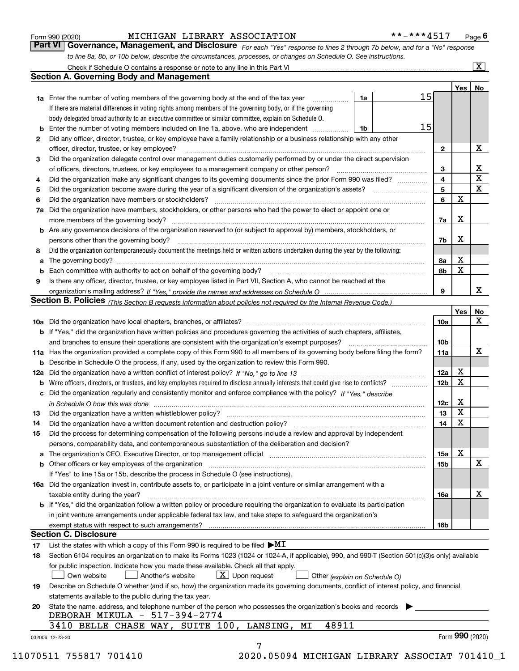|  | Form 990 (2020) |
|--|-----------------|
|  |                 |

| Form 990 (2020) |                                                                                                                               | MICHIGAN LIBRARY ASSOCIATION | **-***4517 | $P_{\text{aqe}}$ 6 |
|-----------------|-------------------------------------------------------------------------------------------------------------------------------|------------------------------|------------|--------------------|
|                 | Part VI   Governance, Management, and Disclosure For each "Yes" response to lines 2 through 7b below, and for a "No" response |                              |            |                    |
|                 | to line 8a, 8b, or 10b below, describe the circumstances, processes, or changes on Schedule O. See instructions.              |                              |            |                    |

|     | Check if Schedule O contains a response or note to any line in this Part VI                                                                                                                                                   |    |    |                        |                  | $\overline{\mathbf{X}}$ |  |  |  |  |
|-----|-------------------------------------------------------------------------------------------------------------------------------------------------------------------------------------------------------------------------------|----|----|------------------------|------------------|-------------------------|--|--|--|--|
|     | <b>Section A. Governing Body and Management</b>                                                                                                                                                                               |    |    |                        |                  |                         |  |  |  |  |
|     |                                                                                                                                                                                                                               |    |    |                        | Yes              | No                      |  |  |  |  |
|     | <b>1a</b> Enter the number of voting members of the governing body at the end of the tax year                                                                                                                                 | 1a | 15 |                        |                  |                         |  |  |  |  |
|     | If there are material differences in voting rights among members of the governing body, or if the governing                                                                                                                   |    |    |                        |                  |                         |  |  |  |  |
|     | body delegated broad authority to an executive committee or similar committee, explain on Schedule O.                                                                                                                         |    |    |                        |                  |                         |  |  |  |  |
| b   | Enter the number of voting members included on line 1a, above, who are independent                                                                                                                                            | 1b | 15 |                        |                  |                         |  |  |  |  |
| 2   | Did any officer, director, trustee, or key employee have a family relationship or a business relationship with any other                                                                                                      |    |    |                        |                  |                         |  |  |  |  |
|     | officer, director, trustee, or key employee?                                                                                                                                                                                  |    |    | $\mathbf{2}$           |                  | X                       |  |  |  |  |
| 3   | Did the organization delegate control over management duties customarily performed by or under the direct supervision                                                                                                         |    |    |                        |                  |                         |  |  |  |  |
|     | of officers, directors, trustees, or key employees to a management company or other person?                                                                                                                                   |    |    | 3                      |                  | x                       |  |  |  |  |
| 4   | Did the organization make any significant changes to its governing documents since the prior Form 990 was filed?                                                                                                              |    |    |                        |                  |                         |  |  |  |  |
| 5   | Did the organization become aware during the year of a significant diversion of the organization's assets?                                                                                                                    |    |    | 5                      |                  | $\mathbf{x}$            |  |  |  |  |
| 6   | Did the organization have members or stockholders?                                                                                                                                                                            |    |    | 6                      | X                |                         |  |  |  |  |
| 7a  | Did the organization have members, stockholders, or other persons who had the power to elect or appoint one or                                                                                                                |    |    |                        |                  |                         |  |  |  |  |
|     | more members of the governing body?                                                                                                                                                                                           |    |    | 7a                     | X                |                         |  |  |  |  |
|     | <b>b</b> Are any governance decisions of the organization reserved to (or subject to approval by) members, stockholders, or                                                                                                   |    |    |                        |                  |                         |  |  |  |  |
|     | persons other than the governing body?                                                                                                                                                                                        |    |    | 7b                     | X                |                         |  |  |  |  |
| 8   | Did the organization contemporaneously document the meetings held or written actions undertaken during the year by the following:                                                                                             |    |    |                        |                  |                         |  |  |  |  |
| a   |                                                                                                                                                                                                                               |    |    | 8а                     | X                |                         |  |  |  |  |
| b   |                                                                                                                                                                                                                               |    |    | 8b                     | X                |                         |  |  |  |  |
| 9   | Is there any officer, director, trustee, or key employee listed in Part VII, Section A, who cannot be reached at the                                                                                                          |    |    |                        |                  |                         |  |  |  |  |
|     |                                                                                                                                                                                                                               |    |    | 9                      |                  | X                       |  |  |  |  |
|     | Section B. Policies <sub>(This Section B requests information about policies not required by the Internal Revenue Code.)</sub>                                                                                                |    |    |                        |                  |                         |  |  |  |  |
|     |                                                                                                                                                                                                                               |    |    |                        | Yes              | No                      |  |  |  |  |
|     |                                                                                                                                                                                                                               |    |    | 10a                    |                  | X                       |  |  |  |  |
|     | <b>b</b> If "Yes," did the organization have written policies and procedures governing the activities of such chapters, affiliates,                                                                                           |    |    |                        |                  |                         |  |  |  |  |
|     |                                                                                                                                                                                                                               |    |    | 10 <sub>b</sub>        |                  |                         |  |  |  |  |
|     | and branches to ensure their operations are consistent with the organization's exempt purposes?<br>11a                                                                                                                        |    |    |                        |                  |                         |  |  |  |  |
|     | 11a Has the organization provided a complete copy of this Form 990 to all members of its governing body before filing the form?                                                                                               |    |    |                        |                  |                         |  |  |  |  |
|     | Describe in Schedule O the process, if any, used by the organization to review this Form 990.<br>b                                                                                                                            |    |    |                        |                  |                         |  |  |  |  |
| 12a | Were officers, directors, or trustees, and key employees required to disclose annually interests that could give rise to conflicts?                                                                                           |    |    | 12a<br>12 <sub>b</sub> | х<br>$\mathbf X$ |                         |  |  |  |  |
| b   |                                                                                                                                                                                                                               |    |    |                        |                  |                         |  |  |  |  |
| с   | Did the organization regularly and consistently monitor and enforce compliance with the policy? If "Yes," describe                                                                                                            |    |    |                        | X                |                         |  |  |  |  |
|     | in Schedule O how this was done measured and the control of the control of the state of the control of the cont                                                                                                               |    |    | 12c                    | X                |                         |  |  |  |  |
| 13  | Did the organization have a written whistleblower policy?                                                                                                                                                                     |    |    | 13<br>14               | $\mathbf X$      |                         |  |  |  |  |
| 14  | Did the organization have a written document retention and destruction policy?                                                                                                                                                |    |    |                        |                  |                         |  |  |  |  |
| 15  | Did the process for determining compensation of the following persons include a review and approval by independent                                                                                                            |    |    |                        |                  |                         |  |  |  |  |
|     | persons, comparability data, and contemporaneous substantiation of the deliberation and decision?                                                                                                                             |    |    |                        | X                |                         |  |  |  |  |
|     | The organization's CEO, Executive Director, or top management official manufactured contains and contained a support of the Director, or top management official manufactured and contain a support of the state of the state |    |    | 15a                    |                  |                         |  |  |  |  |
| b   | Other officers or key employees of the organization                                                                                                                                                                           |    |    | 15b                    |                  | X                       |  |  |  |  |
|     | If "Yes" to line 15a or 15b, describe the process in Schedule O (see instructions).                                                                                                                                           |    |    |                        |                  |                         |  |  |  |  |
|     | 16a Did the organization invest in, contribute assets to, or participate in a joint venture or similar arrangement with a                                                                                                     |    |    |                        |                  |                         |  |  |  |  |
|     | taxable entity during the year?                                                                                                                                                                                               |    |    | 16a                    |                  | х                       |  |  |  |  |
|     | b If "Yes," did the organization follow a written policy or procedure requiring the organization to evaluate its participation                                                                                                |    |    |                        |                  |                         |  |  |  |  |
|     | in joint venture arrangements under applicable federal tax law, and take steps to safeguard the organization's                                                                                                                |    |    |                        |                  |                         |  |  |  |  |
|     | exempt status with respect to such arrangements?                                                                                                                                                                              |    |    | 16b                    |                  |                         |  |  |  |  |
|     | <b>Section C. Disclosure</b>                                                                                                                                                                                                  |    |    |                        |                  |                         |  |  |  |  |
| 17  | List the states with which a copy of this Form 990 is required to be filed $\blacktriangleright M I$                                                                                                                          |    |    |                        |                  |                         |  |  |  |  |
| 18  | Section 6104 requires an organization to make its Forms 1023 (1024 or 1024-A, if applicable), 990, and 990-T (Section 501(c)(3)s only) available                                                                              |    |    |                        |                  |                         |  |  |  |  |
|     | for public inspection. Indicate how you made these available. Check all that apply.                                                                                                                                           |    |    |                        |                  |                         |  |  |  |  |
|     | $X$ Upon request<br>Own website<br>Another's website<br>Other (explain on Schedule O)                                                                                                                                         |    |    |                        |                  |                         |  |  |  |  |
| 19  | Describe on Schedule O whether (and if so, how) the organization made its governing documents, conflict of interest policy, and financial                                                                                     |    |    |                        |                  |                         |  |  |  |  |
|     | statements available to the public during the tax year.                                                                                                                                                                       |    |    |                        |                  |                         |  |  |  |  |
| 20  | State the name, address, and telephone number of the person who possesses the organization's books and records                                                                                                                |    |    |                        |                  |                         |  |  |  |  |
|     | DEBORAH MIKULA - 517-394-2774                                                                                                                                                                                                 |    |    |                        |                  |                         |  |  |  |  |
|     | 48911<br>3410 BELLE CHASE WAY, SUITE 100, LANSING, MI                                                                                                                                                                         |    |    |                        |                  |                         |  |  |  |  |
|     | 032006 12-23-20                                                                                                                                                                                                               |    |    |                        |                  | Form 990 (2020)         |  |  |  |  |
|     | 7<br>------<br><b>PO</b> 4<br>$\sim$ $\sim$ $\sim$                                                                                                                                                                            |    |    |                        |                  |                         |  |  |  |  |

11070511 755817 701410 2020.05094 MICHIGAN LIBRARY ASSOCIAT 701410\_1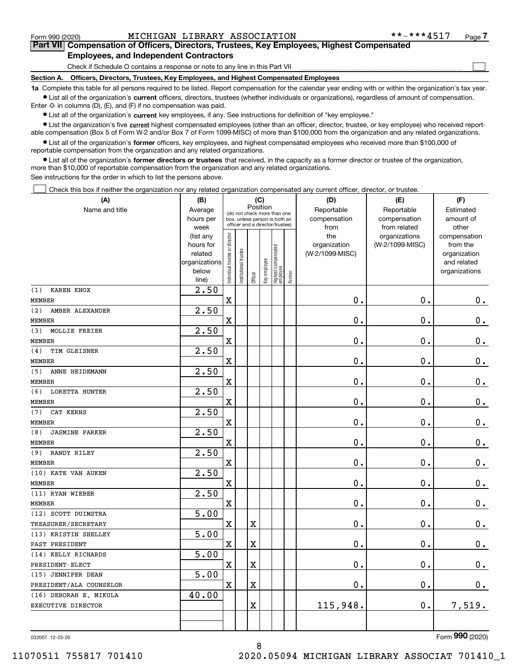$\mathcal{L}^{\text{max}}$ 

# **7Part VII Compensation of Officers, Directors, Trustees, Key Employees, Highest Compensated Employees, and Independent Contractors**

Check if Schedule O contains a response or note to any line in this Part VII

**Section A. Officers, Directors, Trustees, Key Employees, and Highest Compensated Employees**

**1a**  Complete this table for all persons required to be listed. Report compensation for the calendar year ending with or within the organization's tax year. **•** List all of the organization's current officers, directors, trustees (whether individuals or organizations), regardless of amount of compensation.

Enter -0- in columns (D), (E), and (F) if no compensation was paid.

 $\bullet$  List all of the organization's  $\,$ current key employees, if any. See instructions for definition of "key employee."

**•** List the organization's five current highest compensated employees (other than an officer, director, trustee, or key employee) who received reportable compensation (Box 5 of Form W-2 and/or Box 7 of Form 1099-MISC) of more than \$100,000 from the organization and any related organizations.

**•** List all of the organization's former officers, key employees, and highest compensated employees who received more than \$100,000 of reportable compensation from the organization and any related organizations.

**former directors or trustees**  ¥ List all of the organization's that received, in the capacity as a former director or trustee of the organization, more than \$10,000 of reportable compensation from the organization and any related organizations.

See instructions for the order in which to list the persons above.

Check this box if neither the organization nor any related organization compensated any current officer, director, or trustee.  $\mathcal{L}^{\text{max}}$ 

| (A)                          | (B)                                                | (C)                                                              |                      |             |              |                                  |              | (D)             | (E)             | (F)           |
|------------------------------|----------------------------------------------------|------------------------------------------------------------------|----------------------|-------------|--------------|----------------------------------|--------------|-----------------|-----------------|---------------|
| Name and title               | Position<br>Average<br>(do not check more than one |                                                                  |                      |             |              |                                  | Reportable   | Reportable      | Estimated       |               |
|                              | hours per                                          | box, unless person is both an<br>officer and a director/trustee) |                      |             |              |                                  | compensation | compensation    | amount of       |               |
|                              | week                                               |                                                                  |                      |             |              |                                  |              | from            | from related    | other         |
|                              | (list any                                          |                                                                  |                      |             |              |                                  |              | the             | organizations   | compensation  |
|                              | hours for                                          |                                                                  |                      |             |              |                                  |              | organization    | (W-2/1099-MISC) | from the      |
|                              | related                                            |                                                                  |                      |             |              |                                  |              | (W-2/1099-MISC) |                 | organization  |
|                              | organizations                                      |                                                                  |                      |             |              |                                  |              |                 |                 | and related   |
|                              | below<br>line)                                     | ndividual trustee or director                                    | nstitutional trustee | Officer     | Key employee | Highest compensated<br> employee | Former       |                 |                 | organizations |
| KAREN KNOX<br>(1)            | 2.50                                               |                                                                  |                      |             |              |                                  |              |                 |                 |               |
| MEMBER                       |                                                    | $\overline{\mathbf{X}}$                                          |                      |             |              |                                  |              | 0.              | 0.              | 0.            |
| AMBER ALEXANDER<br>(2)       | 2.50                                               |                                                                  |                      |             |              |                                  |              |                 |                 |               |
| <b>MEMBER</b>                |                                                    | $\overline{\mathbf{X}}$                                          |                      |             |              |                                  |              | 0.              | 0.              | $0_{.}$       |
| (3)<br>MOLLIE FREIER         | 2.50                                               |                                                                  |                      |             |              |                                  |              |                 |                 |               |
| <b>MEMBER</b>                |                                                    | $\overline{\mathbf{X}}$                                          |                      |             |              |                                  |              | 0.              | 0.              | $0_{.}$       |
| TIM GLEISNER<br>(4)          | 2.50                                               |                                                                  |                      |             |              |                                  |              |                 |                 |               |
| <b>MEMBER</b>                |                                                    | $\overline{\textbf{X}}$                                          |                      |             |              |                                  |              | 0.              | 0.              | $0_{.}$       |
| ANNE HEIDEMANN<br>(5)        | 2.50                                               |                                                                  |                      |             |              |                                  |              |                 |                 |               |
| <b>MEMBER</b>                |                                                    | $\overline{\textbf{X}}$                                          |                      |             |              |                                  |              | 0.              | 0.              | $\mathbf 0$ . |
| <b>LORETTA HUNTER</b><br>(6) | 2.50                                               |                                                                  |                      |             |              |                                  |              |                 |                 |               |
| <b>MEMBER</b>                |                                                    | $\mathbf X$                                                      |                      |             |              |                                  |              | 0.              | 0.              | $\mathbf 0$ . |
| CAT KERNS<br>(7)             | 2.50                                               |                                                                  |                      |             |              |                                  |              |                 |                 |               |
| <b>MEMBER</b>                |                                                    | $\mathbf X$                                                      |                      |             |              |                                  |              | 0.              | 0.              | $\mathbf 0$ . |
| (8)<br><b>JASMINE PARKER</b> | 2.50                                               |                                                                  |                      |             |              |                                  |              |                 |                 |               |
| <b>MEMBER</b>                |                                                    | $\mathbf X$                                                      |                      |             |              |                                  |              | 0.              | 0.              | $\mathbf 0$ . |
| (9)<br>RANDY RILEY           | 2.50                                               |                                                                  |                      |             |              |                                  |              |                 |                 |               |
| <b>MEMBER</b>                |                                                    | $\mathbf x$                                                      |                      |             |              |                                  |              | 0.              | 0.              | $\mathbf 0$ . |
| (10) KATE VAN AUKEN          | 2.50                                               |                                                                  |                      |             |              |                                  |              |                 |                 |               |
| <b>MEMBER</b>                |                                                    | $\mathbf X$                                                      |                      |             |              |                                  |              | 0.              | 0.              | $0_{.}$       |
| (11) RYAN WIEBER             | 2.50                                               |                                                                  |                      |             |              |                                  |              |                 |                 |               |
| <b>MEMBER</b>                |                                                    | $\mathbf X$                                                      |                      |             |              |                                  |              | 0.              | 0.              | $\mathbf 0$ . |
| (12) SCOTT DUIMSTRA          | 5.00                                               |                                                                  |                      |             |              |                                  |              |                 |                 |               |
| TREASURER/SECRETARY          |                                                    | $\mathbf x$                                                      |                      | $\mathbf X$ |              |                                  |              | 0.              | 0.              | $0_{.}$       |
| (13) KRISTIN SHELLEY         | 5.00                                               |                                                                  |                      |             |              |                                  |              |                 |                 |               |
| PAST PRESIDENT               |                                                    | $\overline{\textbf{X}}$                                          |                      | $\mathbf X$ |              |                                  |              | 0.              | 0.              | $0_{.}$       |
| (14) KELLY RICHARDS          | 5.00                                               |                                                                  |                      |             |              |                                  |              |                 |                 |               |
| PRESIDENT-ELECT              |                                                    | $\overline{\mathbf{X}}$                                          |                      | $\mathbf X$ |              |                                  |              | 0.              | 0.              | $0_{.}$       |
| (15) JENNIFER DEAN           | 5.00                                               |                                                                  |                      |             |              |                                  |              |                 |                 |               |
| PRESIDENT/ALA COUNSELOR      |                                                    | $\mathbf X$                                                      |                      | $\mathbf X$ |              |                                  |              | $0$ .           | 0.              | 0.            |
| (16) DEBORAH E. MIKULA       | 40.00                                              |                                                                  |                      |             |              |                                  |              |                 |                 |               |
| EXECUTIVE DIRECTOR           |                                                    |                                                                  |                      | $\mathbf X$ |              |                                  |              | 115,948.        | 0.              | 7,519.        |
|                              |                                                    |                                                                  |                      |             |              |                                  |              |                 |                 |               |
|                              |                                                    |                                                                  |                      |             |              |                                  |              |                 |                 |               |

032007 12-23-20

Form (2020) **990**

11070511 755817 701410 2020.05094 MICHIGAN LIBRARY ASSOCIAT 701410\_1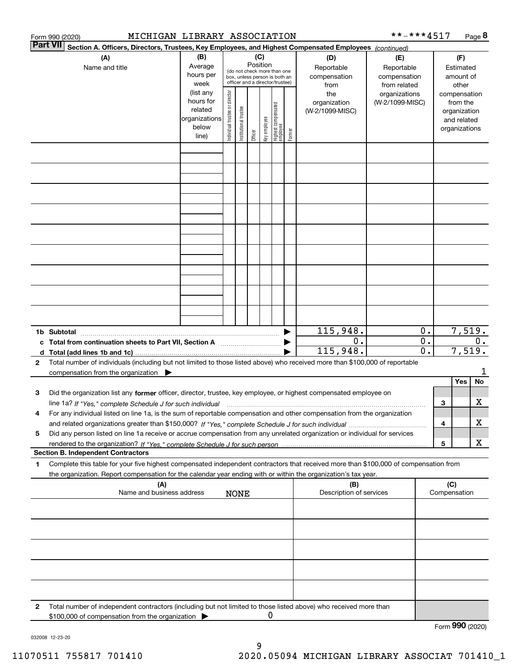|                                                                                                                    | MICHIGAN LIBRARY ASSOCIATION<br>Form 990 (2020)                                                                                                                                                                                                        |                                                                      |                                |                       |                 |              |                                                                                                 |        |                                           | **-***4517                                        |                        |                                                                          | Page 8          |
|--------------------------------------------------------------------------------------------------------------------|--------------------------------------------------------------------------------------------------------------------------------------------------------------------------------------------------------------------------------------------------------|----------------------------------------------------------------------|--------------------------------|-----------------------|-----------------|--------------|-------------------------------------------------------------------------------------------------|--------|-------------------------------------------|---------------------------------------------------|------------------------|--------------------------------------------------------------------------|-----------------|
| Part VII<br>Section A. Officers, Directors, Trustees, Key Employees, and Highest Compensated Employees (continued) |                                                                                                                                                                                                                                                        |                                                                      |                                |                       |                 |              |                                                                                                 |        |                                           |                                                   |                        |                                                                          |                 |
|                                                                                                                    | (B)<br>(A)<br>Average<br>Name and title<br>hours per<br>week                                                                                                                                                                                           |                                                                      |                                |                       | (C)<br>Position |              | (do not check more than one<br>box, unless person is both an<br>officer and a director/trustee) |        | (D)<br>Reportable<br>compensation<br>from | (E)<br>Reportable<br>compensation<br>from related |                        | (F)<br>Estimated<br>amount of<br>other                                   |                 |
|                                                                                                                    |                                                                                                                                                                                                                                                        | (list any<br>hours for<br>related<br>organizations<br>below<br>line) | Individual trustee or director | Institutional trustee | Officer         | Key employee | Highest compensated<br> employee                                                                | Former | the<br>organization<br>(W-2/1099-MISC)    | organizations<br>(W-2/1099-MISC)                  |                        | compensation<br>from the<br>organization<br>and related<br>organizations |                 |
|                                                                                                                    |                                                                                                                                                                                                                                                        |                                                                      |                                |                       |                 |              |                                                                                                 |        |                                           |                                                   |                        |                                                                          |                 |
|                                                                                                                    |                                                                                                                                                                                                                                                        |                                                                      |                                |                       |                 |              |                                                                                                 |        |                                           |                                                   |                        |                                                                          |                 |
|                                                                                                                    |                                                                                                                                                                                                                                                        |                                                                      |                                |                       |                 |              |                                                                                                 |        |                                           |                                                   |                        |                                                                          |                 |
|                                                                                                                    |                                                                                                                                                                                                                                                        |                                                                      |                                |                       |                 |              |                                                                                                 |        |                                           |                                                   |                        |                                                                          |                 |
|                                                                                                                    |                                                                                                                                                                                                                                                        |                                                                      |                                |                       |                 |              |                                                                                                 |        |                                           |                                                   |                        |                                                                          |                 |
|                                                                                                                    |                                                                                                                                                                                                                                                        |                                                                      |                                |                       |                 |              |                                                                                                 |        |                                           |                                                   |                        |                                                                          |                 |
|                                                                                                                    | 1b Subtotal                                                                                                                                                                                                                                            |                                                                      |                                |                       |                 |              |                                                                                                 |        | 115,948.                                  |                                                   | 0.                     |                                                                          | 7,519.          |
|                                                                                                                    | c Total from continuation sheets to Part VII, Section A<br>d Total (add lines 1b and 1c)                                                                                                                                                               |                                                                      |                                |                       |                 |              |                                                                                                 |        | 0.<br>115,948.                            |                                                   | 0.<br>$\overline{0}$ . |                                                                          | $0$ .<br>7,519. |
| 2                                                                                                                  | Total number of individuals (including but not limited to those listed above) who received more than \$100,000 of reportable<br>compensation from the organization $\blacktriangleright$                                                               |                                                                      |                                |                       |                 |              |                                                                                                 |        |                                           |                                                   |                        | Yes                                                                      | No              |
| 3                                                                                                                  | Did the organization list any former officer, director, trustee, key employee, or highest compensated employee on<br>line 1a? If "Yes," complete Schedule J for such individual material content in the fact of the New York Chedul                    |                                                                      |                                |                       |                 |              |                                                                                                 |        |                                           |                                                   |                        | 3                                                                        | X               |
| 4<br>5                                                                                                             | For any individual listed on line 1a, is the sum of reportable compensation and other compensation from the organization<br>Did any person listed on line 1a receive or accrue compensation from any unrelated organization or individual for services |                                                                      |                                |                       |                 |              |                                                                                                 |        |                                           |                                                   |                        | 4                                                                        | X               |
|                                                                                                                    | <b>Section B. Independent Contractors</b>                                                                                                                                                                                                              |                                                                      |                                |                       |                 |              |                                                                                                 |        |                                           |                                                   |                        | 5                                                                        | x               |
| 1                                                                                                                  | Complete this table for your five highest compensated independent contractors that received more than \$100,000 of compensation from<br>the organization. Report compensation for the calendar year ending with or within the organization's tax year. |                                                                      |                                |                       |                 |              |                                                                                                 |        |                                           |                                                   |                        |                                                                          |                 |
|                                                                                                                    | (A)<br>Name and business address                                                                                                                                                                                                                       |                                                                      |                                | <b>NONE</b>           |                 |              |                                                                                                 |        | (B)<br>Description of services            |                                                   |                        | (C)<br>Compensation                                                      |                 |
|                                                                                                                    |                                                                                                                                                                                                                                                        |                                                                      |                                |                       |                 |              |                                                                                                 |        |                                           |                                                   |                        |                                                                          |                 |
|                                                                                                                    |                                                                                                                                                                                                                                                        |                                                                      |                                |                       |                 |              |                                                                                                 |        |                                           |                                                   |                        |                                                                          |                 |
|                                                                                                                    |                                                                                                                                                                                                                                                        |                                                                      |                                |                       |                 |              |                                                                                                 |        |                                           |                                                   |                        |                                                                          |                 |
| 2                                                                                                                  | Total number of independent contractors (including but not limited to those listed above) who received more than<br>\$100,000 of compensation from the organization                                                                                    |                                                                      |                                |                       |                 |              |                                                                                                 |        |                                           |                                                   |                        |                                                                          |                 |
|                                                                                                                    |                                                                                                                                                                                                                                                        |                                                                      |                                |                       |                 |              |                                                                                                 |        |                                           |                                                   |                        | Form 990 (2020)                                                          |                 |

032008 12-23-20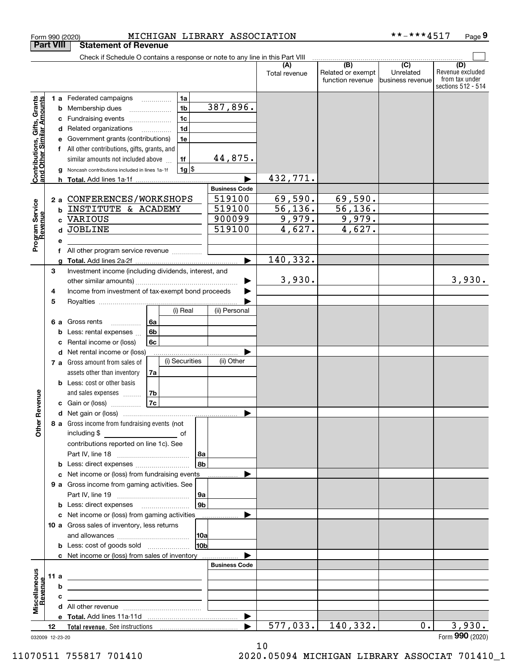|                                                           | <b>Part VIII</b> | <b>Statement of Revenue</b>                                                     |                                 |                |                       |                      |                                              |                                                 |                                                                 |
|-----------------------------------------------------------|------------------|---------------------------------------------------------------------------------|---------------------------------|----------------|-----------------------|----------------------|----------------------------------------------|-------------------------------------------------|-----------------------------------------------------------------|
|                                                           |                  | Check if Schedule O contains a response or note to any line in this Part VIII   |                                 |                |                       |                      |                                              |                                                 |                                                                 |
|                                                           |                  |                                                                                 |                                 |                |                       | (A)<br>Total revenue | (B)<br>Related or exempt<br>function revenue | $\overline{C}$<br>Unrelated<br>business revenue | (D)<br>Revenue excluded<br>from tax under<br>sections 512 - 514 |
|                                                           |                  | <b>1 a</b> Federated campaigns                                                  | 1a                              |                |                       |                      |                                              |                                                 |                                                                 |
|                                                           | b                | Membership dues                                                                 | 1 <sub>b</sub>                  |                | 387,896.              |                      |                                              |                                                 |                                                                 |
|                                                           | c                | Fundraising events                                                              | 1 <sub>c</sub>                  |                |                       |                      |                                              |                                                 |                                                                 |
|                                                           | d                | Related organizations                                                           | 1 <sub>d</sub>                  |                |                       |                      |                                              |                                                 |                                                                 |
|                                                           | е                | Government grants (contributions)                                               | 1e                              |                |                       |                      |                                              |                                                 |                                                                 |
|                                                           | f                | All other contributions, gifts, grants, and                                     |                                 |                |                       |                      |                                              |                                                 |                                                                 |
|                                                           |                  | similar amounts not included above                                              | 1f                              |                | 44,875.               |                      |                                              |                                                 |                                                                 |
| Contributions, Gifts, Grants<br>and Other Similar Amounts |                  | Noncash contributions included in lines 1a-1f                                   | $1g$ \$                         |                |                       |                      |                                              |                                                 |                                                                 |
|                                                           | h                |                                                                                 |                                 |                |                       | 432,771.             |                                              |                                                 |                                                                 |
|                                                           |                  |                                                                                 |                                 |                | <b>Business Code</b>  |                      |                                              |                                                 |                                                                 |
|                                                           | 2a               | CONFERENCES/WORKSHOPS                                                           |                                 |                | 519100                | 69,590.              | 69,590.                                      |                                                 |                                                                 |
|                                                           | b                | INSTITUTE & ACADEMY<br>VARIOUS                                                  |                                 |                | 519100<br>900099      | 56, 136.<br>9,979.   | 56, 136.<br>9,979.                           |                                                 |                                                                 |
|                                                           | c                | <b>JOBLINE</b>                                                                  |                                 |                | 519100                | 4,627.               | 4,627.                                       |                                                 |                                                                 |
| Program Service<br>Revenue                                | d<br>е           |                                                                                 |                                 |                |                       |                      |                                              |                                                 |                                                                 |
|                                                           | f                | All other program service revenue                                               |                                 |                |                       |                      |                                              |                                                 |                                                                 |
|                                                           | q                |                                                                                 |                                 |                | $\blacktriangleright$ | 140, 332.            |                                              |                                                 |                                                                 |
|                                                           | 3                | Investment income (including dividends, interest, and                           |                                 |                |                       |                      |                                              |                                                 |                                                                 |
|                                                           |                  |                                                                                 |                                 |                |                       | 3,930.               |                                              |                                                 | 3,930.                                                          |
|                                                           | 4                | Income from investment of tax-exempt bond proceeds                              |                                 |                |                       |                      |                                              |                                                 |                                                                 |
|                                                           | 5                |                                                                                 |                                 |                |                       |                      |                                              |                                                 |                                                                 |
|                                                           |                  |                                                                                 | (i) Real                        |                | (ii) Personal         |                      |                                              |                                                 |                                                                 |
|                                                           | 6а               | Gross rents<br>.                                                                | 6a                              |                |                       |                      |                                              |                                                 |                                                                 |
|                                                           | b                | Less: rental expenses                                                           | 6 <sub>b</sub>                  |                |                       |                      |                                              |                                                 |                                                                 |
|                                                           | c<br>d           | Rental income or (loss)<br>Net rental income or (loss)                          | 6c                              |                |                       |                      |                                              |                                                 |                                                                 |
|                                                           |                  | 7 a Gross amount from sales of                                                  | (i) Securities                  |                | (ii) Other            |                      |                                              |                                                 |                                                                 |
|                                                           |                  | assets other than inventory                                                     | 7a                              |                |                       |                      |                                              |                                                 |                                                                 |
|                                                           |                  | <b>b</b> Less: cost or other basis                                              |                                 |                |                       |                      |                                              |                                                 |                                                                 |
|                                                           |                  | and sales expenses                                                              | 7b                              |                |                       |                      |                                              |                                                 |                                                                 |
| Revenue                                                   |                  | c Gain or (loss)                                                                | 7c                              |                |                       |                      |                                              |                                                 |                                                                 |
|                                                           |                  |                                                                                 |                                 |                | ▶                     |                      |                                              |                                                 |                                                                 |
| Othe                                                      |                  | 8 a Gross income from fundraising events (not                                   |                                 |                |                       |                      |                                              |                                                 |                                                                 |
|                                                           |                  | including \$                                                                    | ____________________________ of |                |                       |                      |                                              |                                                 |                                                                 |
|                                                           |                  | contributions reported on line 1c). See                                         |                                 |                |                       |                      |                                              |                                                 |                                                                 |
|                                                           |                  |                                                                                 |                                 | 8a<br>8b       |                       |                      |                                              |                                                 |                                                                 |
|                                                           |                  | c Net income or (loss) from fundraising events                                  |                                 |                |                       |                      |                                              |                                                 |                                                                 |
|                                                           |                  | 9 a Gross income from gaming activities. See                                    |                                 |                |                       |                      |                                              |                                                 |                                                                 |
|                                                           |                  |                                                                                 |                                 | 9a             |                       |                      |                                              |                                                 |                                                                 |
|                                                           |                  | <b>b</b> Less: direct expenses <b>manually</b>                                  |                                 | 9 <sub>b</sub> |                       |                      |                                              |                                                 |                                                                 |
|                                                           |                  | c Net income or (loss) from gaming activities _______________                   |                                 |                |                       |                      |                                              |                                                 |                                                                 |
|                                                           |                  | 10 a Gross sales of inventory, less returns                                     |                                 |                |                       |                      |                                              |                                                 |                                                                 |
|                                                           |                  |                                                                                 |                                 | 10a            |                       |                      |                                              |                                                 |                                                                 |
|                                                           |                  | <b>b</b> Less: cost of goods sold                                               |                                 | 10bl           |                       |                      |                                              |                                                 |                                                                 |
|                                                           |                  | c Net income or (loss) from sales of inventory                                  |                                 |                |                       |                      |                                              |                                                 |                                                                 |
|                                                           |                  |                                                                                 |                                 |                | <b>Business Code</b>  |                      |                                              |                                                 |                                                                 |
|                                                           | 11 a             | <u> 1989 - Johann Barbara, martxa alemaniar a</u>                               |                                 |                |                       |                      |                                              |                                                 |                                                                 |
|                                                           | b                |                                                                                 |                                 |                |                       |                      |                                              |                                                 |                                                                 |
| Miscellaneous<br>Revenue                                  | с                | the contract of the contract of the contract of the contract of the contract of |                                 |                |                       |                      |                                              |                                                 |                                                                 |
|                                                           |                  |                                                                                 |                                 |                |                       |                      |                                              |                                                 |                                                                 |
|                                                           | 12               |                                                                                 |                                 |                |                       | 577,033.             | 140,332.                                     | $0$ .                                           | 3,930.                                                          |
|                                                           | 032009 12-23-20  |                                                                                 |                                 |                |                       |                      |                                              |                                                 | Form 990 (2020)                                                 |

10

Form 990 (2020) MICHIGAN LIBRARY ASSOCIATION \* \*-\* \* \* 4 5 I 7 Page

MICHIGAN LIBRARY ASSOCIATION \*\*-\*\*\*4517

**9**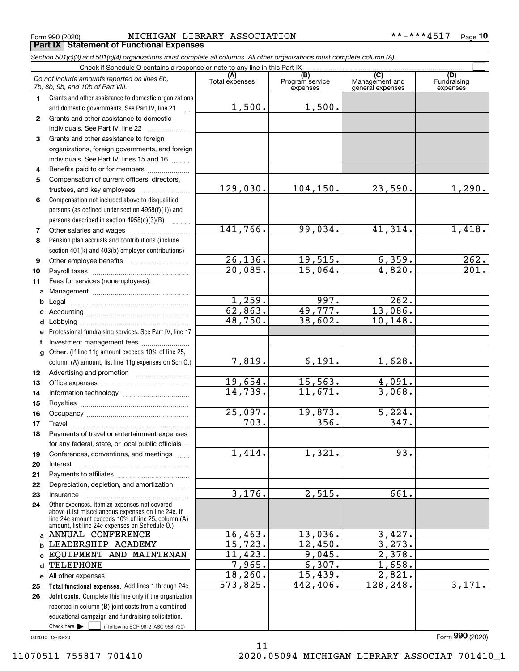Form 990 (2020) Page **Part IX Statement of Functional Expenses** MICHIGAN LIBRARY ASSOCIATION \*\*-\*\*\*4517

*Section 501(c)(3) and 501(c)(4) organizations must complete all columns. All other organizations must complete column (A).*

|              | Do not include amounts reported on lines 6b,<br>7b, 8b, 9b, and 10b of Part VIII.                    | (A)<br>Total expenses | $\overline{(\mathsf{B})}$<br>Program service<br>expenses | (C)<br>Management and<br>general expenses | (D)<br>Fundraising<br>expenses |
|--------------|------------------------------------------------------------------------------------------------------|-----------------------|----------------------------------------------------------|-------------------------------------------|--------------------------------|
| 1.           | Grants and other assistance to domestic organizations                                                |                       |                                                          |                                           |                                |
|              | and domestic governments. See Part IV, line 21                                                       | 1,500.                | 1,500.                                                   |                                           |                                |
| $\mathbf{2}$ | Grants and other assistance to domestic                                                              |                       |                                                          |                                           |                                |
|              | individuals. See Part IV, line 22                                                                    |                       |                                                          |                                           |                                |
| 3            | Grants and other assistance to foreign                                                               |                       |                                                          |                                           |                                |
|              | organizations, foreign governments, and foreign                                                      |                       |                                                          |                                           |                                |
|              | individuals. See Part IV, lines 15 and 16                                                            |                       |                                                          |                                           |                                |
| 4            | Benefits paid to or for members                                                                      |                       |                                                          |                                           |                                |
| 5            | Compensation of current officers, directors,                                                         |                       |                                                          |                                           |                                |
|              | trustees, and key employees                                                                          | 129,030.              | 104,150.                                                 | 23,590.                                   | 1,290.                         |
| 6            | Compensation not included above to disqualified                                                      |                       |                                                          |                                           |                                |
|              | persons (as defined under section 4958(f)(1)) and                                                    |                       |                                                          |                                           |                                |
|              | persons described in section $4958(c)(3)(B)$                                                         |                       |                                                          |                                           |                                |
| 7            | Other salaries and wages                                                                             | 141,766.              | 99,034.                                                  | 41,314.                                   | 1,418.                         |
| 8            | Pension plan accruals and contributions (include                                                     |                       |                                                          |                                           |                                |
|              | section 401(k) and 403(b) employer contributions)                                                    |                       |                                                          |                                           |                                |
| 9            |                                                                                                      | 26, 136.<br>20,085.   | 19,515.<br>15,064.                                       | 6,359.<br>4,820.                          | 262.<br>$\overline{201}$ .     |
| 10           |                                                                                                      |                       |                                                          |                                           |                                |
| 11           | Fees for services (nonemployees):                                                                    |                       |                                                          |                                           |                                |
| a            |                                                                                                      | 1,259.                | 997.                                                     | 262.                                      |                                |
| b            |                                                                                                      | 62,863.               | 49,777.                                                  | 13,086.                                   |                                |
| c            |                                                                                                      | 48,750.               | 38,602.                                                  | 10, 148.                                  |                                |
| d            |                                                                                                      |                       |                                                          |                                           |                                |
|              | Professional fundraising services. See Part IV, line 17                                              |                       |                                                          |                                           |                                |
| f            | Investment management fees<br>Other. (If line 11g amount exceeds 10% of line 25,                     |                       |                                                          |                                           |                                |
| $\mathbf{q}$ | column (A) amount, list line 11g expenses on Sch O.)                                                 | 7,819.                | 6,191.                                                   | 1,628.                                    |                                |
| 12           |                                                                                                      |                       |                                                          |                                           |                                |
| 13           |                                                                                                      | 19,654.               | 15, 563.                                                 | 4,091.                                    |                                |
| 14           |                                                                                                      | 14,739.               | 11,671.                                                  | 3,068.                                    |                                |
| 15           |                                                                                                      |                       |                                                          |                                           |                                |
| 16           |                                                                                                      | 25,097.               | 19,873.                                                  | 5,224.                                    |                                |
| 17           | Travel                                                                                               | 703.                  | 356.                                                     | 347.                                      |                                |
| 18           | Payments of travel or entertainment expenses                                                         |                       |                                                          |                                           |                                |
|              | for any federal, state, or local public officials                                                    |                       |                                                          |                                           |                                |
| 19           | Conferences, conventions, and meetings                                                               | $\overline{1,414}$ .  | 1,321.                                                   | 93.                                       |                                |
| 20           | Interest                                                                                             |                       |                                                          |                                           |                                |
| 21           |                                                                                                      |                       |                                                          |                                           |                                |
| 22           | Depreciation, depletion, and amortization                                                            |                       |                                                          |                                           |                                |
| 23           | Insurance                                                                                            | 3,176.                | 2,515.                                                   | 661.                                      |                                |
| 24           | Other expenses. Itemize expenses not covered<br>above (List miscellaneous expenses on line 24e. If   |                       |                                                          |                                           |                                |
|              | line 24e amount exceeds 10% of line 25, column (A)<br>amount, list line 24e expenses on Schedule O.) |                       |                                                          |                                           |                                |
|              | a ANNUAL CONFERENCE                                                                                  | 16,463.               | 13,036.                                                  | 3,427.                                    |                                |
| b            | LEADERSHIP ACADEMY                                                                                   | 15,723.               | 12,450.                                                  | 3, 273.                                   |                                |
| C            | EQUIPMENT AND MAINTENAN                                                                              | 11,423.               | 9,045.                                                   | 2,378.                                    |                                |
| d            | <b>TELEPHONE</b>                                                                                     | 7,965.                | 6,307.                                                   | 1,658.                                    |                                |
|              | e All other expenses                                                                                 | 18, 260.              | 15,439.                                                  | 2,821.                                    |                                |
| 25           | Total functional expenses. Add lines 1 through 24e                                                   | 573,825.              | 442,406.                                                 | 128,248.                                  | 3,171.                         |
| 26           | <b>Joint costs.</b> Complete this line only if the organization                                      |                       |                                                          |                                           |                                |
|              | reported in column (B) joint costs from a combined                                                   |                       |                                                          |                                           |                                |
|              | educational campaign and fundraising solicitation.                                                   |                       |                                                          |                                           |                                |
|              | Check here $\blacktriangleright$<br>if following SOP 98-2 (ASC 958-720)                              |                       |                                                          |                                           |                                |

032010 12-23-20

11 11070511 755817 701410 2020.05094 MICHIGAN LIBRARY ASSOCIAT 701410\_1

Form (2020) **990**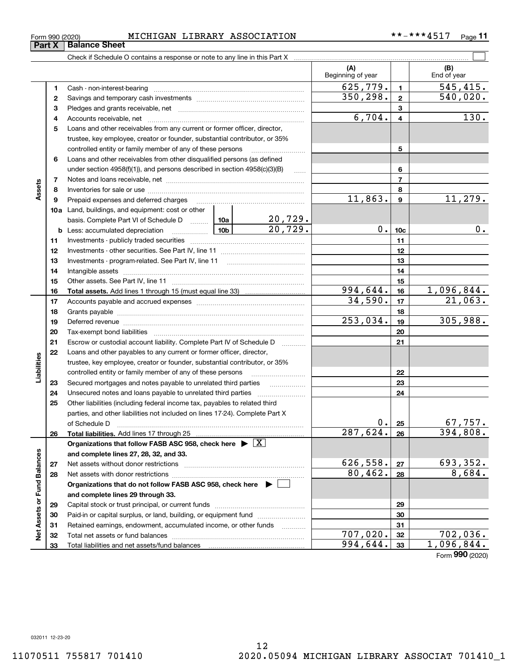**Part X Balance Sheet**<br>**Part X Balance Sheet** 

## Form 990 (2020) MICHIGAN LIBRARY ASSOCIATION \*\*-\*\*\*4517 <sub>Page</sub>

**11**

|                             |                | Check if Schedule O contains a response or note to any line in this Part X [11] manument contents in the O contains a response or note to any line in this Part X [11] manument of Schedule D contents in the Schedule D conte |          |                           |                          |                |                    |
|-----------------------------|----------------|--------------------------------------------------------------------------------------------------------------------------------------------------------------------------------------------------------------------------------|----------|---------------------------|--------------------------|----------------|--------------------|
|                             |                |                                                                                                                                                                                                                                |          |                           | (A)<br>Beginning of year |                | (B)<br>End of year |
|                             | 1              |                                                                                                                                                                                                                                |          |                           | 625,779.                 | $\blacksquare$ | 545, 415.          |
|                             | $\overline{2}$ |                                                                                                                                                                                                                                |          |                           | 350, 298.                | $\mathbf{2}$   | 540,020.           |
|                             | з              |                                                                                                                                                                                                                                |          |                           |                          | 3              |                    |
|                             | 4              |                                                                                                                                                                                                                                |          |                           | 6,704.                   | $\overline{4}$ | 130.               |
|                             | 5              | Loans and other receivables from any current or former officer, director,                                                                                                                                                      |          |                           |                          |                |                    |
|                             |                | trustee, key employee, creator or founder, substantial contributor, or 35%                                                                                                                                                     |          |                           |                          |                |                    |
|                             |                | controlled entity or family member of any of these persons                                                                                                                                                                     |          |                           |                          | 5              |                    |
|                             | 6              | Loans and other receivables from other disqualified persons (as defined                                                                                                                                                        |          |                           |                          |                |                    |
|                             |                | under section $4958(f)(1)$ , and persons described in section $4958(c)(3)(B)$                                                                                                                                                  |          | $\ldots$                  |                          | 6              |                    |
|                             | 7              |                                                                                                                                                                                                                                |          |                           | $\overline{7}$           |                |                    |
| Assets                      | 8              |                                                                                                                                                                                                                                |          | 8                         |                          |                |                    |
|                             | 9              | Prepaid expenses and deferred charges                                                                                                                                                                                          |          |                           | 11,863.                  | 9              | 11,279.            |
|                             |                | <b>10a</b> Land, buildings, and equipment: cost or other                                                                                                                                                                       |          |                           |                          |                |                    |
|                             |                | basis. Complete Part VI of Schedule D  10a                                                                                                                                                                                     |          | $\frac{20,729}{20,729}$ . |                          |                |                    |
|                             | b              | $\frac{10b}{2}$<br>Less: accumulated depreciation                                                                                                                                                                              |          | 0.1                       | 10 <sub>c</sub>          | 0.             |                    |
|                             | 11             |                                                                                                                                                                                                                                |          | 11                        |                          |                |                    |
|                             | 12             |                                                                                                                                                                                                                                |          |                           | 12                       |                |                    |
|                             | 13             |                                                                                                                                                                                                                                |          |                           | 13                       |                |                    |
|                             | 14             |                                                                                                                                                                                                                                |          | 14                        |                          |                |                    |
|                             | 15             |                                                                                                                                                                                                                                |          |                           |                          | 15             |                    |
|                             | 16             |                                                                                                                                                                                                                                |          |                           | 994,644.                 | 16             | 1,096,844.         |
|                             | 17             |                                                                                                                                                                                                                                |          | 34,590.                   | 17                       | 21,063.        |                    |
|                             | 18             |                                                                                                                                                                                                                                | 253,034. | 18                        |                          |                |                    |
|                             | 19             | Deferred revenue manual contracts and contracts are all the contracts and contracts are contracted and contracts are contracted and contract are contracted and contract are contracted and contract are contracted and contra |          |                           |                          | 19             | 305,988.           |
|                             | 20             |                                                                                                                                                                                                                                |          |                           |                          | 20             |                    |
|                             | 21             | Escrow or custodial account liability. Complete Part IV of Schedule D                                                                                                                                                          |          | 1.1.1.1.1.1.1.1.1.1       |                          | 21             |                    |
|                             | 22             | Loans and other payables to any current or former officer, director,                                                                                                                                                           |          |                           |                          |                |                    |
| Liabilities                 |                | trustee, key employee, creator or founder, substantial contributor, or 35%                                                                                                                                                     |          |                           |                          |                |                    |
|                             |                | controlled entity or family member of any of these persons<br>Secured mortgages and notes payable to unrelated third parties                                                                                                   |          |                           |                          | 22<br>23       |                    |
|                             | 23<br>24       |                                                                                                                                                                                                                                |          | $\overline{\phantom{a}}$  |                          | 24             |                    |
|                             | 25             | Other liabilities (including federal income tax, payables to related third                                                                                                                                                     |          |                           |                          |                |                    |
|                             |                | parties, and other liabilities not included on lines 17-24). Complete Part X                                                                                                                                                   |          |                           |                          |                |                    |
|                             |                | of Schedule D                                                                                                                                                                                                                  |          |                           | 0.1                      | 25             | 67,757.            |
|                             | 26             |                                                                                                                                                                                                                                |          |                           | $\overline{287,624.}$    | 26             | 394,808.           |
|                             |                | Organizations that follow FASB ASC 958, check here $\blacktriangleright \boxed{X}$                                                                                                                                             |          |                           |                          |                |                    |
|                             |                | and complete lines 27, 28, 32, and 33.                                                                                                                                                                                         |          |                           |                          |                |                    |
|                             | 27             | Net assets without donor restrictions                                                                                                                                                                                          |          |                           | 626,558.                 | 27             | 693,352.           |
|                             | 28             |                                                                                                                                                                                                                                |          |                           | 80,462.                  | 28             | 8,684.             |
|                             |                | Organizations that do not follow FASB ASC 958, check here $\blacktriangleright$                                                                                                                                                |          |                           |                          |                |                    |
|                             |                | and complete lines 29 through 33.                                                                                                                                                                                              |          |                           |                          |                |                    |
|                             | 29             |                                                                                                                                                                                                                                |          |                           |                          | 29             |                    |
|                             | 30             | Paid-in or capital surplus, or land, building, or equipment fund                                                                                                                                                               |          |                           |                          | 30             |                    |
|                             | 31             | Retained earnings, endowment, accumulated income, or other funds                                                                                                                                                               |          | 1.1.1.1.1.1.1.1.1.1       |                          | 31             |                    |
| Net Assets or Fund Balances | 32             | Total net assets or fund balances                                                                                                                                                                                              |          |                           | 707,020.                 | 32             | 702,036.           |
|                             | 33             |                                                                                                                                                                                                                                |          |                           | 994,644.                 | 33             | 1,096,844.         |
|                             |                |                                                                                                                                                                                                                                |          |                           |                          |                | $000 \times 00$    |

Form (2020) **990**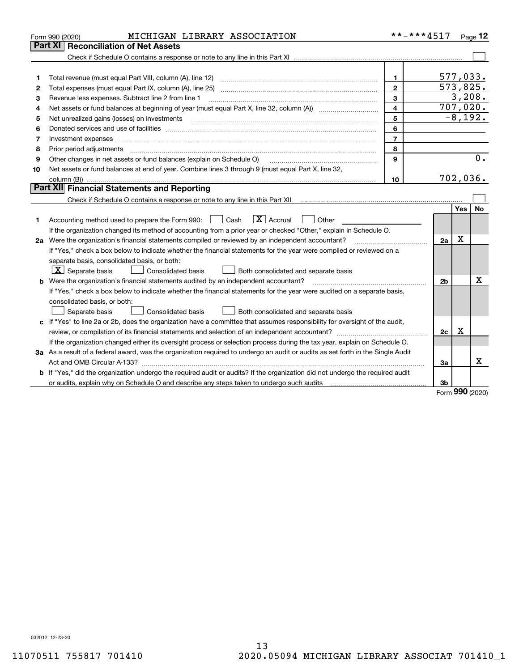|    | MICHIGAN LIBRARY ASSOCIATION<br>Form 990 (2020)                                                                                 | **-***4517              |                |     | $Page$ 12 |
|----|---------------------------------------------------------------------------------------------------------------------------------|-------------------------|----------------|-----|-----------|
|    | <b>Reconciliation of Net Assets</b><br>Part XI                                                                                  |                         |                |     |           |
|    |                                                                                                                                 |                         |                |     |           |
|    |                                                                                                                                 |                         |                |     |           |
| 1  | Total revenue (must equal Part VIII, column (A), line 12)                                                                       | $\mathbf 1$             | 577,033.       |     |           |
| 2  | Total expenses (must equal Part IX, column (A), line 25) maturing content content content content content conte                 | $\overline{2}$          | 573,825.       |     |           |
| 3  | Revenue less expenses. Subtract line 2 from line 1                                                                              | 3                       |                |     | 3,208.    |
| 4  |                                                                                                                                 | $\overline{\mathbf{4}}$ |                |     | 707,020.  |
| 5  |                                                                                                                                 | 5                       |                |     | $-8,192.$ |
| 6  |                                                                                                                                 | 6                       |                |     |           |
| 7  | Investment expenses www.communication.com/www.communication.com/www.communication.com/www.com                                   | $\overline{7}$          |                |     |           |
| 8  | Prior period adjustments                                                                                                        | 8                       |                |     |           |
| 9  | Other changes in net assets or fund balances (explain on Schedule O)                                                            | 9                       |                |     | 0.        |
| 10 | Net assets or fund balances at end of year. Combine lines 3 through 9 (must equal Part X, line 32,                              |                         |                |     |           |
|    |                                                                                                                                 | 10                      |                |     | 702,036.  |
|    | Part XII Financial Statements and Reporting                                                                                     |                         |                |     |           |
|    |                                                                                                                                 |                         |                |     |           |
|    |                                                                                                                                 |                         |                | Yes | No        |
| 1  | $ X $ Accrual<br>Accounting method used to prepare the Form 990: <u>I</u> Cash<br>Other                                         |                         |                |     |           |
|    | If the organization changed its method of accounting from a prior year or checked "Other," explain in Schedule O.               |                         |                |     |           |
|    | 2a Were the organization's financial statements compiled or reviewed by an independent accountant?                              |                         | 2a             | х   |           |
|    | If "Yes," check a box below to indicate whether the financial statements for the year were compiled or reviewed on a            |                         |                |     |           |
|    | separate basis, consolidated basis, or both:                                                                                    |                         |                |     |           |
|    | $X$ Separate basis<br><b>Consolidated basis</b><br>Both consolidated and separate basis                                         |                         |                |     |           |
|    | <b>b</b> Were the organization's financial statements audited by an independent accountant?                                     |                         | 2 <sub>b</sub> |     | x         |
|    | If "Yes," check a box below to indicate whether the financial statements for the year were audited on a separate basis,         |                         |                |     |           |
|    | consolidated basis, or both:                                                                                                    |                         |                |     |           |
|    | <b>Consolidated basis</b><br>Separate basis<br>Both consolidated and separate basis                                             |                         |                |     |           |
|    | c If "Yes" to line 2a or 2b, does the organization have a committee that assumes responsibility for oversight of the audit,     |                         |                |     |           |
|    | review, or compilation of its financial statements and selection of an independent accountant?                                  |                         | 2c             | х   |           |
|    | If the organization changed either its oversight process or selection process during the tax year, explain on Schedule O.       |                         |                |     |           |
|    | 3a As a result of a federal award, was the organization required to undergo an audit or audits as set forth in the Single Audit |                         |                |     |           |
|    |                                                                                                                                 |                         | 3a             |     | x         |
|    | b If "Yes," did the organization undergo the required audit or audits? If the organization did not undergo the required audit   |                         |                |     |           |
|    |                                                                                                                                 |                         | 3b             |     |           |

Form (2020) **990**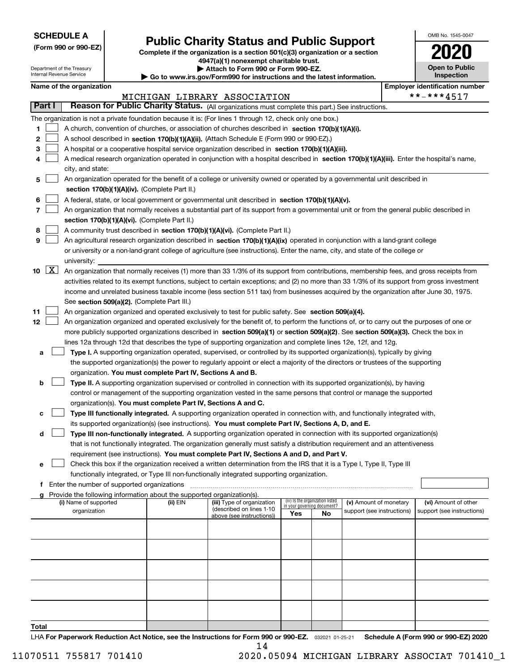| <b>SCHEDULE A</b> |
|-------------------|
|-------------------|

Department of the Treasury Internal Revenue Service

**(Form 990 or 990-EZ)**

# **Public Charity Status and Public Support**

**Complete if the organization is a section 501(c)(3) organization or a section 4947(a)(1) nonexempt charitable trust.**

**| Attach to Form 990 or Form 990-EZ.** 

**| Go to www.irs.gov/Form990 for instructions and the latest information.**

| OMB No. 1545-0047                   |
|-------------------------------------|
|                                     |
| <b>Open to Public</b><br>Inspection |

 $\blacksquare$ 

|  | Name of the organization |
|--|--------------------------|
|--|--------------------------|

|       |                     | Name of the organization<br><b>Employer identification number</b>                                                                            |          |                              |                             |                                 |                            |  |                            |  |
|-------|---------------------|----------------------------------------------------------------------------------------------------------------------------------------------|----------|------------------------------|-----------------------------|---------------------------------|----------------------------|--|----------------------------|--|
|       |                     |                                                                                                                                              |          | MICHIGAN LIBRARY ASSOCIATION |                             |                                 |                            |  | **-***4517                 |  |
|       | Part I              | Reason for Public Charity Status. (All organizations must complete this part.) See instructions.                                             |          |                              |                             |                                 |                            |  |                            |  |
|       |                     | The organization is not a private foundation because it is: (For lines 1 through 12, check only one box.)                                    |          |                              |                             |                                 |                            |  |                            |  |
| 1     |                     | A church, convention of churches, or association of churches described in section 170(b)(1)(A)(i).                                           |          |                              |                             |                                 |                            |  |                            |  |
| 2     |                     | A school described in section 170(b)(1)(A)(ii). (Attach Schedule E (Form 990 or 990-EZ).)                                                    |          |                              |                             |                                 |                            |  |                            |  |
| 3     |                     | A hospital or a cooperative hospital service organization described in section 170(b)(1)(A)(iii).                                            |          |                              |                             |                                 |                            |  |                            |  |
| 4     |                     | A medical research organization operated in conjunction with a hospital described in section 170(b)(1)(A)(iii). Enter the hospital's name,   |          |                              |                             |                                 |                            |  |                            |  |
|       |                     | city, and state:                                                                                                                             |          |                              |                             |                                 |                            |  |                            |  |
| 5     |                     | An organization operated for the benefit of a college or university owned or operated by a governmental unit described in                    |          |                              |                             |                                 |                            |  |                            |  |
|       |                     | section 170(b)(1)(A)(iv). (Complete Part II.)                                                                                                |          |                              |                             |                                 |                            |  |                            |  |
| 6     |                     | A federal, state, or local government or governmental unit described in section 170(b)(1)(A)(v).                                             |          |                              |                             |                                 |                            |  |                            |  |
| 7     |                     | An organization that normally receives a substantial part of its support from a governmental unit or from the general public described in    |          |                              |                             |                                 |                            |  |                            |  |
|       |                     | section 170(b)(1)(A)(vi). (Complete Part II.)                                                                                                |          |                              |                             |                                 |                            |  |                            |  |
| 8     |                     | A community trust described in section 170(b)(1)(A)(vi). (Complete Part II.)                                                                 |          |                              |                             |                                 |                            |  |                            |  |
| 9     |                     | An agricultural research organization described in section 170(b)(1)(A)(ix) operated in conjunction with a land-grant college                |          |                              |                             |                                 |                            |  |                            |  |
|       |                     | or university or a non-land-grant college of agriculture (see instructions). Enter the name, city, and state of the college or               |          |                              |                             |                                 |                            |  |                            |  |
|       |                     | university:                                                                                                                                  |          |                              |                             |                                 |                            |  |                            |  |
| 10    | $\lfloor x \rfloor$ | An organization that normally receives (1) more than 33 1/3% of its support from contributions, membership fees, and gross receipts from     |          |                              |                             |                                 |                            |  |                            |  |
|       |                     | activities related to its exempt functions, subject to certain exceptions; and (2) no more than 33 1/3% of its support from gross investment |          |                              |                             |                                 |                            |  |                            |  |
|       |                     | income and unrelated business taxable income (less section 511 tax) from businesses acquired by the organization after June 30, 1975.        |          |                              |                             |                                 |                            |  |                            |  |
|       |                     | See section 509(a)(2). (Complete Part III.)                                                                                                  |          |                              |                             |                                 |                            |  |                            |  |
| 11    |                     | An organization organized and operated exclusively to test for public safety. See section 509(a)(4).                                         |          |                              |                             |                                 |                            |  |                            |  |
| 12    |                     | An organization organized and operated exclusively for the benefit of, to perform the functions of, or to carry out the purposes of one or   |          |                              |                             |                                 |                            |  |                            |  |
|       |                     | more publicly supported organizations described in section 509(a)(1) or section 509(a)(2). See section 509(a)(3). Check the box in           |          |                              |                             |                                 |                            |  |                            |  |
|       |                     | lines 12a through 12d that describes the type of supporting organization and complete lines 12e, 12f, and 12g.                               |          |                              |                             |                                 |                            |  |                            |  |
| а     |                     | Type I. A supporting organization operated, supervised, or controlled by its supported organization(s), typically by giving                  |          |                              |                             |                                 |                            |  |                            |  |
|       |                     | the supported organization(s) the power to regularly appoint or elect a majority of the directors or trustees of the supporting              |          |                              |                             |                                 |                            |  |                            |  |
|       |                     | organization. You must complete Part IV, Sections A and B.                                                                                   |          |                              |                             |                                 |                            |  |                            |  |
| b     |                     | Type II. A supporting organization supervised or controlled in connection with its supported organization(s), by having                      |          |                              |                             |                                 |                            |  |                            |  |
|       |                     | control or management of the supporting organization vested in the same persons that control or manage the supported                         |          |                              |                             |                                 |                            |  |                            |  |
|       |                     | organization(s). You must complete Part IV, Sections A and C.                                                                                |          |                              |                             |                                 |                            |  |                            |  |
| с     |                     | Type III functionally integrated. A supporting organization operated in connection with, and functionally integrated with,                   |          |                              |                             |                                 |                            |  |                            |  |
|       |                     | its supported organization(s) (see instructions). You must complete Part IV, Sections A, D, and E.                                           |          |                              |                             |                                 |                            |  |                            |  |
| d     |                     | Type III non-functionally integrated. A supporting organization operated in connection with its supported organization(s)                    |          |                              |                             |                                 |                            |  |                            |  |
|       |                     | that is not functionally integrated. The organization generally must satisfy a distribution requirement and an attentiveness                 |          |                              |                             |                                 |                            |  |                            |  |
|       |                     | requirement (see instructions). You must complete Part IV, Sections A and D, and Part V.                                                     |          |                              |                             |                                 |                            |  |                            |  |
| е     |                     | Check this box if the organization received a written determination from the IRS that it is a Type I, Type II, Type III                      |          |                              |                             |                                 |                            |  |                            |  |
|       |                     | functionally integrated, or Type III non-functionally integrated supporting organization.                                                    |          |                              |                             |                                 |                            |  |                            |  |
|       |                     | f Enter the number of supported organizations                                                                                                |          |                              |                             |                                 |                            |  |                            |  |
|       |                     | g Provide the following information about the supported organization(s).<br>(i) Name of supported                                            | (ii) EIN | (iii) Type of organization   |                             | (iv) Is the organization listed | (v) Amount of monetary     |  | (vi) Amount of other       |  |
|       |                     | organization                                                                                                                                 |          | (described on lines 1-10     | in your governing document? | No                              | support (see instructions) |  | support (see instructions) |  |
|       |                     |                                                                                                                                              |          | above (see instructions))    | Yes                         |                                 |                            |  |                            |  |
|       |                     |                                                                                                                                              |          |                              |                             |                                 |                            |  |                            |  |
|       |                     |                                                                                                                                              |          |                              |                             |                                 |                            |  |                            |  |
|       |                     |                                                                                                                                              |          |                              |                             |                                 |                            |  |                            |  |
|       |                     |                                                                                                                                              |          |                              |                             |                                 |                            |  |                            |  |
|       |                     |                                                                                                                                              |          |                              |                             |                                 |                            |  |                            |  |
|       |                     |                                                                                                                                              |          |                              |                             |                                 |                            |  |                            |  |
|       |                     |                                                                                                                                              |          |                              |                             |                                 |                            |  |                            |  |
|       |                     |                                                                                                                                              |          |                              |                             |                                 |                            |  |                            |  |
| Total |                     |                                                                                                                                              |          |                              |                             |                                 |                            |  |                            |  |

LHA For Paperwork Reduction Act Notice, see the Instructions for Form 990 or 990-EZ. <sub>032021</sub> o1-25-21 Schedule A (Form 990 or 990-EZ) 2020 14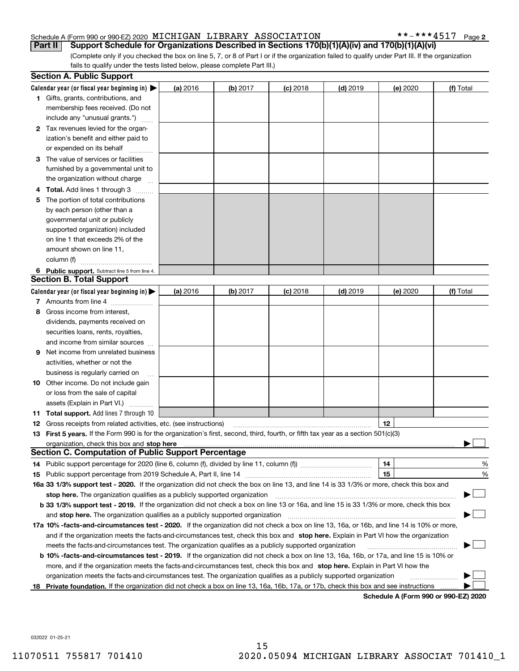#### Schedule A (Form 990 or 990-EZ) 2020 <code>MICHIGAN LIBRARY ASSOCIATION</code> \*\*\*\*\*\*4517 <code>Page</code> **Part II** Support Schedule for Organizations Described in Sections 170(b)(1)(A)(iv) and 170(b)(1)(A)(vi)

**2**

(Complete only if you checked the box on line 5, 7, or 8 of Part I or if the organization failed to qualify under Part III. If the organization fails to qualify under the tests listed below, please complete Part III.)

|    | <b>Section A. Public Support</b>                                                                                                                                                                                              |          |            |            |            |                                      |           |
|----|-------------------------------------------------------------------------------------------------------------------------------------------------------------------------------------------------------------------------------|----------|------------|------------|------------|--------------------------------------|-----------|
|    | Calendar year (or fiscal year beginning in) $\blacktriangleright$                                                                                                                                                             | (a) 2016 | $(b)$ 2017 | $(c)$ 2018 | $(d)$ 2019 | (e) 2020                             | (f) Total |
|    | <b>1</b> Gifts, grants, contributions, and                                                                                                                                                                                    |          |            |            |            |                                      |           |
|    | membership fees received. (Do not                                                                                                                                                                                             |          |            |            |            |                                      |           |
|    | include any "unusual grants.")                                                                                                                                                                                                |          |            |            |            |                                      |           |
|    | 2 Tax revenues levied for the organ-                                                                                                                                                                                          |          |            |            |            |                                      |           |
|    | ization's benefit and either paid to                                                                                                                                                                                          |          |            |            |            |                                      |           |
|    | or expended on its behalf                                                                                                                                                                                                     |          |            |            |            |                                      |           |
|    | 3 The value of services or facilities                                                                                                                                                                                         |          |            |            |            |                                      |           |
|    | furnished by a governmental unit to                                                                                                                                                                                           |          |            |            |            |                                      |           |
|    | the organization without charge                                                                                                                                                                                               |          |            |            |            |                                      |           |
|    | <b>4 Total.</b> Add lines 1 through 3                                                                                                                                                                                         |          |            |            |            |                                      |           |
| 5. | The portion of total contributions                                                                                                                                                                                            |          |            |            |            |                                      |           |
|    | by each person (other than a                                                                                                                                                                                                  |          |            |            |            |                                      |           |
|    | governmental unit or publicly                                                                                                                                                                                                 |          |            |            |            |                                      |           |
|    | supported organization) included                                                                                                                                                                                              |          |            |            |            |                                      |           |
|    | on line 1 that exceeds 2% of the                                                                                                                                                                                              |          |            |            |            |                                      |           |
|    | amount shown on line 11,                                                                                                                                                                                                      |          |            |            |            |                                      |           |
|    | column (f)                                                                                                                                                                                                                    |          |            |            |            |                                      |           |
|    | 6 Public support. Subtract line 5 from line 4.                                                                                                                                                                                |          |            |            |            |                                      |           |
|    | <b>Section B. Total Support</b>                                                                                                                                                                                               |          |            |            |            |                                      |           |
|    | Calendar year (or fiscal year beginning in) $\blacktriangleright$                                                                                                                                                             | (a) 2016 | (b) 2017   | $(c)$ 2018 | $(d)$ 2019 | (e) 2020                             | (f) Total |
|    | 7 Amounts from line 4                                                                                                                                                                                                         |          |            |            |            |                                      |           |
| 8  | Gross income from interest,                                                                                                                                                                                                   |          |            |            |            |                                      |           |
|    | dividends, payments received on                                                                                                                                                                                               |          |            |            |            |                                      |           |
|    | securities loans, rents, royalties,                                                                                                                                                                                           |          |            |            |            |                                      |           |
|    | and income from similar sources                                                                                                                                                                                               |          |            |            |            |                                      |           |
| 9  | Net income from unrelated business                                                                                                                                                                                            |          |            |            |            |                                      |           |
|    | activities, whether or not the                                                                                                                                                                                                |          |            |            |            |                                      |           |
|    | business is regularly carried on                                                                                                                                                                                              |          |            |            |            |                                      |           |
|    | <b>10</b> Other income. Do not include gain                                                                                                                                                                                   |          |            |            |            |                                      |           |
|    | or loss from the sale of capital                                                                                                                                                                                              |          |            |            |            |                                      |           |
|    | assets (Explain in Part VI.)                                                                                                                                                                                                  |          |            |            |            |                                      |           |
|    | 11 Total support. Add lines 7 through 10                                                                                                                                                                                      |          |            |            |            |                                      |           |
|    | <b>12</b> Gross receipts from related activities, etc. (see instructions)                                                                                                                                                     |          |            |            |            | 12                                   |           |
|    | 13 First 5 years. If the Form 990 is for the organization's first, second, third, fourth, or fifth tax year as a section 501(c)(3)                                                                                            |          |            |            |            |                                      |           |
|    | organization, check this box and stop here manufactured and state and state and state and state and state and stop here and stop here are all and state and state and state and state and state and state and state and state |          |            |            |            |                                      |           |
|    | <b>Section C. Computation of Public Support Percentage</b>                                                                                                                                                                    |          |            |            |            |                                      |           |
|    |                                                                                                                                                                                                                               |          |            |            |            | 14                                   | %         |
|    |                                                                                                                                                                                                                               |          |            |            |            | 15                                   | $\%$      |
|    | 16a 33 1/3% support test - 2020. If the organization did not check the box on line 13, and line 14 is 33 1/3% or more, check this box and                                                                                     |          |            |            |            |                                      |           |
|    | stop here. The organization qualifies as a publicly supported organization                                                                                                                                                    |          |            |            |            |                                      |           |
|    | b 33 1/3% support test - 2019. If the organization did not check a box on line 13 or 16a, and line 15 is 33 1/3% or more, check this box                                                                                      |          |            |            |            |                                      |           |
|    | and stop here. The organization qualifies as a publicly supported organization                                                                                                                                                |          |            |            |            |                                      |           |
|    | 17a 10% -facts-and-circumstances test - 2020. If the organization did not check a box on line 13, 16a, or 16b, and line 14 is 10% or more,                                                                                    |          |            |            |            |                                      |           |
|    | and if the organization meets the facts-and-circumstances test, check this box and stop here. Explain in Part VI how the organization                                                                                         |          |            |            |            |                                      |           |
|    | meets the facts-and-circumstances test. The organization qualifies as a publicly supported organization                                                                                                                       |          |            |            |            |                                      |           |
|    | <b>b 10% -facts-and-circumstances test - 2019.</b> If the organization did not check a box on line 13, 16a, 16b, or 17a, and line 15 is 10% or                                                                                |          |            |            |            |                                      |           |
|    | more, and if the organization meets the facts-and-circumstances test, check this box and stop here. Explain in Part VI how the                                                                                                |          |            |            |            |                                      |           |
|    | organization meets the facts-and-circumstances test. The organization qualifies as a publicly supported organization                                                                                                          |          |            |            |            |                                      |           |
|    | 18 Private foundation. If the organization did not check a box on line 13, 16a, 16b, 17a, or 17b, check this box and see instructions                                                                                         |          |            |            |            |                                      |           |
|    |                                                                                                                                                                                                                               |          |            |            |            | Schedule A (Form 990 or 990-EZ) 2020 |           |

032022 01-25-21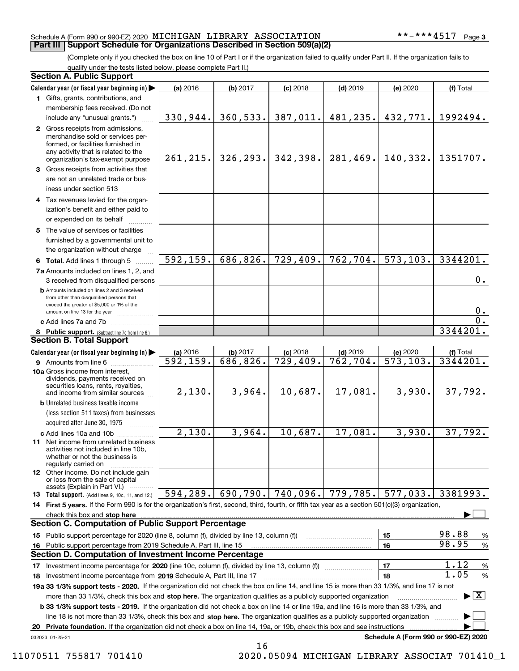#### Schedule A (Form 990 or 990-EZ) 2020 <code>MICHIGAN LIBRARY ASSOCIATION</code> \*\*\*\*\*\*4517 <code>Page</code> **Part III Support Schedule for Organizations Described in Section 509(a)(2)**

(Complete only if you checked the box on line 10 of Part I or if the organization failed to qualify under Part II. If the organization fails to qualify under the tests listed below, please complete Part II.)

|    | <b>Section A. Public Support</b>                                                                                                                                                                                                                                 |                        |           |                   |            |                                      |                                          |
|----|------------------------------------------------------------------------------------------------------------------------------------------------------------------------------------------------------------------------------------------------------------------|------------------------|-----------|-------------------|------------|--------------------------------------|------------------------------------------|
|    | Calendar year (or fiscal year beginning in)                                                                                                                                                                                                                      | (a) 2016               | (b) 2017  | $(c)$ 2018        | $(d)$ 2019 | (e) 2020                             | (f) Total                                |
|    | 1 Gifts, grants, contributions, and                                                                                                                                                                                                                              |                        |           |                   |            |                                      |                                          |
|    | membership fees received. (Do not                                                                                                                                                                                                                                |                        |           |                   |            |                                      |                                          |
|    | include any "unusual grants.")                                                                                                                                                                                                                                   | 330,944.               | 360, 533. | 387,011.          | 481,235.   | 432,771.                             | 1992494.                                 |
|    | 2 Gross receipts from admissions,<br>merchandise sold or services per-<br>formed, or facilities furnished in<br>any activity that is related to the<br>organization's tax-exempt purpose                                                                         | 261, 215.              | 326, 293. | 342,398.          | 281, 469.  | 140,332.                             | 1351707.                                 |
|    | 3 Gross receipts from activities that<br>are not an unrelated trade or bus-<br>iness under section 513                                                                                                                                                           |                        |           |                   |            |                                      |                                          |
|    | 4 Tax revenues levied for the organ-<br>ization's benefit and either paid to<br>or expended on its behalf                                                                                                                                                        |                        |           |                   |            |                                      |                                          |
|    | 5 The value of services or facilities<br>furnished by a governmental unit to<br>the organization without charge                                                                                                                                                  |                        |           |                   |            |                                      |                                          |
|    | 6 Total. Add lines 1 through 5                                                                                                                                                                                                                                   | 592, 159.              | 686, 826. | 729,409.          | 762, 704.  | 573, 103.                            | 3344201.                                 |
|    | 7a Amounts included on lines 1, 2, and                                                                                                                                                                                                                           |                        |           |                   |            |                                      |                                          |
|    | 3 received from disqualified persons                                                                                                                                                                                                                             |                        |           |                   |            |                                      | 0.                                       |
|    | <b>b</b> Amounts included on lines 2 and 3 received<br>from other than disqualified persons that<br>exceed the greater of \$5,000 or 1% of the<br>amount on line 13 for the year                                                                                 |                        |           |                   |            |                                      | 0.                                       |
|    | c Add lines 7a and 7b                                                                                                                                                                                                                                            |                        |           |                   |            |                                      | $\overline{0}$ .                         |
|    | 8 Public support. (Subtract line 7c from line 6.)                                                                                                                                                                                                                |                        |           |                   |            |                                      | 3344201.                                 |
|    | <b>Section B. Total Support</b>                                                                                                                                                                                                                                  |                        |           |                   |            |                                      |                                          |
|    | Calendar year (or fiscal year beginning in)                                                                                                                                                                                                                      | (a) 2016               | (b) 2017  | $(c)$ 2018        | $(d)$ 2019 | (e) 2020                             | (f) Total                                |
|    | <b>9</b> Amounts from line 6                                                                                                                                                                                                                                     | $\overline{592,159}$ . | 686, 826. | 729,409.          | 762, 704.  | $\overline{573,103}$ .               | 3344201.                                 |
|    | 10a Gross income from interest,<br>dividends, payments received on<br>securities loans, rents, royalties,<br>and income from similar sources                                                                                                                     | 2,130.                 | 3,964.    | 10,687.           | 17,081.    | 3,930.                               | 37,792.                                  |
|    | <b>b</b> Unrelated business taxable income                                                                                                                                                                                                                       |                        |           |                   |            |                                      |                                          |
|    | (less section 511 taxes) from businesses                                                                                                                                                                                                                         |                        |           |                   |            |                                      |                                          |
|    | acquired after June 30, 1975                                                                                                                                                                                                                                     |                        |           |                   |            |                                      |                                          |
|    | c Add lines 10a and 10b<br>11 Net income from unrelated business<br>activities not included in line 10b.<br>whether or not the business is<br>regularly carried on                                                                                               | $\overline{2,130}$ .   | 3,964.    | 10,687.           | 17,081.    | 3,930.                               | 37,792.                                  |
|    | <b>12</b> Other income. Do not include gain<br>or loss from the sale of capital<br>assets (Explain in Part VI.)                                                                                                                                                  |                        |           |                   |            |                                      |                                          |
|    | 13 Total support. (Add lines 9, 10c, 11, and 12.)                                                                                                                                                                                                                | 594, 289.              | 690,790.  | 740,096. 779,785. |            | 577,033.                             | 3381993.                                 |
|    | 14 First 5 years. If the Form 990 is for the organization's first, second, third, fourth, or fifth tax year as a section 501(c)(3) organization,                                                                                                                 |                        |           |                   |            |                                      |                                          |
|    | check this box and stop here measurement contracts and the state of the state of the state of the state of the                                                                                                                                                   |                        |           |                   |            |                                      |                                          |
|    | <b>Section C. Computation of Public Support Percentage</b>                                                                                                                                                                                                       |                        |           |                   |            |                                      |                                          |
|    | 15 Public support percentage for 2020 (line 8, column (f), divided by line 13, column (f))                                                                                                                                                                       |                        |           |                   |            | 15                                   | 98.88<br>$\%$                            |
|    | 16 Public support percentage from 2019 Schedule A, Part III, line 15                                                                                                                                                                                             |                        |           |                   |            | 16                                   | 98.95<br>$\%$                            |
|    | <b>Section D. Computation of Investment Income Percentage</b>                                                                                                                                                                                                    |                        |           |                   |            |                                      |                                          |
|    | 17 Investment income percentage for 2020 (line 10c, column (f), divided by line 13, column (f))                                                                                                                                                                  |                        |           |                   |            | 17                                   | 1.12<br>$\%$                             |
|    | 18 Investment income percentage from 2019 Schedule A, Part III, line 17                                                                                                                                                                                          |                        |           |                   |            | 18                                   | 1.05<br>%                                |
|    | 19a 33 1/3% support tests - 2020. If the organization did not check the box on line 14, and line 15 is more than 33 1/3%, and line 17 is not                                                                                                                     |                        |           |                   |            |                                      | $\blacktriangleright$ $\boxed{\text{X}}$ |
|    | more than 33 1/3%, check this box and stop here. The organization qualifies as a publicly supported organization<br><b>b 33 1/3% support tests - 2019.</b> If the organization did not check a box on line 14 or line 19a, and line 16 is more than 33 1/3%, and |                        |           |                   |            |                                      |                                          |
|    | line 18 is not more than 33 1/3%, check this box and stop here. The organization qualifies as a publicly supported organization                                                                                                                                  |                        |           |                   |            |                                      |                                          |
| 20 | Private foundation. If the organization did not check a box on line 14, 19a, or 19b, check this box and see instructions                                                                                                                                         |                        |           |                   |            |                                      |                                          |
|    | 032023 01-25-21                                                                                                                                                                                                                                                  |                        |           |                   |            | Schedule A (Form 990 or 990-EZ) 2020 |                                          |
|    |                                                                                                                                                                                                                                                                  |                        |           |                   |            |                                      |                                          |

16

11070511 755817 701410 2020.05094 MICHIGAN LIBRARY ASSOCIAT 701410\_1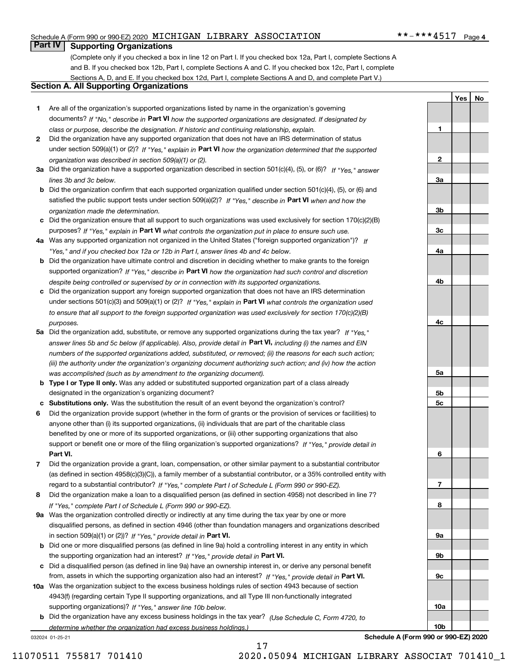## Schedule A (Form 990 or 990-EZ) 2020 <code>MICHIGAN LIBRARY ASSOCIATION</code> \*\*\*\*\*\*4517 <code>Page</code>

## **Part IV Supporting Organizations**

(Complete only if you checked a box in line 12 on Part I. If you checked box 12a, Part I, complete Sections A and B. If you checked box 12b, Part I, complete Sections A and C. If you checked box 12c, Part I, complete Sections A, D, and E. If you checked box 12d, Part I, complete Sections A and D, and complete Part V.)

## **Section A. All Supporting Organizations**

- **1** Are all of the organization's supported organizations listed by name in the organization's governing documents? If "No," describe in **Part VI** how the supported organizations are designated. If designated by *class or purpose, describe the designation. If historic and continuing relationship, explain.*
- **2** Did the organization have any supported organization that does not have an IRS determination of status under section 509(a)(1) or (2)? If "Yes," explain in Part VI how the organization determined that the supported *organization was described in section 509(a)(1) or (2).*
- **3a** Did the organization have a supported organization described in section 501(c)(4), (5), or (6)? If "Yes," answer *lines 3b and 3c below.*
- **b** Did the organization confirm that each supported organization qualified under section 501(c)(4), (5), or (6) and satisfied the public support tests under section 509(a)(2)? If "Yes," describe in **Part VI** when and how the *organization made the determination.*
- **c**Did the organization ensure that all support to such organizations was used exclusively for section 170(c)(2)(B) purposes? If "Yes," explain in **Part VI** what controls the organization put in place to ensure such use.
- **4a***If* Was any supported organization not organized in the United States ("foreign supported organization")? *"Yes," and if you checked box 12a or 12b in Part I, answer lines 4b and 4c below.*
- **b** Did the organization have ultimate control and discretion in deciding whether to make grants to the foreign supported organization? If "Yes," describe in **Part VI** how the organization had such control and discretion *despite being controlled or supervised by or in connection with its supported organizations.*
- **c** Did the organization support any foreign supported organization that does not have an IRS determination under sections 501(c)(3) and 509(a)(1) or (2)? If "Yes," explain in **Part VI** what controls the organization used *to ensure that all support to the foreign supported organization was used exclusively for section 170(c)(2)(B) purposes.*
- **5a** Did the organization add, substitute, or remove any supported organizations during the tax year? If "Yes," answer lines 5b and 5c below (if applicable). Also, provide detail in **Part VI,** including (i) the names and EIN *numbers of the supported organizations added, substituted, or removed; (ii) the reasons for each such action; (iii) the authority under the organization's organizing document authorizing such action; and (iv) how the action was accomplished (such as by amendment to the organizing document).*
- **b** Type I or Type II only. Was any added or substituted supported organization part of a class already designated in the organization's organizing document?
- **cSubstitutions only.**  Was the substitution the result of an event beyond the organization's control?
- **6** Did the organization provide support (whether in the form of grants or the provision of services or facilities) to **Part VI.** *If "Yes," provide detail in* support or benefit one or more of the filing organization's supported organizations? anyone other than (i) its supported organizations, (ii) individuals that are part of the charitable class benefited by one or more of its supported organizations, or (iii) other supporting organizations that also
- **7**Did the organization provide a grant, loan, compensation, or other similar payment to a substantial contributor *If "Yes," complete Part I of Schedule L (Form 990 or 990-EZ).* regard to a substantial contributor? (as defined in section 4958(c)(3)(C)), a family member of a substantial contributor, or a 35% controlled entity with
- **8** Did the organization make a loan to a disqualified person (as defined in section 4958) not described in line 7? *If "Yes," complete Part I of Schedule L (Form 990 or 990-EZ).*
- **9a** Was the organization controlled directly or indirectly at any time during the tax year by one or more in section 509(a)(1) or (2))? If "Yes," *provide detail in* <code>Part VI.</code> disqualified persons, as defined in section 4946 (other than foundation managers and organizations described
- **b** Did one or more disqualified persons (as defined in line 9a) hold a controlling interest in any entity in which the supporting organization had an interest? If "Yes," provide detail in P**art VI**.
- **c**Did a disqualified person (as defined in line 9a) have an ownership interest in, or derive any personal benefit from, assets in which the supporting organization also had an interest? If "Yes," provide detail in P**art VI.**
- **10a** Was the organization subject to the excess business holdings rules of section 4943 because of section supporting organizations)? If "Yes," answer line 10b below. 4943(f) (regarding certain Type II supporting organizations, and all Type III non-functionally integrated
- **b** Did the organization have any excess business holdings in the tax year? (Use Schedule C, Form 4720, to *determine whether the organization had excess business holdings.)*

032024 01-25-21

**3a3b3c4a4b4c5a 5b5c6789a 9b9c10a10b**

**Schedule A (Form 990 or 990-EZ) 2020**

**1**

**2**

**YesNo**

17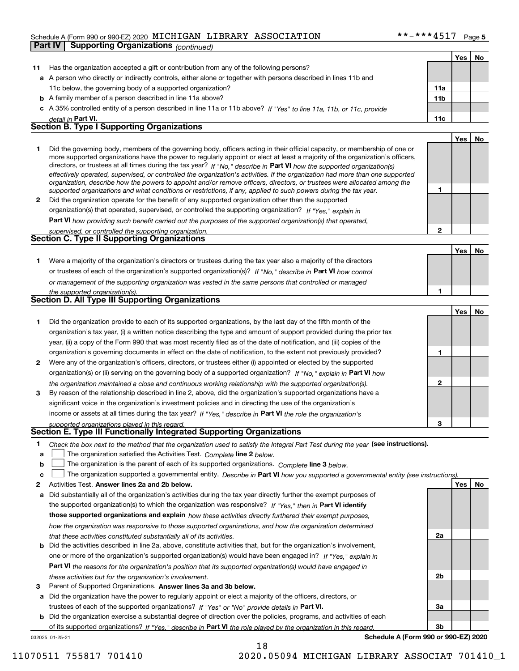### Schedule A (Form 990 or 990-EZ) 2020 <code>MICHIGAN LIBRARY ASSOCIATION</code> \*\*\*\*\*\*4517 <code>Page</code>

|              | <b>Supporting Organizations (continued)</b><br>Part IV                                                                                                                                                                                                   |     |    |
|--------------|----------------------------------------------------------------------------------------------------------------------------------------------------------------------------------------------------------------------------------------------------------|-----|----|
|              |                                                                                                                                                                                                                                                          | Yes | No |
| 11           | Has the organization accepted a gift or contribution from any of the following persons?                                                                                                                                                                  |     |    |
|              | a A person who directly or indirectly controls, either alone or together with persons described in lines 11b and                                                                                                                                         |     |    |
|              | 11c below, the governing body of a supported organization?<br>11a                                                                                                                                                                                        |     |    |
|              | <b>b</b> A family member of a person described in line 11a above?<br>11b                                                                                                                                                                                 |     |    |
| с            | A 35% controlled entity of a person described in line 11a or 11b above? If "Yes" to line 11a, 11b, or 11c, provide                                                                                                                                       |     |    |
|              | detail in Part VI.<br>11c                                                                                                                                                                                                                                |     |    |
|              | <b>Section B. Type I Supporting Organizations</b>                                                                                                                                                                                                        |     |    |
|              |                                                                                                                                                                                                                                                          | Yes | No |
| 1            | Did the governing body, members of the governing body, officers acting in their official capacity, or membership of one or                                                                                                                               |     |    |
|              | more supported organizations have the power to regularly appoint or elect at least a majority of the organization's officers,<br>directors, or trustees at all times during the tax year? If "No," describe in Part VI how the supported organization(s) |     |    |
|              | effectively operated, supervised, or controlled the organization's activities. If the organization had more than one supported                                                                                                                           |     |    |
|              | organization, describe how the powers to appoint and/or remove officers, directors, or trustees were allocated among the                                                                                                                                 |     |    |
|              | 1<br>supported organizations and what conditions or restrictions, if any, applied to such powers during the tax year.                                                                                                                                    |     |    |
| $\mathbf{2}$ | Did the organization operate for the benefit of any supported organization other than the supported                                                                                                                                                      |     |    |
|              | organization(s) that operated, supervised, or controlled the supporting organization? If "Yes," explain in                                                                                                                                               |     |    |
|              | Part VI how providing such benefit carried out the purposes of the supported organization(s) that operated,                                                                                                                                              |     |    |
|              | 2<br>supervised, or controlled the supporting organization.                                                                                                                                                                                              |     |    |
|              | Section C. Type II Supporting Organizations                                                                                                                                                                                                              |     |    |
|              |                                                                                                                                                                                                                                                          | Yes | No |
| 1.           | Were a majority of the organization's directors or trustees during the tax year also a majority of the directors                                                                                                                                         |     |    |
|              | or trustees of each of the organization's supported organization(s)? If "No," describe in Part VI how control                                                                                                                                            |     |    |
|              | or management of the supporting organization was vested in the same persons that controlled or managed                                                                                                                                                   |     |    |
|              | 1<br>the supported organization(s).<br>Section D. All Type III Supporting Organizations                                                                                                                                                                  |     |    |
|              |                                                                                                                                                                                                                                                          |     |    |
|              |                                                                                                                                                                                                                                                          | Yes | No |
| 1.           | Did the organization provide to each of its supported organizations, by the last day of the fifth month of the                                                                                                                                           |     |    |
|              | organization's tax year, (i) a written notice describing the type and amount of support provided during the prior tax                                                                                                                                    |     |    |
|              | year, (ii) a copy of the Form 990 that was most recently filed as of the date of notification, and (iii) copies of the                                                                                                                                   |     |    |
|              | 1<br>organization's governing documents in effect on the date of notification, to the extent not previously provided?                                                                                                                                    |     |    |
| $\mathbf{2}$ | Were any of the organization's officers, directors, or trustees either (i) appointed or elected by the supported                                                                                                                                         |     |    |
|              | organization(s) or (ii) serving on the governing body of a supported organization? If "No," explain in Part VI how                                                                                                                                       |     |    |
|              | 2<br>the organization maintained a close and continuous working relationship with the supported organization(s).                                                                                                                                         |     |    |
| 3            | By reason of the relationship described in line 2, above, did the organization's supported organizations have a                                                                                                                                          |     |    |
|              | significant voice in the organization's investment policies and in directing the use of the organization's                                                                                                                                               |     |    |
|              | income or assets at all times during the tax year? If "Yes," describe in Part VI the role the organization's                                                                                                                                             |     |    |
|              | 3<br>supported organizations played in this regard.<br>Section E. Type III Functionally Integrated Supporting Organizations                                                                                                                              |     |    |
| 1            | Check the box next to the method that the organization used to satisfy the Integral Part Test during the year (see instructions).                                                                                                                        |     |    |
| a            | The organization satisfied the Activities Test. Complete line 2 below.                                                                                                                                                                                   |     |    |
| b            | The organization is the parent of each of its supported organizations. Complete line 3 below.                                                                                                                                                            |     |    |
| c            | The organization supported a governmental entity. Describe in Part VI how you supported a governmental entity (see instructions).                                                                                                                        |     |    |
|              |                                                                                                                                                                                                                                                          |     |    |

- **2Answer lines 2a and 2b below. Yes No** Activities Test.
- **a** Did substantially all of the organization's activities during the tax year directly further the exempt purposes of **b** Did the activities described in line 2a, above, constitute activities that, but for the organization's involvement, the supported organization(s) to which the organization was responsive? If "Yes," then in **Part VI identify those supported organizations and explain**  *how these activities directly furthered their exempt purposes, how the organization was responsive to those supported organizations, and how the organization determined that these activities constituted substantially all of its activities.*
- **Part VI**  *the reasons for the organization's position that its supported organization(s) would have engaged in* one or more of the organization's supported organization(s) would have been engaged in? If "Yes," e*xplain in these activities but for the organization's involvement.*
- **3** Parent of Supported Organizations. Answer lines 3a and 3b below.

**a** Did the organization have the power to regularly appoint or elect a majority of the officers, directors, or trustees of each of the supported organizations? If "Yes" or "No" provide details in P**art VI.** 

032025 01-25-21 **b** Did the organization exercise a substantial degree of direction over the policies, programs, and activities of each of its supported organizations? If "Yes," describe in Part VI the role played by the organization in this regard.

**Schedule A (Form 990 or 990-EZ) 2020**

**2a**

**2b**

**3a**

**3b**

11070511 755817 701410 2020.05094 MICHIGAN LIBRARY ASSOCIAT 701410\_1

18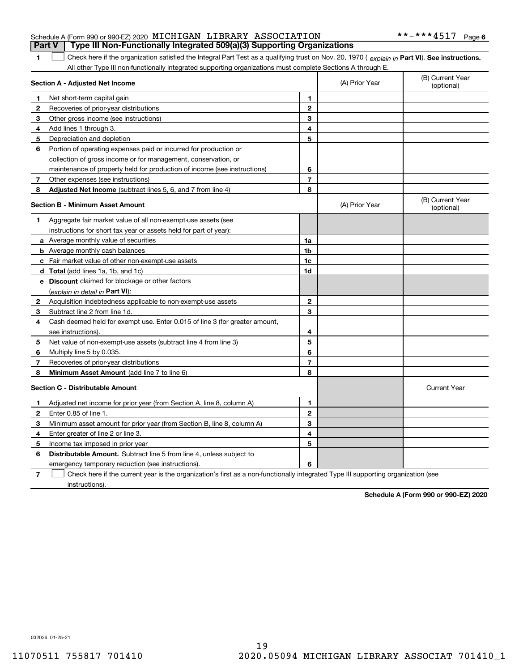|  | Schedule A (Form 990 or 990-EZ) 2020 MICHIGAN LIBRARY ASSOCIATION |  |                                                                                       |  |
|--|-------------------------------------------------------------------|--|---------------------------------------------------------------------------------------|--|
|  |                                                                   |  | <b>Part V</b> Type III Non-Functionally Integrated 509(a)(3) Supporting Organizations |  |

1 Check here if the organization satisfied the Integral Part Test as a qualifying trust on Nov. 20, 1970 (explain in Part VI). See instructions. All other Type III non-functionally integrated supporting organizations must complete Sections A through E.

|              | Section A - Adjusted Net Income                                                                                                   | (A) Prior Year | (B) Current Year<br>(optional) |                                |
|--------------|-----------------------------------------------------------------------------------------------------------------------------------|----------------|--------------------------------|--------------------------------|
| 1            | Net short-term capital gain                                                                                                       | 1              |                                |                                |
| 2            | Recoveries of prior-year distributions                                                                                            | $\overline{2}$ |                                |                                |
| 3            | Other gross income (see instructions)                                                                                             | 3              |                                |                                |
| 4            | Add lines 1 through 3.                                                                                                            | 4              |                                |                                |
| 5            | Depreciation and depletion                                                                                                        | 5              |                                |                                |
| 6            | Portion of operating expenses paid or incurred for production or                                                                  |                |                                |                                |
|              | collection of gross income or for management, conservation, or                                                                    |                |                                |                                |
|              | maintenance of property held for production of income (see instructions)                                                          | 6              |                                |                                |
| 7            | Other expenses (see instructions)                                                                                                 | $\overline{7}$ |                                |                                |
| 8            | Adjusted Net Income (subtract lines 5, 6, and 7 from line 4)                                                                      | 8              |                                |                                |
|              | <b>Section B - Minimum Asset Amount</b>                                                                                           |                | (A) Prior Year                 | (B) Current Year<br>(optional) |
| 1            | Aggregate fair market value of all non-exempt-use assets (see                                                                     |                |                                |                                |
|              | instructions for short tax year or assets held for part of year):                                                                 |                |                                |                                |
|              | <b>a</b> Average monthly value of securities                                                                                      | 1a             |                                |                                |
|              | <b>b</b> Average monthly cash balances                                                                                            | 1 <sub>b</sub> |                                |                                |
|              | c Fair market value of other non-exempt-use assets                                                                                | 1c             |                                |                                |
|              | d Total (add lines 1a, 1b, and 1c)                                                                                                | 1d             |                                |                                |
|              | e Discount claimed for blockage or other factors                                                                                  |                |                                |                                |
|              | (explain in detail in Part VI):                                                                                                   |                |                                |                                |
| $\mathbf{2}$ | Acquisition indebtedness applicable to non-exempt-use assets                                                                      | 2              |                                |                                |
| 3            | Subtract line 2 from line 1d.                                                                                                     | 3              |                                |                                |
| 4            | Cash deemed held for exempt use. Enter 0.015 of line 3 (for greater amount,                                                       |                |                                |                                |
|              | see instructions)                                                                                                                 | 4              |                                |                                |
| 5            | Net value of non-exempt-use assets (subtract line 4 from line 3)                                                                  | 5              |                                |                                |
| 6            | Multiply line 5 by 0.035.                                                                                                         | 6              |                                |                                |
| 7            | Recoveries of prior-year distributions                                                                                            | $\overline{7}$ |                                |                                |
| 8            | Minimum Asset Amount (add line 7 to line 6)                                                                                       | 8              |                                |                                |
|              | <b>Section C - Distributable Amount</b>                                                                                           |                |                                | <b>Current Year</b>            |
| 1            | Adjusted net income for prior year (from Section A, line 8, column A)                                                             | 1              |                                |                                |
| 2            | Enter 0.85 of line 1.                                                                                                             | $\overline{2}$ |                                |                                |
| 3            | Minimum asset amount for prior year (from Section B, line 8, column A)                                                            | 3              |                                |                                |
| 4            | Enter greater of line 2 or line 3.                                                                                                | 4              |                                |                                |
| 5            | Income tax imposed in prior year                                                                                                  | 5              |                                |                                |
| 6            | <b>Distributable Amount.</b> Subtract line 5 from line 4, unless subject to                                                       |                |                                |                                |
|              | emergency temporary reduction (see instructions).                                                                                 | 6              |                                |                                |
| 7            | Check here if the current year is the organization's first as a non-functionally integrated Type III supporting organization (see |                |                                |                                |

instructions).

**1**

**Schedule A (Form 990 or 990-EZ) 2020**

032026 01-25-21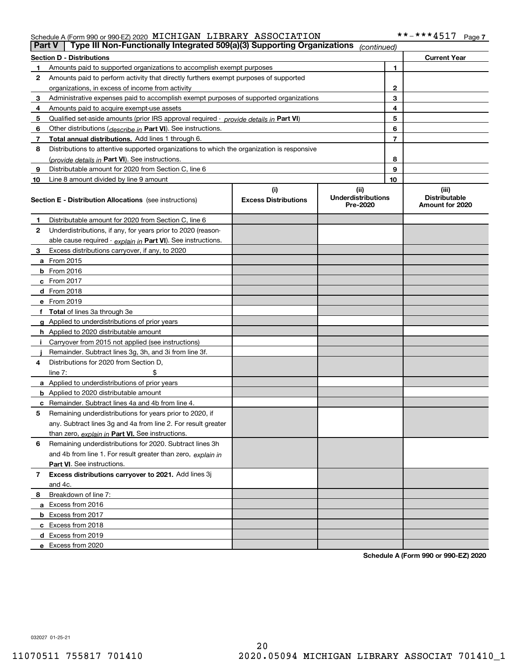### Schedule A (Form 990 or 990-EZ) 2020 <code>MICHIGAN LIBRARY ASSOCIATION</code> \*\*\*\*\*\*4517 <code>Page</code>

| <b>Part V</b> | Type III Non-Functionally Integrated 509(a)(3) Supporting Organizations                    |                             | (continued)                           |              |                                         |
|---------------|--------------------------------------------------------------------------------------------|-----------------------------|---------------------------------------|--------------|-----------------------------------------|
|               | <b>Section D - Distributions</b>                                                           |                             |                                       |              | <b>Current Year</b>                     |
| 1             | Amounts paid to supported organizations to accomplish exempt purposes                      |                             |                                       | 1            |                                         |
| 2             | Amounts paid to perform activity that directly furthers exempt purposes of supported       |                             |                                       |              |                                         |
|               | organizations, in excess of income from activity                                           |                             |                                       | $\mathbf{2}$ |                                         |
| 3             | Administrative expenses paid to accomplish exempt purposes of supported organizations      |                             | 3                                     |              |                                         |
| 4             | Amounts paid to acquire exempt-use assets                                                  |                             |                                       | 4            |                                         |
| 5             | Qualified set-aside amounts (prior IRS approval required - provide details in Part VI)     |                             |                                       | 5            |                                         |
| 6             | Other distributions ( <i>describe in</i> Part VI). See instructions.                       |                             |                                       | 6            |                                         |
| 7             | Total annual distributions. Add lines 1 through 6.                                         |                             |                                       | 7            |                                         |
| 8             | Distributions to attentive supported organizations to which the organization is responsive |                             |                                       |              |                                         |
|               | (provide details in Part VI). See instructions.                                            |                             |                                       | 8            |                                         |
| 9             | Distributable amount for 2020 from Section C, line 6                                       |                             |                                       | 9            |                                         |
| 10            | Line 8 amount divided by line 9 amount                                                     |                             |                                       | 10           |                                         |
|               |                                                                                            | (i)                         | (ii)                                  |              | (iii)                                   |
|               | Section E - Distribution Allocations (see instructions)                                    | <b>Excess Distributions</b> | <b>Underdistributions</b><br>Pre-2020 |              | <b>Distributable</b><br>Amount for 2020 |
| 1             | Distributable amount for 2020 from Section C, line 6                                       |                             |                                       |              |                                         |
| 2             | Underdistributions, if any, for years prior to 2020 (reason-                               |                             |                                       |              |                                         |
|               | able cause required - explain in Part VI). See instructions.                               |                             |                                       |              |                                         |
| 3             | Excess distributions carryover, if any, to 2020                                            |                             |                                       |              |                                         |
|               | <b>a</b> From 2015                                                                         |                             |                                       |              |                                         |
|               | <b>b</b> From 2016                                                                         |                             |                                       |              |                                         |
|               | c From 2017                                                                                |                             |                                       |              |                                         |
|               | <b>d</b> From 2018                                                                         |                             |                                       |              |                                         |
|               | e From 2019                                                                                |                             |                                       |              |                                         |
|               | f Total of lines 3a through 3e                                                             |                             |                                       |              |                                         |
|               | g Applied to underdistributions of prior years                                             |                             |                                       |              |                                         |
|               | <b>h</b> Applied to 2020 distributable amount                                              |                             |                                       |              |                                         |
|               | Carryover from 2015 not applied (see instructions)                                         |                             |                                       |              |                                         |
|               | Remainder. Subtract lines 3g, 3h, and 3i from line 3f.                                     |                             |                                       |              |                                         |
| 4             | Distributions for 2020 from Section D,                                                     |                             |                                       |              |                                         |
|               | line $7:$                                                                                  |                             |                                       |              |                                         |
|               | a Applied to underdistributions of prior years                                             |                             |                                       |              |                                         |
|               | <b>b</b> Applied to 2020 distributable amount                                              |                             |                                       |              |                                         |
|               | c Remainder. Subtract lines 4a and 4b from line 4.                                         |                             |                                       |              |                                         |
| 5             | Remaining underdistributions for years prior to 2020, if                                   |                             |                                       |              |                                         |
|               | any. Subtract lines 3g and 4a from line 2. For result greater                              |                             |                                       |              |                                         |
|               | than zero, explain in Part VI. See instructions.                                           |                             |                                       |              |                                         |
| 6             | Remaining underdistributions for 2020. Subtract lines 3h                                   |                             |                                       |              |                                         |
|               | and 4b from line 1. For result greater than zero, explain in                               |                             |                                       |              |                                         |
|               | Part VI. See instructions.                                                                 |                             |                                       |              |                                         |
| 7             | Excess distributions carryover to 2021. Add lines 3j                                       |                             |                                       |              |                                         |
|               | and 4c.                                                                                    |                             |                                       |              |                                         |
| 8             | Breakdown of line 7:                                                                       |                             |                                       |              |                                         |
|               | a Excess from 2016                                                                         |                             |                                       |              |                                         |
|               | <b>b</b> Excess from 2017                                                                  |                             |                                       |              |                                         |
|               | c Excess from 2018                                                                         |                             |                                       |              |                                         |
|               | d Excess from 2019                                                                         |                             |                                       |              |                                         |
|               | e Excess from 2020                                                                         |                             |                                       |              |                                         |
|               |                                                                                            |                             |                                       |              |                                         |

**Schedule A (Form 990 or 990-EZ) 2020**

032027 01-25-21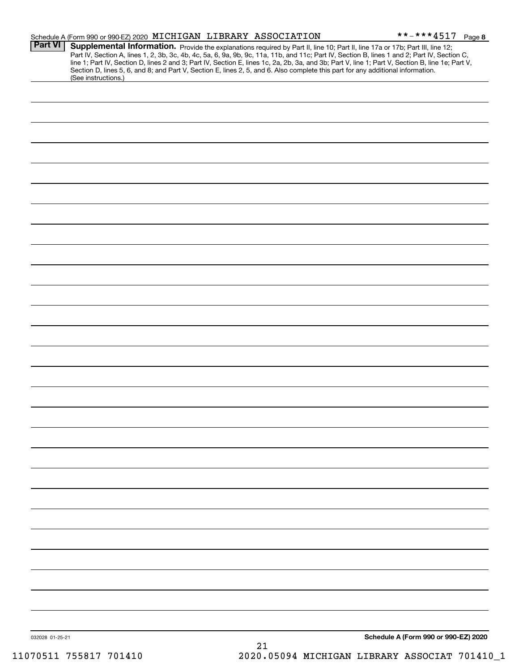|                 |                     |  | Schedule A (Form 990 or 990-EZ) 2020 MICHIGAN LIBRARY ASSOCIATION |                                                                                                                                                                                                                                                                                                                                                                                                                                   | **-***4517 Page 8                    |  |
|-----------------|---------------------|--|-------------------------------------------------------------------|-----------------------------------------------------------------------------------------------------------------------------------------------------------------------------------------------------------------------------------------------------------------------------------------------------------------------------------------------------------------------------------------------------------------------------------|--------------------------------------|--|
| <b>Part VI</b>  |                     |  |                                                                   | Supplemental Information. Provide the explanations required by Part II, line 10; Part II, line 17a or 17b; Part III, line 12;<br>Part IV, Section A, lines 1, 2, 3b, 3c, 4b, 4c, 5a, 6, 9a, 9b, 9c, 11a, 11b, and 11c; Part IV, Section B, lines 1 and 2; Part IV, Section C,<br>line 1; Part IV, Section D, lines 2 and 3; Part IV, Section E, lines 1c, 2a, 2b, 3a, and 3b; Part V, line 1; Part V, Section B, line 1e; Part V, |                                      |  |
|                 | (See instructions.) |  |                                                                   | Section D, lines 5, 6, and 8; and Part V, Section E, lines 2, 5, and 6. Also complete this part for any additional information.                                                                                                                                                                                                                                                                                                   |                                      |  |
|                 |                     |  |                                                                   |                                                                                                                                                                                                                                                                                                                                                                                                                                   |                                      |  |
|                 |                     |  |                                                                   |                                                                                                                                                                                                                                                                                                                                                                                                                                   |                                      |  |
|                 |                     |  |                                                                   |                                                                                                                                                                                                                                                                                                                                                                                                                                   |                                      |  |
|                 |                     |  |                                                                   |                                                                                                                                                                                                                                                                                                                                                                                                                                   |                                      |  |
|                 |                     |  |                                                                   |                                                                                                                                                                                                                                                                                                                                                                                                                                   |                                      |  |
|                 |                     |  |                                                                   |                                                                                                                                                                                                                                                                                                                                                                                                                                   |                                      |  |
|                 |                     |  |                                                                   |                                                                                                                                                                                                                                                                                                                                                                                                                                   |                                      |  |
|                 |                     |  |                                                                   |                                                                                                                                                                                                                                                                                                                                                                                                                                   |                                      |  |
|                 |                     |  |                                                                   |                                                                                                                                                                                                                                                                                                                                                                                                                                   |                                      |  |
|                 |                     |  |                                                                   |                                                                                                                                                                                                                                                                                                                                                                                                                                   |                                      |  |
|                 |                     |  |                                                                   |                                                                                                                                                                                                                                                                                                                                                                                                                                   |                                      |  |
|                 |                     |  |                                                                   |                                                                                                                                                                                                                                                                                                                                                                                                                                   |                                      |  |
|                 |                     |  |                                                                   |                                                                                                                                                                                                                                                                                                                                                                                                                                   |                                      |  |
|                 |                     |  |                                                                   |                                                                                                                                                                                                                                                                                                                                                                                                                                   |                                      |  |
|                 |                     |  |                                                                   |                                                                                                                                                                                                                                                                                                                                                                                                                                   |                                      |  |
|                 |                     |  |                                                                   |                                                                                                                                                                                                                                                                                                                                                                                                                                   |                                      |  |
|                 |                     |  |                                                                   |                                                                                                                                                                                                                                                                                                                                                                                                                                   |                                      |  |
|                 |                     |  |                                                                   |                                                                                                                                                                                                                                                                                                                                                                                                                                   |                                      |  |
|                 |                     |  |                                                                   |                                                                                                                                                                                                                                                                                                                                                                                                                                   |                                      |  |
|                 |                     |  |                                                                   |                                                                                                                                                                                                                                                                                                                                                                                                                                   |                                      |  |
|                 |                     |  |                                                                   |                                                                                                                                                                                                                                                                                                                                                                                                                                   |                                      |  |
|                 |                     |  |                                                                   |                                                                                                                                                                                                                                                                                                                                                                                                                                   |                                      |  |
|                 |                     |  |                                                                   |                                                                                                                                                                                                                                                                                                                                                                                                                                   |                                      |  |
|                 |                     |  |                                                                   |                                                                                                                                                                                                                                                                                                                                                                                                                                   |                                      |  |
|                 |                     |  |                                                                   |                                                                                                                                                                                                                                                                                                                                                                                                                                   |                                      |  |
|                 |                     |  |                                                                   |                                                                                                                                                                                                                                                                                                                                                                                                                                   |                                      |  |
|                 |                     |  |                                                                   |                                                                                                                                                                                                                                                                                                                                                                                                                                   |                                      |  |
|                 |                     |  |                                                                   |                                                                                                                                                                                                                                                                                                                                                                                                                                   |                                      |  |
|                 |                     |  |                                                                   |                                                                                                                                                                                                                                                                                                                                                                                                                                   |                                      |  |
|                 |                     |  |                                                                   |                                                                                                                                                                                                                                                                                                                                                                                                                                   |                                      |  |
|                 |                     |  |                                                                   |                                                                                                                                                                                                                                                                                                                                                                                                                                   |                                      |  |
|                 |                     |  |                                                                   |                                                                                                                                                                                                                                                                                                                                                                                                                                   |                                      |  |
|                 |                     |  |                                                                   |                                                                                                                                                                                                                                                                                                                                                                                                                                   |                                      |  |
|                 |                     |  |                                                                   |                                                                                                                                                                                                                                                                                                                                                                                                                                   |                                      |  |
|                 |                     |  |                                                                   |                                                                                                                                                                                                                                                                                                                                                                                                                                   |                                      |  |
|                 |                     |  |                                                                   |                                                                                                                                                                                                                                                                                                                                                                                                                                   |                                      |  |
|                 |                     |  |                                                                   |                                                                                                                                                                                                                                                                                                                                                                                                                                   |                                      |  |
| 032028 01-25-21 |                     |  |                                                                   |                                                                                                                                                                                                                                                                                                                                                                                                                                   | Schedule A (Form 990 or 990-EZ) 2020 |  |
|                 |                     |  | 21                                                                |                                                                                                                                                                                                                                                                                                                                                                                                                                   |                                      |  |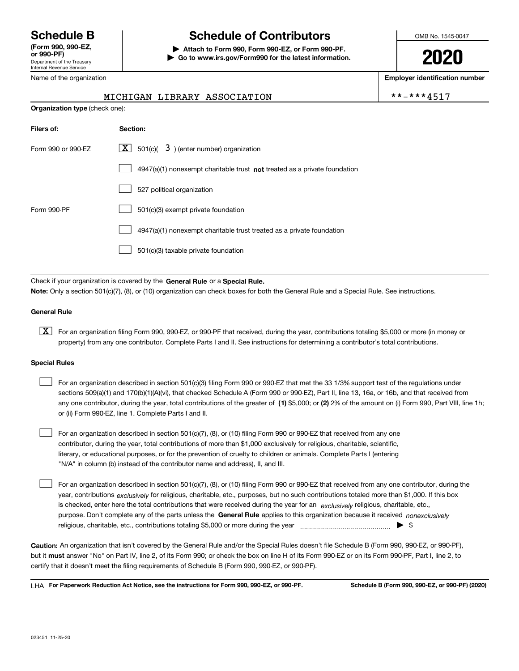Department of the Treasury Internal Revenue Service **(Form 990, 990-EZ, or 990-PF)** Name of the organization

# **Schedule B Schedule of Contributors**

**| Attach to Form 990, Form 990-EZ, or Form 990-PF. | Go to www.irs.gov/Form990 for the latest information.** OMB No. 1545-0047

**2020**

**Employer identification number**

|  |  |  |  |  | ***45 |  |  |  |  |
|--|--|--|--|--|-------|--|--|--|--|
|--|--|--|--|--|-------|--|--|--|--|

| MICHIGAN LIBRARY ASSOCIATION | -- |
|------------------------------|----|

| <b>Organization type (check one):</b> |                                                                           |  |  |  |  |
|---------------------------------------|---------------------------------------------------------------------------|--|--|--|--|
| Filers of:                            | Section:                                                                  |  |  |  |  |
| Form 990 or 990-EZ                    | $\lfloor x \rfloor$ 501(c)( 3) (enter number) organization                |  |  |  |  |
|                                       | 4947(a)(1) nonexempt charitable trust not treated as a private foundation |  |  |  |  |
|                                       | 527 political organization                                                |  |  |  |  |
| Form 990-PF                           | 501(c)(3) exempt private foundation                                       |  |  |  |  |
|                                       | 4947(a)(1) nonexempt charitable trust treated as a private foundation     |  |  |  |  |
|                                       | 501(c)(3) taxable private foundation                                      |  |  |  |  |
|                                       |                                                                           |  |  |  |  |

Check if your organization is covered by the **General Rule** or a **Special Rule. Note:**  Only a section 501(c)(7), (8), or (10) organization can check boxes for both the General Rule and a Special Rule. See instructions.

## **General Rule**

 $\boxed{\textbf{X}}$  For an organization filing Form 990, 990-EZ, or 990-PF that received, during the year, contributions totaling \$5,000 or more (in money or property) from any one contributor. Complete Parts I and II. See instructions for determining a contributor's total contributions.

#### **Special Rules**

| For an organization described in section 501(c)(3) filing Form 990 or 990-EZ that met the 33 1/3% support test of the regulations under               |
|-------------------------------------------------------------------------------------------------------------------------------------------------------|
| sections 509(a)(1) and 170(b)(1)(A)(vi), that checked Schedule A (Form 990 or 990-EZ), Part II, line 13, 16a, or 16b, and that received from          |
| any one contributor, during the year, total contributions of the greater of (1) \$5,000; or (2) 2% of the amount on (i) Form 990, Part VIII, line 1h; |
| or (ii) Form 990-EZ, line 1. Complete Parts I and II.                                                                                                 |

For an organization described in section 501(c)(7), (8), or (10) filing Form 990 or 990-EZ that received from any one contributor, during the year, total contributions of more than \$1,000 exclusively for religious, charitable, scientific, literary, or educational purposes, or for the prevention of cruelty to children or animals. Complete Parts I (entering "N/A" in column (b) instead of the contributor name and address), II, and III.  $\mathcal{L}^{\text{max}}$ 

purpose. Don't complete any of the parts unless the **General Rule** applies to this organization because it received *nonexclusively* year, contributions <sub>exclusively</sub> for religious, charitable, etc., purposes, but no such contributions totaled more than \$1,000. If this box is checked, enter here the total contributions that were received during the year for an  $\;$ exclusively religious, charitable, etc., For an organization described in section 501(c)(7), (8), or (10) filing Form 990 or 990-EZ that received from any one contributor, during the religious, charitable, etc., contributions totaling \$5,000 or more during the year  $\Box$ — $\Box$   $\Box$  $\mathcal{L}^{\text{max}}$ 

**Caution:**  An organization that isn't covered by the General Rule and/or the Special Rules doesn't file Schedule B (Form 990, 990-EZ, or 990-PF),  **must** but it answer "No" on Part IV, line 2, of its Form 990; or check the box on line H of its Form 990-EZ or on its Form 990-PF, Part I, line 2, to certify that it doesn't meet the filing requirements of Schedule B (Form 990, 990-EZ, or 990-PF).

**For Paperwork Reduction Act Notice, see the instructions for Form 990, 990-EZ, or 990-PF. Schedule B (Form 990, 990-EZ, or 990-PF) (2020)** LHA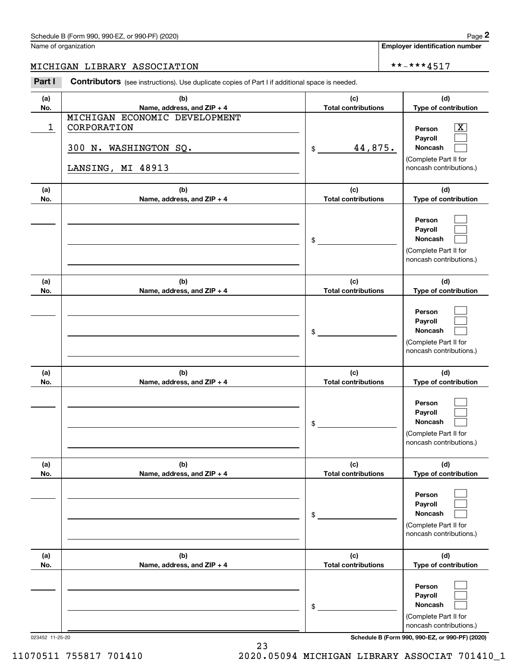Name of organization

**Employer identification number**

## MICHIGAN LIBRARY ASSOCIATION \*\*-\*\*\*4517

Chedule B (Form 990, 990-EZ, or 990-PF) (2020)<br>
lame of organization<br> **2Part I Contributors** (see instructions). Use duplicate copies of Part I if additional space is needed.<br> **2Part I Contributors** (see instructions).

| (a)<br>No. | (b)<br>Name, address, and ZIP + 4                                                          | (c)<br><b>Total contributions</b> | (d)<br>Type of contribution                                                                                 |
|------------|--------------------------------------------------------------------------------------------|-----------------------------------|-------------------------------------------------------------------------------------------------------------|
| 1          | MICHIGAN ECONOMIC DEVELOPMENT<br>CORPORATION<br>300 N. WASHINGTON SQ.<br>LANSING, MI 48913 | 44,875.<br>$\mathsf{\$}$          | $\overline{\texttt{x}}$<br>Person<br>Payroll<br>Noncash<br>(Complete Part II for<br>noncash contributions.) |
| (a)<br>No. | (b)<br>Name, address, and ZIP + 4                                                          | (c)<br><b>Total contributions</b> | (d)<br>Type of contribution                                                                                 |
|            |                                                                                            | $$\circ$$                         | Person<br>Payroll<br>Noncash<br>(Complete Part II for<br>noncash contributions.)                            |
| (a)<br>No. | (b)<br>Name, address, and ZIP + 4                                                          | (c)<br><b>Total contributions</b> | (d)<br>Type of contribution                                                                                 |
|            |                                                                                            | \$                                | Person<br>Payroll<br>Noncash<br>(Complete Part II for<br>noncash contributions.)                            |
| (a)<br>No. | (b)<br>Name, address, and ZIP + 4                                                          | (c)<br><b>Total contributions</b> | (d)<br>Type of contribution                                                                                 |
|            |                                                                                            | \$                                | Person<br>Payroll<br><b>Noncash</b><br>(Complete Part II for<br>noncash contributions.)                     |
| (a)<br>No. | (b)<br>Name, address, and ZIP + 4                                                          | (c)<br><b>Total contributions</b> | (d)<br>Type of contribution                                                                                 |
|            |                                                                                            | \$                                | Person<br>Payroll<br>Noncash<br>(Complete Part II for<br>noncash contributions.)                            |
| (a)<br>No. | (b)<br>Name, address, and ZIP + 4                                                          | (c)<br><b>Total contributions</b> | (d)<br>Type of contribution                                                                                 |
|            |                                                                                            | \$                                | Person<br>Payroll<br>Noncash<br>(Complete Part II for<br>noncash contributions.)                            |

023452 11-25-20 **Schedule B (Form 990, 990-EZ, or 990-PF) (2020)**

11070511 755817 701410 2020.05094 MICHIGAN LIBRARY ASSOCIAT 701410\_1

23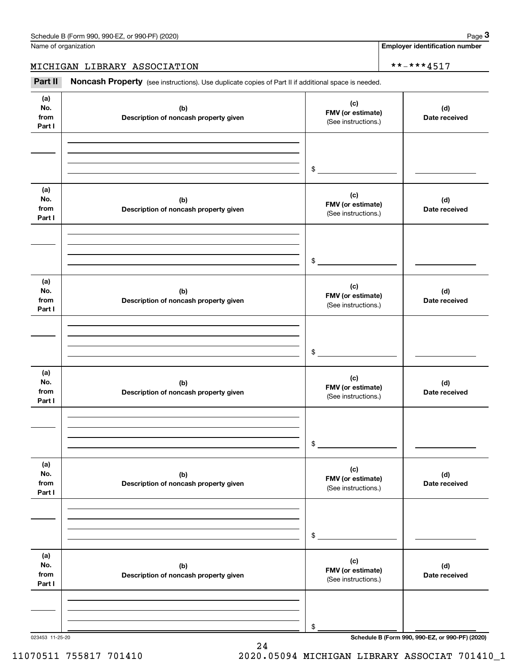Name of organization

**Employer identification number**

## MICHIGAN LIBRARY ASSOCIATION \*\*-\*\*\*4517

Chedule B (Form 990, 990-EZ, or 990-PF) (2020)<br>
lame of organization<br> **3Part II Noncash Property** (see instructions). Use duplicate copies of Part II if additional space is needed.<br> **3Part II Noncash Property** (see ins

| (a)<br>No.<br>from<br>Part I | (b)<br>Description of noncash property given | (c)<br>FMV (or estimate)<br>(See instructions.) | (d)<br>Date received                            |
|------------------------------|----------------------------------------------|-------------------------------------------------|-------------------------------------------------|
|                              |                                              |                                                 |                                                 |
|                              |                                              | $\frac{1}{2}$                                   |                                                 |
| (a)<br>No.<br>from<br>Part I | (b)<br>Description of noncash property given | (c)<br>FMV (or estimate)<br>(See instructions.) | (d)<br>Date received                            |
|                              |                                              |                                                 |                                                 |
|                              |                                              | $\mathfrak s$                                   |                                                 |
| (a)<br>No.<br>from<br>Part I | (b)<br>Description of noncash property given | (c)<br>FMV (or estimate)<br>(See instructions.) | (d)<br>Date received                            |
|                              |                                              |                                                 |                                                 |
|                              |                                              | $\mathfrak s$                                   |                                                 |
| (a)<br>No.<br>from<br>Part I | (b)<br>Description of noncash property given | (c)<br>FMV (or estimate)<br>(See instructions.) | (d)<br>Date received                            |
|                              |                                              |                                                 |                                                 |
|                              |                                              | $\mathfrak s$                                   |                                                 |
| (a)<br>No.<br>from<br>Part I | (b)<br>Description of noncash property given | (c)<br>FMV (or estimate)<br>(See instructions.) | (d)<br>Date received                            |
|                              |                                              |                                                 |                                                 |
|                              |                                              |                                                 |                                                 |
|                              |                                              | \$                                              |                                                 |
| (a)<br>No.<br>from<br>Part I | (b)<br>Description of noncash property given | (c)<br>FMV (or estimate)<br>(See instructions.) | (d)<br>Date received                            |
|                              |                                              |                                                 |                                                 |
|                              |                                              |                                                 |                                                 |
| 023453 11-25-20              |                                              | \$                                              | Schedule B (Form 990, 990-EZ, or 990-PF) (2020) |

24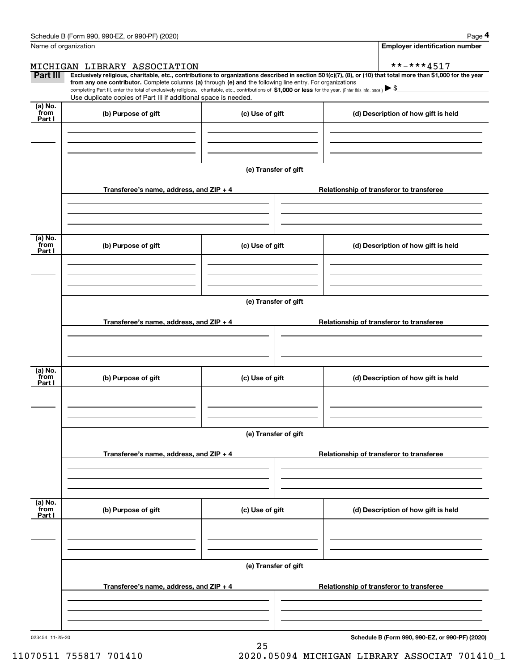|                 | Schedule B (Form 990, 990-EZ, or 990-PF) (2020)                                                                                                                                                                                                                                                                                                                                                                                                                   |                      |                                          | Page 4                                   |  |
|-----------------|-------------------------------------------------------------------------------------------------------------------------------------------------------------------------------------------------------------------------------------------------------------------------------------------------------------------------------------------------------------------------------------------------------------------------------------------------------------------|----------------------|------------------------------------------|------------------------------------------|--|
|                 | Name of organization                                                                                                                                                                                                                                                                                                                                                                                                                                              |                      |                                          | <b>Employer identification number</b>    |  |
|                 | MICHIGAN LIBRARY ASSOCIATION                                                                                                                                                                                                                                                                                                                                                                                                                                      |                      |                                          | **-***4517                               |  |
| Part III        | Exclusively religious, charitable, etc., contributions to organizations described in section 501(c)(7), (8), or (10) that total more than \$1,000 for the year<br>from any one contributor. Complete columns (a) through (e) and the following line entry. For organizations<br>completing Part III, enter the total of exclusively religious, charitable, etc., contributions of \$1,000 or less for the year. (Enter this info. once.) $\blacktriangleright$ \$ |                      |                                          |                                          |  |
|                 | Use duplicate copies of Part III if additional space is needed.                                                                                                                                                                                                                                                                                                                                                                                                   |                      |                                          |                                          |  |
| (a) No.<br>from |                                                                                                                                                                                                                                                                                                                                                                                                                                                                   |                      |                                          |                                          |  |
| Part I          | (b) Purpose of gift                                                                                                                                                                                                                                                                                                                                                                                                                                               | (c) Use of gift      |                                          | (d) Description of how gift is held      |  |
|                 |                                                                                                                                                                                                                                                                                                                                                                                                                                                                   |                      |                                          |                                          |  |
|                 |                                                                                                                                                                                                                                                                                                                                                                                                                                                                   |                      |                                          |                                          |  |
|                 |                                                                                                                                                                                                                                                                                                                                                                                                                                                                   |                      |                                          |                                          |  |
|                 |                                                                                                                                                                                                                                                                                                                                                                                                                                                                   | (e) Transfer of gift |                                          |                                          |  |
|                 |                                                                                                                                                                                                                                                                                                                                                                                                                                                                   |                      |                                          |                                          |  |
|                 | Transferee's name, address, and ZIP + 4                                                                                                                                                                                                                                                                                                                                                                                                                           |                      |                                          | Relationship of transferor to transferee |  |
|                 |                                                                                                                                                                                                                                                                                                                                                                                                                                                                   |                      |                                          |                                          |  |
|                 |                                                                                                                                                                                                                                                                                                                                                                                                                                                                   |                      |                                          |                                          |  |
|                 |                                                                                                                                                                                                                                                                                                                                                                                                                                                                   |                      |                                          |                                          |  |
| (a) No.<br>from | (b) Purpose of gift                                                                                                                                                                                                                                                                                                                                                                                                                                               | (c) Use of gift      |                                          | (d) Description of how gift is held      |  |
| Part I          |                                                                                                                                                                                                                                                                                                                                                                                                                                                                   |                      |                                          |                                          |  |
|                 |                                                                                                                                                                                                                                                                                                                                                                                                                                                                   |                      |                                          |                                          |  |
|                 |                                                                                                                                                                                                                                                                                                                                                                                                                                                                   |                      |                                          |                                          |  |
|                 |                                                                                                                                                                                                                                                                                                                                                                                                                                                                   |                      |                                          |                                          |  |
|                 |                                                                                                                                                                                                                                                                                                                                                                                                                                                                   | (e) Transfer of gift |                                          |                                          |  |
|                 |                                                                                                                                                                                                                                                                                                                                                                                                                                                                   |                      | Relationship of transferor to transferee |                                          |  |
|                 | Transferee's name, address, and ZIP + 4                                                                                                                                                                                                                                                                                                                                                                                                                           |                      |                                          |                                          |  |
|                 |                                                                                                                                                                                                                                                                                                                                                                                                                                                                   |                      |                                          |                                          |  |
|                 |                                                                                                                                                                                                                                                                                                                                                                                                                                                                   |                      |                                          |                                          |  |
| (a) No.         |                                                                                                                                                                                                                                                                                                                                                                                                                                                                   |                      |                                          |                                          |  |
| from<br>Part I  | (b) Purpose of gift                                                                                                                                                                                                                                                                                                                                                                                                                                               | (c) Use of gift      |                                          | (d) Description of how gift is held      |  |
|                 |                                                                                                                                                                                                                                                                                                                                                                                                                                                                   |                      |                                          |                                          |  |
|                 |                                                                                                                                                                                                                                                                                                                                                                                                                                                                   |                      |                                          |                                          |  |
|                 |                                                                                                                                                                                                                                                                                                                                                                                                                                                                   |                      |                                          |                                          |  |
|                 |                                                                                                                                                                                                                                                                                                                                                                                                                                                                   |                      |                                          |                                          |  |
|                 |                                                                                                                                                                                                                                                                                                                                                                                                                                                                   | (e) Transfer of gift |                                          |                                          |  |
|                 | Transferee's name, address, and $ZIP + 4$                                                                                                                                                                                                                                                                                                                                                                                                                         |                      |                                          | Relationship of transferor to transferee |  |
|                 |                                                                                                                                                                                                                                                                                                                                                                                                                                                                   |                      |                                          |                                          |  |
|                 |                                                                                                                                                                                                                                                                                                                                                                                                                                                                   |                      |                                          |                                          |  |
|                 |                                                                                                                                                                                                                                                                                                                                                                                                                                                                   |                      |                                          |                                          |  |
| (a) No.<br>from | (b) Purpose of gift                                                                                                                                                                                                                                                                                                                                                                                                                                               | (c) Use of gift      |                                          | (d) Description of how gift is held      |  |
| Part I          |                                                                                                                                                                                                                                                                                                                                                                                                                                                                   |                      |                                          |                                          |  |
|                 |                                                                                                                                                                                                                                                                                                                                                                                                                                                                   |                      |                                          |                                          |  |
|                 |                                                                                                                                                                                                                                                                                                                                                                                                                                                                   |                      |                                          |                                          |  |
|                 |                                                                                                                                                                                                                                                                                                                                                                                                                                                                   |                      |                                          |                                          |  |
|                 |                                                                                                                                                                                                                                                                                                                                                                                                                                                                   | (e) Transfer of gift |                                          |                                          |  |
|                 |                                                                                                                                                                                                                                                                                                                                                                                                                                                                   |                      |                                          |                                          |  |
|                 | Transferee's name, address, and $ZIP + 4$                                                                                                                                                                                                                                                                                                                                                                                                                         |                      |                                          | Relationship of transferor to transferee |  |
|                 |                                                                                                                                                                                                                                                                                                                                                                                                                                                                   |                      |                                          |                                          |  |
|                 |                                                                                                                                                                                                                                                                                                                                                                                                                                                                   |                      |                                          |                                          |  |
|                 |                                                                                                                                                                                                                                                                                                                                                                                                                                                                   |                      |                                          |                                          |  |

25

**Schedule B (Form 990, 990-EZ, or 990-PF) (2020)**

11070511 755817 701410 2020.05094 MICHIGAN LIBRARY ASSOCIAT 701410\_1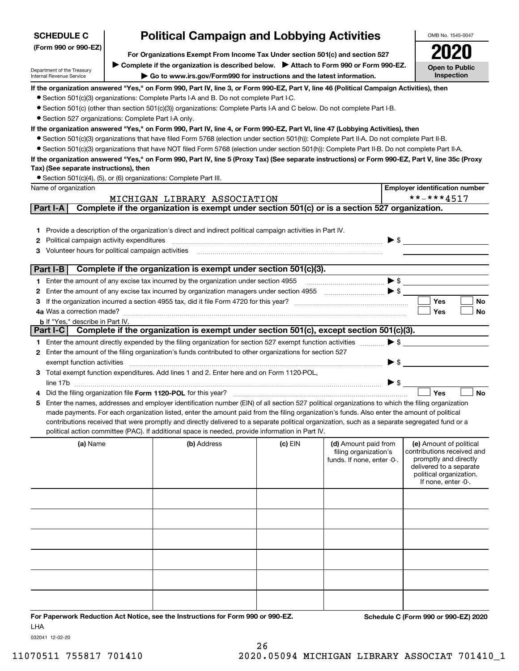| <b>Political Campaign and Lobbying Activities</b><br><b>SCHEDULE C</b> |  |                                                                                                                                                                                                                        |           | OMB No. 1545-0047                                                           |                                                                                                           |  |
|------------------------------------------------------------------------|--|------------------------------------------------------------------------------------------------------------------------------------------------------------------------------------------------------------------------|-----------|-----------------------------------------------------------------------------|-----------------------------------------------------------------------------------------------------------|--|
| (Form 990 or 990-EZ)                                                   |  | For Organizations Exempt From Income Tax Under section 501(c) and section 527                                                                                                                                          |           |                                                                             |                                                                                                           |  |
|                                                                        |  | Complete if the organization is described below. > Attach to Form 990 or Form 990-EZ.                                                                                                                                  |           |                                                                             |                                                                                                           |  |
| Department of the Treasury<br>Internal Revenue Service                 |  | Go to www.irs.gov/Form990 for instructions and the latest information.                                                                                                                                                 |           |                                                                             | <b>Open to Public</b><br>Inspection                                                                       |  |
|                                                                        |  | If the organization answered "Yes," on Form 990, Part IV, line 3, or Form 990-EZ, Part V, line 46 (Political Campaign Activities), then                                                                                |           |                                                                             |                                                                                                           |  |
|                                                                        |  | • Section 501(c)(3) organizations: Complete Parts I-A and B. Do not complete Part I-C.                                                                                                                                 |           |                                                                             |                                                                                                           |  |
|                                                                        |  | • Section 501(c) (other than section 501(c)(3)) organizations: Complete Parts I-A and C below. Do not complete Part I-B.                                                                                               |           |                                                                             |                                                                                                           |  |
| • Section 527 organizations: Complete Part I-A only.                   |  |                                                                                                                                                                                                                        |           |                                                                             |                                                                                                           |  |
|                                                                        |  | If the organization answered "Yes," on Form 990, Part IV, line 4, or Form 990-EZ, Part VI, line 47 (Lobbying Activities), then                                                                                         |           |                                                                             |                                                                                                           |  |
|                                                                        |  | • Section 501(c)(3) organizations that have filed Form 5768 (election under section 501(h)): Complete Part II-A. Do not complete Part II-B.                                                                            |           |                                                                             |                                                                                                           |  |
|                                                                        |  | • Section 501(c)(3) organizations that have NOT filed Form 5768 (election under section 501(h)): Complete Part II-B. Do not complete Part II-A.                                                                        |           |                                                                             |                                                                                                           |  |
| Tax) (See separate instructions), then                                 |  | If the organization answered "Yes," on Form 990, Part IV, line 5 (Proxy Tax) (See separate instructions) or Form 990-EZ, Part V, line 35c (Proxy                                                                       |           |                                                                             |                                                                                                           |  |
|                                                                        |  | • Section 501(c)(4), (5), or (6) organizations: Complete Part III.                                                                                                                                                     |           |                                                                             |                                                                                                           |  |
| Name of organization                                                   |  |                                                                                                                                                                                                                        |           |                                                                             | <b>Employer identification number</b>                                                                     |  |
|                                                                        |  | MICHIGAN LIBRARY ASSOCIATION                                                                                                                                                                                           |           |                                                                             | **-***4517                                                                                                |  |
| Part I-A                                                               |  | Complete if the organization is exempt under section 501(c) or is a section 527 organization.                                                                                                                          |           |                                                                             |                                                                                                           |  |
|                                                                        |  |                                                                                                                                                                                                                        |           |                                                                             |                                                                                                           |  |
|                                                                        |  | 1 Provide a description of the organization's direct and indirect political campaign activities in Part IV.                                                                                                            |           |                                                                             |                                                                                                           |  |
| Political campaign activity expenditures<br>2                          |  |                                                                                                                                                                                                                        |           | $\triangleright$ \$                                                         |                                                                                                           |  |
| Volunteer hours for political campaign activities<br>3                 |  |                                                                                                                                                                                                                        |           |                                                                             |                                                                                                           |  |
|                                                                        |  |                                                                                                                                                                                                                        |           |                                                                             |                                                                                                           |  |
| Part I-B                                                               |  | Complete if the organization is exempt under section 501(c)(3).                                                                                                                                                        |           |                                                                             |                                                                                                           |  |
|                                                                        |  | 1 Enter the amount of any excise tax incurred by the organization under section 4955                                                                                                                                   |           |                                                                             | $\blacktriangleright$ \$                                                                                  |  |
| 2                                                                      |  | Enter the amount of any excise tax incurred by organization managers under section 4955 [100] [100] S [100]                                                                                                            |           |                                                                             |                                                                                                           |  |
| 3                                                                      |  |                                                                                                                                                                                                                        |           |                                                                             | <b>Yes</b><br><b>No</b>                                                                                   |  |
|                                                                        |  |                                                                                                                                                                                                                        |           |                                                                             | Yes<br>No                                                                                                 |  |
| <b>b</b> If "Yes," describe in Part IV.<br>Part I-C                    |  | Complete if the organization is exempt under section 501(c), except section 501(c)(3).                                                                                                                                 |           |                                                                             |                                                                                                           |  |
|                                                                        |  |                                                                                                                                                                                                                        |           |                                                                             | $\blacktriangleright$ \$                                                                                  |  |
|                                                                        |  | 1 Enter the amount directly expended by the filing organization for section 527 exempt function activities<br>2 Enter the amount of the filing organization's funds contributed to other organizations for section 527 |           |                                                                             |                                                                                                           |  |
| exempt function activities                                             |  |                                                                                                                                                                                                                        |           | $\blacktriangleright$ \$                                                    |                                                                                                           |  |
|                                                                        |  | 3 Total exempt function expenditures. Add lines 1 and 2. Enter here and on Form 1120-POL,                                                                                                                              |           |                                                                             |                                                                                                           |  |
|                                                                        |  |                                                                                                                                                                                                                        |           |                                                                             |                                                                                                           |  |
|                                                                        |  | Did the filing organization file Form 1120-POL for this year?                                                                                                                                                          |           |                                                                             | Yes<br><b>No</b>                                                                                          |  |
|                                                                        |  | 5 Enter the names, addresses and employer identification number (EIN) of all section 527 political organizations to which the filing organization                                                                      |           |                                                                             |                                                                                                           |  |
|                                                                        |  | made payments. For each organization listed, enter the amount paid from the filing organization's funds. Also enter the amount of political                                                                            |           |                                                                             |                                                                                                           |  |
|                                                                        |  | contributions received that were promptly and directly delivered to a separate political organization, such as a separate segregated fund or a                                                                         |           |                                                                             |                                                                                                           |  |
|                                                                        |  | political action committee (PAC). If additional space is needed, provide information in Part IV.                                                                                                                       |           |                                                                             |                                                                                                           |  |
| (a) Name                                                               |  | (b) Address                                                                                                                                                                                                            | $(c)$ EIN | (d) Amount paid from<br>filing organization's<br>funds. If none, enter -0-. | (e) Amount of political<br>contributions received and<br>promptly and directly<br>delivered to a separate |  |
|                                                                        |  |                                                                                                                                                                                                                        |           |                                                                             | political organization.<br>If none, enter -0-.                                                            |  |
|                                                                        |  |                                                                                                                                                                                                                        |           |                                                                             |                                                                                                           |  |
|                                                                        |  |                                                                                                                                                                                                                        |           |                                                                             |                                                                                                           |  |
|                                                                        |  |                                                                                                                                                                                                                        |           |                                                                             |                                                                                                           |  |
|                                                                        |  |                                                                                                                                                                                                                        |           |                                                                             |                                                                                                           |  |
|                                                                        |  |                                                                                                                                                                                                                        |           |                                                                             |                                                                                                           |  |
|                                                                        |  |                                                                                                                                                                                                                        |           |                                                                             |                                                                                                           |  |
|                                                                        |  | For Paperwork Reduction Act Notice, see the Instructions for Form 990 or 990-EZ.                                                                                                                                       |           |                                                                             | Schedule C (Form 990 or 990-EZ) 2020                                                                      |  |

LHA

032041 12-02-20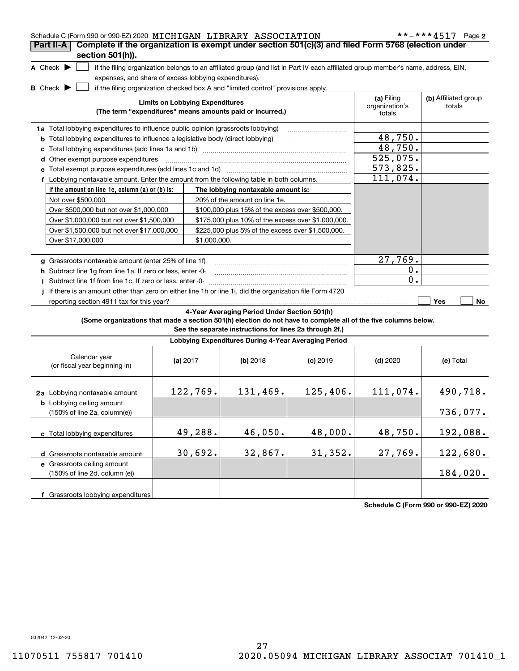| Schedule C (Form 990 or 990-EZ) 2020 MICHIGAN LIBRARY ASSOCIATION                                                                   |                                                                                                 |              |                                                                                                         |                                                                                                                                   |                                        | **-***4517 Page 2              |
|-------------------------------------------------------------------------------------------------------------------------------------|-------------------------------------------------------------------------------------------------|--------------|---------------------------------------------------------------------------------------------------------|-----------------------------------------------------------------------------------------------------------------------------------|----------------------------------------|--------------------------------|
| Complete if the organization is exempt under section 501(c)(3) and filed Form 5768 (election under<br>Part II-A<br>section 501(h)). |                                                                                                 |              |                                                                                                         |                                                                                                                                   |                                        |                                |
| A Check $\blacktriangleright$                                                                                                       |                                                                                                 |              |                                                                                                         | if the filing organization belongs to an affiliated group (and list in Part IV each affiliated group member's name, address, EIN, |                                        |                                |
| expenses, and share of excess lobbying expenditures).                                                                               |                                                                                                 |              |                                                                                                         |                                                                                                                                   |                                        |                                |
| <b>B</b> Check $\blacktriangleright$                                                                                                |                                                                                                 |              | if the filing organization checked box A and "limited control" provisions apply.                        |                                                                                                                                   |                                        |                                |
|                                                                                                                                     | <b>Limits on Lobbying Expenditures</b>                                                          |              | (The term "expenditures" means amounts paid or incurred.)                                               |                                                                                                                                   | (a) Filing<br>organization's<br>totals | (b) Affiliated group<br>totals |
| 1a Total lobbying expenditures to influence public opinion (grassroots lobbying)                                                    |                                                                                                 |              |                                                                                                         |                                                                                                                                   |                                        |                                |
| <b>b</b> Total lobbying expenditures to influence a legislative body (direct lobbying)                                              |                                                                                                 |              |                                                                                                         |                                                                                                                                   | 48,750.                                |                                |
| c                                                                                                                                   |                                                                                                 |              |                                                                                                         |                                                                                                                                   | 48,750.                                |                                |
| d Other exempt purpose expenditures                                                                                                 |                                                                                                 |              |                                                                                                         |                                                                                                                                   | 525,075.                               |                                |
| e Total exempt purpose expenditures (add lines 1c and 1d) manufactured contains an example Total exempt purpose                     |                                                                                                 |              |                                                                                                         |                                                                                                                                   | 573,825.                               |                                |
| f Lobbying nontaxable amount. Enter the amount from the following table in both columns.                                            |                                                                                                 |              |                                                                                                         |                                                                                                                                   | 111,074.                               |                                |
| If the amount on line 1e, column $(a)$ or $(b)$ is:                                                                                 |                                                                                                 |              | The lobbying nontaxable amount is:                                                                      |                                                                                                                                   |                                        |                                |
| Not over \$500,000                                                                                                                  |                                                                                                 |              | 20% of the amount on line 1e.                                                                           |                                                                                                                                   |                                        |                                |
| Over \$500,000 but not over \$1,000,000                                                                                             |                                                                                                 |              | \$100,000 plus 15% of the excess over \$500,000.                                                        |                                                                                                                                   |                                        |                                |
| Over \$1,000,000 but not over \$1,500,000                                                                                           |                                                                                                 |              | \$175,000 plus 10% of the excess over \$1,000,000.                                                      |                                                                                                                                   |                                        |                                |
|                                                                                                                                     | Over \$1,500,000 but not over \$17,000,000<br>\$225,000 plus 5% of the excess over \$1,500,000. |              |                                                                                                         |                                                                                                                                   |                                        |                                |
| Over \$17,000,000                                                                                                                   |                                                                                                 | \$1,000,000. |                                                                                                         |                                                                                                                                   |                                        |                                |
|                                                                                                                                     |                                                                                                 |              |                                                                                                         |                                                                                                                                   |                                        |                                |
| g Grassroots nontaxable amount (enter 25% of line 1f)                                                                               |                                                                                                 |              |                                                                                                         |                                                                                                                                   | 27,769.                                |                                |
| h Subtract line 1g from line 1a. If zero or less, enter -0-                                                                         |                                                                                                 |              |                                                                                                         |                                                                                                                                   | 0.                                     |                                |
| i Subtract line 1f from line 1c. If zero or less, enter -0-                                                                         |                                                                                                 |              |                                                                                                         |                                                                                                                                   | 0.                                     |                                |
| If there is an amount other than zero on either line 1h or line 1i, did the organization file Form 4720                             |                                                                                                 |              |                                                                                                         |                                                                                                                                   |                                        |                                |
| reporting section 4911 tax for this year?                                                                                           |                                                                                                 |              |                                                                                                         |                                                                                                                                   |                                        | Yes<br>No                      |
| (Some organizations that made a section 501(h) election do not have to complete all of the five columns below.                      |                                                                                                 |              | 4-Year Averaging Period Under Section 501(h)<br>See the separate instructions for lines 2a through 2f.) |                                                                                                                                   |                                        |                                |
|                                                                                                                                     |                                                                                                 |              | Lobbying Expenditures During 4-Year Averaging Period                                                    |                                                                                                                                   |                                        |                                |
| Calendar year<br>(or fiscal year beginning in)                                                                                      | (a) $2017$                                                                                      |              | (b) 2018                                                                                                | $(c)$ 2019                                                                                                                        | (d) $2020$                             | (e) Total                      |
| 2a Lobbying nontaxable amount                                                                                                       | 122,769.                                                                                        |              | 131,469.                                                                                                | 125,406.                                                                                                                          | 111,074.                               | 490,718.                       |
| <b>b</b> Lobbying ceiling amount<br>(150% of line 2a, column(e))                                                                    |                                                                                                 |              |                                                                                                         |                                                                                                                                   |                                        | 736,077.                       |
| c Total lobbying expenditures                                                                                                       | 49,288.                                                                                         |              | 46,050.                                                                                                 | 48,000.                                                                                                                           | 48,750.                                | 192,088.                       |
| d Grassroots nontaxable amount                                                                                                      | 30,692.                                                                                         |              | 32,867.                                                                                                 | 31,352.                                                                                                                           | 27,769.                                | 122,680.                       |
| e Grassroots ceiling amount                                                                                                         |                                                                                                 |              |                                                                                                         |                                                                                                                                   |                                        |                                |
| (150% of line 2d, column (e))                                                                                                       |                                                                                                 |              |                                                                                                         |                                                                                                                                   |                                        | 184,020.                       |
| f Grassroots lobbying expenditures                                                                                                  |                                                                                                 |              |                                                                                                         |                                                                                                                                   |                                        |                                |

**Schedule C (Form 990 or 990-EZ) 2020**

032042 12-02-20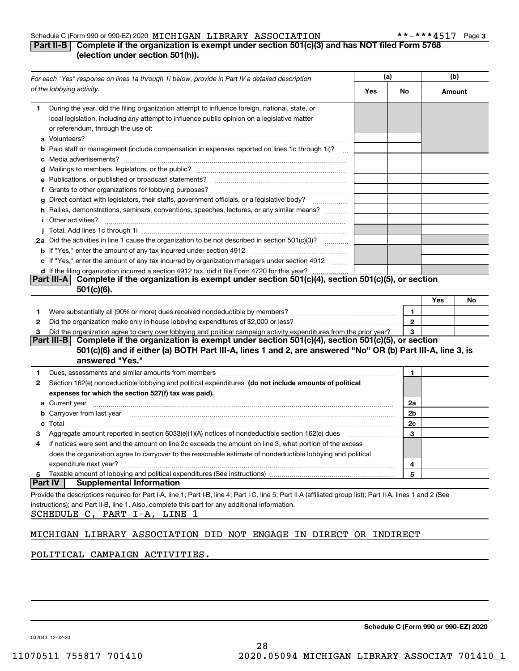### Schedule C (Form 990 or 990-EZ) 2020 <code>MICHIGAN LIBRARY ASSOCIATION</code> \*\*\*\*\*\*4517 Page

## **3**

## **Part II-B** Complete if the organization is exempt under section 501(c)(3) and has NOT filed Form 5768 **(election under section 501(h)).**

| For each "Yes" response on lines 1a through 1i below, provide in Part IV a detailed description                                                                                                                                     | (a) |              | (b)    |    |
|-------------------------------------------------------------------------------------------------------------------------------------------------------------------------------------------------------------------------------------|-----|--------------|--------|----|
| of the lobbying activity.                                                                                                                                                                                                           | Yes | No.          | Amount |    |
| During the year, did the filing organization attempt to influence foreign, national, state, or<br>1<br>local legislation, including any attempt to influence public opinion on a legislative matter                                 |     |              |        |    |
| or referendum, through the use of:                                                                                                                                                                                                  |     |              |        |    |
|                                                                                                                                                                                                                                     |     |              |        |    |
| <b>b</b> Paid staff or management (include compensation in expenses reported on lines 1c through 1i)?                                                                                                                               |     |              |        |    |
|                                                                                                                                                                                                                                     |     |              |        |    |
| e Publications, or published or broadcast statements?                                                                                                                                                                               |     |              |        |    |
| f Grants to other organizations for lobbying purposes?                                                                                                                                                                              |     |              |        |    |
| Direct contact with legislators, their staffs, government officials, or a legislative body?<br>g<br>.                                                                                                                               |     |              |        |    |
| h Rallies, demonstrations, seminars, conventions, speeches, lectures, or any similar means?                                                                                                                                         |     |              |        |    |
| <i>i</i> Other activities?                                                                                                                                                                                                          |     |              |        |    |
|                                                                                                                                                                                                                                     |     |              |        |    |
| 2a Did the activities in line 1 cause the organization to be not described in section 501(c)(3)?                                                                                                                                    |     |              |        |    |
|                                                                                                                                                                                                                                     |     |              |        |    |
| c If "Yes," enter the amount of any tax incurred by organization managers under section 4912                                                                                                                                        |     |              |        |    |
| d If the filing organization incurred a section 4912 tax, did it file Form 4720 for this year?                                                                                                                                      |     |              |        |    |
| Complete if the organization is exempt under section 501(c)(4), section 501(c)(5), or section<br> Part III-A                                                                                                                        |     |              |        |    |
| $501(c)(6)$ .                                                                                                                                                                                                                       |     |              |        |    |
|                                                                                                                                                                                                                                     |     |              | Yes    | No |
| 1.                                                                                                                                                                                                                                  |     | 1            |        |    |
| 2                                                                                                                                                                                                                                   |     | $\mathbf{2}$ |        |    |
| Did the organization agree to carry over lobbying and political campaign activity expenditures from the prior year?<br>з                                                                                                            |     | 3            |        |    |
| Complete if the organization is exempt under section 501(c)(4), section 501(c)(5), or section<br> Part III-B                                                                                                                        |     |              |        |    |
| 501(c)(6) and if either (a) BOTH Part III-A, lines 1 and 2, are answered "No" OR (b) Part III-A, line 3, is                                                                                                                         |     |              |        |    |
| answered "Yes."                                                                                                                                                                                                                     |     |              |        |    |
| Dues, assessments and similar amounts from members [11] matter content to the state of the state of the state of the state of the state of the state of the state of the state of the state of the state of the state of the s<br>1 |     | 1            |        |    |
| Section 162(e) nondeductible lobbying and political expenditures (do not include amounts of political<br>2                                                                                                                          |     |              |        |    |
| expenses for which the section 527(f) tax was paid).                                                                                                                                                                                |     |              |        |    |
|                                                                                                                                                                                                                                     |     | 2a           |        |    |
| <b>b</b> Carryover from last year 2000 minimum construction contracts and construct the construction of the construction of the construction of the construction of the construction of the construction of the construction of the |     | 2b           |        |    |
| c                                                                                                                                                                                                                                   |     | 2c           |        |    |
| Aggregate amount reported in section 6033(e)(1)(A) notices of nondeductible section 162(e) dues                                                                                                                                     |     | 3            |        |    |
| If notices were sent and the amount on line 2c exceeds the amount on line 3, what portion of the excess<br>4                                                                                                                        |     |              |        |    |
| does the organization agree to carryover to the reasonable estimate of nondeductible lobbying and political                                                                                                                         |     |              |        |    |
| expenditure next year?                                                                                                                                                                                                              |     | 4            |        |    |
| Taxable amount of lobbying and political expenditures (See instructions)<br>5                                                                                                                                                       |     | 5            |        |    |
| <b>Part IV</b><br><b>Supplemental Information</b>                                                                                                                                                                                   |     |              |        |    |
| Provide the descriptions required for Part I-A, line 1; Part I-B, line 4; Part I-C, line 5; Part II-A (affiliated group list); Part II-A, lines 1 and 2 (See                                                                        |     |              |        |    |
| instructions); and Part II-B, line 1. Also, complete this part for any additional information.                                                                                                                                      |     |              |        |    |
| SCHEDULE C, PART I-A, LINE 1                                                                                                                                                                                                        |     |              |        |    |
|                                                                                                                                                                                                                                     |     |              |        |    |

## MICHIGAN LIBRARY ASSOCIATION DID NOT ENGAGE IN DIRECT OR INDIRECT

## POLITICAL CAMPAIGN ACTIVITIES.

**Schedule C (Form 990 or 990-EZ) 2020**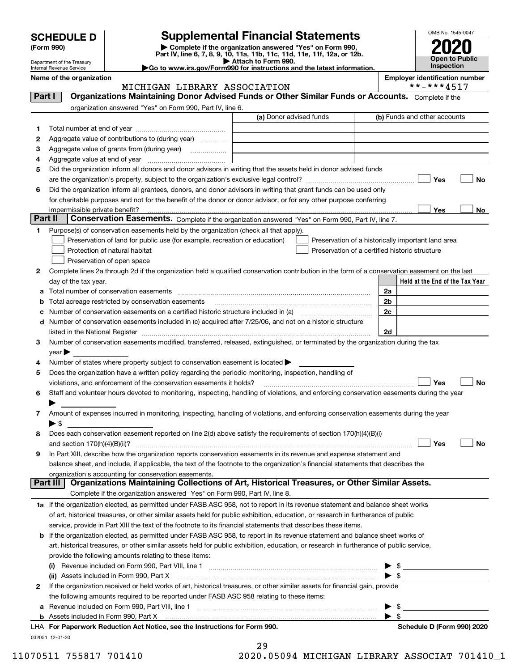| <b>SCHEDULE D</b> |  |
|-------------------|--|
|-------------------|--|

| (Form 990) |  |
|------------|--|
|------------|--|

# **SCHEDULE D Supplemental Financial Statements**

(Form 990)<br>
Pepartment of the Treasury<br>
Department of the Treasury<br>
Department of the Treasury<br>
Department of the Treasury<br> **Co to www.irs.gov/Form990 for instructions and the latest information.**<br> **Co to www.irs.gov/Form9** 



Department of the Treasury Internal Revenue Service

Name of the organization<br>**MTCHTGAN LIBRARY ASSOCTATION Employer identification number**<br>\*\*-\*\**\*1*517

|         | MICHIGAN LIBRARY ASSOCIATION                                                                                                                          |                                                | **-***4517                                         |
|---------|-------------------------------------------------------------------------------------------------------------------------------------------------------|------------------------------------------------|----------------------------------------------------|
| Part I  | Organizations Maintaining Donor Advised Funds or Other Similar Funds or Accounts. Complete if the                                                     |                                                |                                                    |
|         | organization answered "Yes" on Form 990, Part IV, line 6.                                                                                             |                                                |                                                    |
|         |                                                                                                                                                       | (a) Donor advised funds                        | (b) Funds and other accounts                       |
| 1       |                                                                                                                                                       |                                                |                                                    |
| 2       | Aggregate value of contributions to (during year)                                                                                                     |                                                |                                                    |
| з       | Aggregate value of grants from (during year) <i></i>                                                                                                  |                                                |                                                    |
| 4       |                                                                                                                                                       |                                                |                                                    |
| 5       | Did the organization inform all donors and donor advisors in writing that the assets held in donor advised funds                                      |                                                |                                                    |
|         |                                                                                                                                                       |                                                | Yes<br>No                                          |
| 6       | Did the organization inform all grantees, donors, and donor advisors in writing that grant funds can be used only                                     |                                                |                                                    |
|         | for charitable purposes and not for the benefit of the donor or donor advisor, or for any other purpose conferring                                    |                                                |                                                    |
|         | impermissible private benefit?                                                                                                                        |                                                | Yes<br>No                                          |
| Part II | <b>Conservation Easements.</b> Complete if the organization answered "Yes" on Form 990, Part IV, line 7.                                              |                                                |                                                    |
| 1.      | Purpose(s) of conservation easements held by the organization (check all that apply).                                                                 |                                                |                                                    |
|         |                                                                                                                                                       |                                                |                                                    |
|         | Preservation of land for public use (for example, recreation or education)<br>Protection of natural habitat                                           | Preservation of a certified historic structure | Preservation of a historically important land area |
|         | Preservation of open space                                                                                                                            |                                                |                                                    |
|         |                                                                                                                                                       |                                                |                                                    |
| 2       | Complete lines 2a through 2d if the organization held a qualified conservation contribution in the form of a conservation easement on the last        |                                                | Held at the End of the Tax Year                    |
|         | day of the tax year.                                                                                                                                  |                                                |                                                    |
|         | a Total number of conservation easements                                                                                                              |                                                | 2a                                                 |
|         | Total acreage restricted by conservation easements                                                                                                    |                                                | 2 <sub>b</sub>                                     |
|         | Number of conservation easements on a certified historic structure included in (a) manufacture included in (a)                                        |                                                | 2c                                                 |
|         | d Number of conservation easements included in (c) acquired after 7/25/06, and not on a historic structure                                            |                                                |                                                    |
|         |                                                                                                                                                       |                                                | 2d                                                 |
| 3       | Number of conservation easements modified, transferred, released, extinguished, or terminated by the organization during the tax                      |                                                |                                                    |
|         | $\vee$ ear $\blacktriangleright$                                                                                                                      |                                                |                                                    |
| 4       | Number of states where property subject to conservation easement is located >                                                                         |                                                |                                                    |
| 5       | Does the organization have a written policy regarding the periodic monitoring, inspection, handling of                                                |                                                |                                                    |
|         | violations, and enforcement of the conservation easements it holds?                                                                                   |                                                | Yes<br>No                                          |
| 6       | Staff and volunteer hours devoted to monitoring, inspecting, handling of violations, and enforcing conservation easements during the year             |                                                |                                                    |
|         |                                                                                                                                                       |                                                |                                                    |
| 7       | Amount of expenses incurred in monitoring, inspecting, handling of violations, and enforcing conservation easements during the year                   |                                                |                                                    |
|         | ▶ \$                                                                                                                                                  |                                                |                                                    |
| 8       | Does each conservation easement reported on line 2(d) above satisfy the requirements of section 170(h)(4)(B)(i)                                       |                                                |                                                    |
|         | and section $170(h)(4)(B)(ii)?$                                                                                                                       |                                                | Yes<br>No                                          |
| 9       | In Part XIII, describe how the organization reports conservation easements in its revenue and expense statement and                                   |                                                |                                                    |
|         | balance sheet, and include, if applicable, the text of the footnote to the organization's financial statements that describes the                     |                                                |                                                    |
|         | organization's accounting for conservation easements.<br>Organizations Maintaining Collections of Art, Historical Treasures, or Other Similar Assets. |                                                |                                                    |
|         | Part III                                                                                                                                              |                                                |                                                    |
|         | Complete if the organization answered "Yes" on Form 990, Part IV, line 8.                                                                             |                                                |                                                    |
|         | 1a If the organization elected, as permitted under FASB ASC 958, not to report in its revenue statement and balance sheet works                       |                                                |                                                    |
|         | of art, historical treasures, or other similar assets held for public exhibition, education, or research in furtherance of public                     |                                                |                                                    |
|         | service, provide in Part XIII the text of the footnote to its financial statements that describes these items.                                        |                                                |                                                    |
|         | <b>b</b> If the organization elected, as permitted under FASB ASC 958, to report in its revenue statement and balance sheet works of                  |                                                |                                                    |
|         | art, historical treasures, or other similar assets held for public exhibition, education, or research in furtherance of public service,               |                                                |                                                    |
|         | provide the following amounts relating to these items:                                                                                                |                                                |                                                    |
|         |                                                                                                                                                       |                                                | \$                                                 |
|         | (ii) Assets included in Form 990, Part X                                                                                                              |                                                | $\blacktriangleright$ s                            |
| 2       | If the organization received or held works of art, historical treasures, or other similar assets for financial gain, provide                          |                                                |                                                    |
|         | the following amounts required to be reported under FASB ASC 958 relating to these items:                                                             |                                                |                                                    |
| а       |                                                                                                                                                       |                                                | \$                                                 |
|         |                                                                                                                                                       |                                                | $\blacktriangleright$ s                            |
|         | LHA For Paperwork Reduction Act Notice, see the Instructions for Form 990.                                                                            |                                                | Schedule D (Form 990) 2020                         |
|         | 032051 12-01-20                                                                                                                                       |                                                |                                                    |

| 29 |                                |  |
|----|--------------------------------|--|
|    | 0.05094 MICHIGAN LIBRARY ASSOC |  |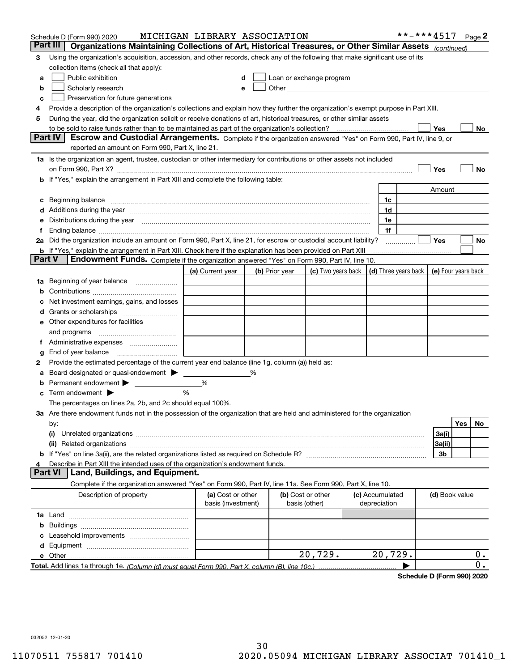|        | Schedule D (Form 990) 2020                                                                                                                                                                                                     | MICHIGAN LIBRARY ASSOCIATION            |   |                |                                                                                                                                                                                                                               |                 |              | **-***4517                                 |                |     | Page 2        |
|--------|--------------------------------------------------------------------------------------------------------------------------------------------------------------------------------------------------------------------------------|-----------------------------------------|---|----------------|-------------------------------------------------------------------------------------------------------------------------------------------------------------------------------------------------------------------------------|-----------------|--------------|--------------------------------------------|----------------|-----|---------------|
|        | Part III<br>Organizations Maintaining Collections of Art, Historical Treasures, or Other Similar Assets (continued)                                                                                                            |                                         |   |                |                                                                                                                                                                                                                               |                 |              |                                            |                |     |               |
| 3      | Using the organization's acquisition, accession, and other records, check any of the following that make significant use of its                                                                                                |                                         |   |                |                                                                                                                                                                                                                               |                 |              |                                            |                |     |               |
|        | collection items (check all that apply):                                                                                                                                                                                       |                                         |   |                |                                                                                                                                                                                                                               |                 |              |                                            |                |     |               |
| а      | Public exhibition                                                                                                                                                                                                              |                                         |   |                | Loan or exchange program                                                                                                                                                                                                      |                 |              |                                            |                |     |               |
| b      | Scholarly research                                                                                                                                                                                                             |                                         |   |                | Other and the contract of the contract of the contract of the contract of the contract of the contract of the contract of the contract of the contract of the contract of the contract of the contract of the contract of the |                 |              |                                            |                |     |               |
| c      | Preservation for future generations                                                                                                                                                                                            |                                         |   |                |                                                                                                                                                                                                                               |                 |              |                                            |                |     |               |
| 4      | Provide a description of the organization's collections and explain how they further the organization's exempt purpose in Part XIII.                                                                                           |                                         |   |                |                                                                                                                                                                                                                               |                 |              |                                            |                |     |               |
| 5      | During the year, did the organization solicit or receive donations of art, historical treasures, or other similar assets                                                                                                       |                                         |   |                |                                                                                                                                                                                                                               |                 |              |                                            |                |     |               |
|        | to be sold to raise funds rather than to be maintained as part of the organization's collection?                                                                                                                               |                                         |   |                |                                                                                                                                                                                                                               |                 |              |                                            | Yes            |     | No            |
|        | <b>Part IV</b><br>Escrow and Custodial Arrangements. Complete if the organization answered "Yes" on Form 990, Part IV, line 9, or                                                                                              |                                         |   |                |                                                                                                                                                                                                                               |                 |              |                                            |                |     |               |
|        | reported an amount on Form 990, Part X, line 21.                                                                                                                                                                               |                                         |   |                |                                                                                                                                                                                                                               |                 |              |                                            |                |     |               |
|        | 1a Is the organization an agent, trustee, custodian or other intermediary for contributions or other assets not included                                                                                                       |                                         |   |                |                                                                                                                                                                                                                               |                 |              |                                            |                |     |               |
|        |                                                                                                                                                                                                                                |                                         |   |                |                                                                                                                                                                                                                               |                 |              |                                            | Yes            |     | No            |
| b      | If "Yes," explain the arrangement in Part XIII and complete the following table:                                                                                                                                               |                                         |   |                |                                                                                                                                                                                                                               |                 |              |                                            |                |     |               |
|        |                                                                                                                                                                                                                                |                                         |   |                |                                                                                                                                                                                                                               |                 |              |                                            | Amount         |     |               |
| с      | Beginning balance measurements and the contract of the contract of the contract of the contract of the contract of the contract of the contract of the contract of the contract of the contract of the contract of the contrac |                                         |   |                |                                                                                                                                                                                                                               |                 | 1c           |                                            |                |     |               |
|        | Additions during the year manufactured and an annual contract of the year manufactured and a set of the year manufactured and a set of the year manufactured and a set of the year manufactured and a set of the year manufact |                                         |   |                |                                                                                                                                                                                                                               |                 | 1d           |                                            |                |     |               |
|        | Distributions during the year manufactured and continuum control of the year manufactured and control of the year manufactured and control of the year manufactured and control of the state of the state of the state of the  |                                         |   |                |                                                                                                                                                                                                                               |                 | 1e<br>1f     |                                            |                |     |               |
|        | 2a Did the organization include an amount on Form 990, Part X, line 21, for escrow or custodial account liability?                                                                                                             |                                         |   |                |                                                                                                                                                                                                                               |                 |              |                                            | Yes            |     | No            |
|        | b If "Yes," explain the arrangement in Part XIII. Check here if the explanation has been provided on Part XIII                                                                                                                 |                                         |   |                |                                                                                                                                                                                                                               |                 |              |                                            |                |     |               |
| Part V | Endowment Funds. Complete if the organization answered "Yes" on Form 990, Part IV, line 10.                                                                                                                                    |                                         |   |                |                                                                                                                                                                                                                               |                 |              |                                            |                |     |               |
|        |                                                                                                                                                                                                                                | (a) Current year                        |   | (b) Prior year | (c) Two years back                                                                                                                                                                                                            |                 |              | (d) Three years back   (e) Four years back |                |     |               |
| 1a     | Beginning of year balance                                                                                                                                                                                                      |                                         |   |                |                                                                                                                                                                                                                               |                 |              |                                            |                |     |               |
|        |                                                                                                                                                                                                                                |                                         |   |                |                                                                                                                                                                                                                               |                 |              |                                            |                |     |               |
|        | Net investment earnings, gains, and losses                                                                                                                                                                                     |                                         |   |                |                                                                                                                                                                                                                               |                 |              |                                            |                |     |               |
|        |                                                                                                                                                                                                                                |                                         |   |                |                                                                                                                                                                                                                               |                 |              |                                            |                |     |               |
|        | e Other expenditures for facilities                                                                                                                                                                                            |                                         |   |                |                                                                                                                                                                                                                               |                 |              |                                            |                |     |               |
|        | and programs                                                                                                                                                                                                                   |                                         |   |                |                                                                                                                                                                                                                               |                 |              |                                            |                |     |               |
|        |                                                                                                                                                                                                                                |                                         |   |                |                                                                                                                                                                                                                               |                 |              |                                            |                |     |               |
|        | End of year balance                                                                                                                                                                                                            |                                         |   |                |                                                                                                                                                                                                                               |                 |              |                                            |                |     |               |
| 2      | Provide the estimated percentage of the current year end balance (line 1g, column (a)) held as:                                                                                                                                |                                         |   |                |                                                                                                                                                                                                                               |                 |              |                                            |                |     |               |
|        | Board designated or quasi-endowment                                                                                                                                                                                            |                                         | % |                |                                                                                                                                                                                                                               |                 |              |                                            |                |     |               |
|        | Permanent endowment > <u>example</u>                                                                                                                                                                                           | %                                       |   |                |                                                                                                                                                                                                                               |                 |              |                                            |                |     |               |
|        | Term endowment $\blacktriangleright$                                                                                                                                                                                           | %                                       |   |                |                                                                                                                                                                                                                               |                 |              |                                            |                |     |               |
|        | The percentages on lines 2a, 2b, and 2c should equal 100%.                                                                                                                                                                     |                                         |   |                |                                                                                                                                                                                                                               |                 |              |                                            |                |     |               |
|        | 3a Are there endowment funds not in the possession of the organization that are held and administered for the organization                                                                                                     |                                         |   |                |                                                                                                                                                                                                                               |                 |              |                                            |                |     |               |
|        | by:                                                                                                                                                                                                                            |                                         |   |                |                                                                                                                                                                                                                               |                 |              |                                            |                | Yes | No            |
|        | (i)                                                                                                                                                                                                                            |                                         |   |                |                                                                                                                                                                                                                               |                 |              |                                            | 3a(i)          |     |               |
|        |                                                                                                                                                                                                                                |                                         |   |                |                                                                                                                                                                                                                               |                 |              |                                            | 3a(ii)         |     |               |
|        |                                                                                                                                                                                                                                |                                         |   |                |                                                                                                                                                                                                                               |                 |              |                                            | 3b             |     |               |
|        | Describe in Part XIII the intended uses of the organization's endowment funds.<br>Land, Buildings, and Equipment.<br>Part VI                                                                                                   |                                         |   |                |                                                                                                                                                                                                                               |                 |              |                                            |                |     |               |
|        |                                                                                                                                                                                                                                |                                         |   |                |                                                                                                                                                                                                                               |                 |              |                                            |                |     |               |
|        | Complete if the organization answered "Yes" on Form 990, Part IV, line 11a. See Form 990, Part X, line 10.                                                                                                                     |                                         |   |                |                                                                                                                                                                                                                               |                 |              |                                            |                |     |               |
|        | Description of property                                                                                                                                                                                                        | (a) Cost or other<br>basis (investment) |   |                | (b) Cost or other<br>basis (other)                                                                                                                                                                                            | (c) Accumulated | depreciation |                                            | (d) Book value |     |               |
|        |                                                                                                                                                                                                                                |                                         |   |                |                                                                                                                                                                                                                               |                 |              |                                            |                |     |               |
|        |                                                                                                                                                                                                                                |                                         |   |                |                                                                                                                                                                                                                               |                 |              |                                            |                |     |               |
| b      |                                                                                                                                                                                                                                |                                         |   |                |                                                                                                                                                                                                                               |                 |              |                                            |                |     |               |
|        |                                                                                                                                                                                                                                |                                         |   |                |                                                                                                                                                                                                                               |                 |              |                                            |                |     |               |
| d      |                                                                                                                                                                                                                                |                                         |   |                | 20,729.                                                                                                                                                                                                                       |                 | 20,729.      |                                            |                |     | $0$ .         |
|        |                                                                                                                                                                                                                                |                                         |   |                |                                                                                                                                                                                                                               |                 |              |                                            |                |     | $\mathbf 0$ . |
|        |                                                                                                                                                                                                                                |                                         |   |                |                                                                                                                                                                                                                               |                 |              | <b>Calcadole D. (Fause 000) 0000</b>       |                |     |               |

**Schedule D (Form 990) 2020**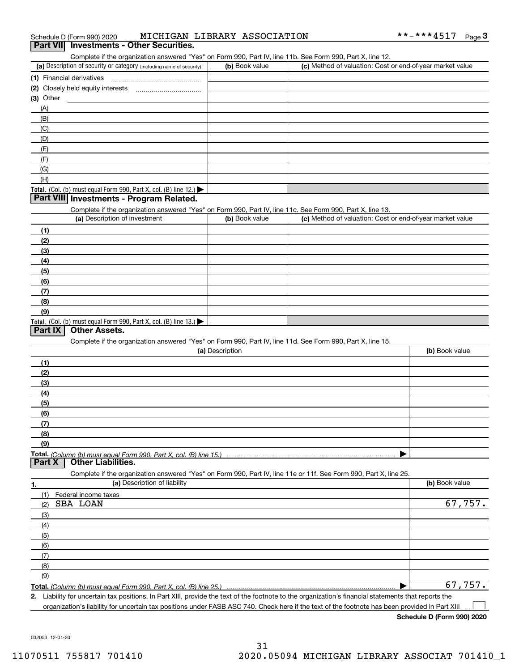| MICHIGAN LIBRARY ASSOCIATION | **-***4517 |
|------------------------------|------------|
| Schedule D (Form 990) 2020   | Page       |

### **Part VII Investments - Other Securities.**

Complete if the organization answered "Yes" on Form 990, Part IV, line 11b. See Form 990, Part X, line 12.

| (a) Description of security or category (including name of security)                   | (b) Book value | (c) Method of valuation: Cost or end-of-year market value |
|----------------------------------------------------------------------------------------|----------------|-----------------------------------------------------------|
| (1) Financial derivatives                                                              |                |                                                           |
| (2) Closely held equity interests<br>                                                  |                |                                                           |
| (3) Other                                                                              |                |                                                           |
| (A)                                                                                    |                |                                                           |
| (B)                                                                                    |                |                                                           |
| (C)                                                                                    |                |                                                           |
| (D)                                                                                    |                |                                                           |
| (E)                                                                                    |                |                                                           |
| (F)                                                                                    |                |                                                           |
| (G)                                                                                    |                |                                                           |
| (H)                                                                                    |                |                                                           |
| Total. (Col. (b) must equal Form 990, Part X, col. (B) line 12.) $\blacktriangleright$ |                |                                                           |

#### **Part VIII Investments - Program Related.**

Complete if the organization answered "Yes" on Form 990, Part IV, line 11c. See Form 990, Part X, line 13.

| (a) Description of investment                                    | (b) Book value | (c) Method of valuation: Cost or end-of-year market value |
|------------------------------------------------------------------|----------------|-----------------------------------------------------------|
| (1)                                                              |                |                                                           |
| (2)                                                              |                |                                                           |
| $\frac{1}{2}$                                                    |                |                                                           |
| (4)                                                              |                |                                                           |
| $\left(5\right)$                                                 |                |                                                           |
| (6)                                                              |                |                                                           |
| (7)                                                              |                |                                                           |
| (8)                                                              |                |                                                           |
| (9)                                                              |                |                                                           |
| Total. (Col. (b) must equal Form 990, Part X, col. (B) line 13.) |                |                                                           |

## **Part IX Other Assets.**

Complete if the organization answered "Yes" on Form 990, Part IV, line 11d. See Form 990, Part X, line 15.

| (a) Description                                                                                                                       | (b) Book value |
|---------------------------------------------------------------------------------------------------------------------------------------|----------------|
|                                                                                                                                       |                |
| (2)                                                                                                                                   |                |
| (3)                                                                                                                                   |                |
| (4)                                                                                                                                   |                |
| (5)                                                                                                                                   |                |
| (6)                                                                                                                                   |                |
|                                                                                                                                       |                |
| (8)                                                                                                                                   |                |
| (9)                                                                                                                                   |                |
|                                                                                                                                       |                |
| Total. (Column (b) must equal Form 990, Part X, col. (B) line 15.) ………………………………………………………………………………………<br>  Part X   Other Liabilities. |                |

**1.(a)** Description of liability **Book value** Book value Book value Book value Book value Complete if the organization answered "Yes" on Form 990, Part IV, line 11e or 11f. See Form 990, Part X, line 25. (1)Federal income taxes (2)(3)(4)(5) (6)(7)(8)(9) $\blacktriangleright$ SBA LOAN 67,757. 67,757.

**Total.**  *(Column (b) must equal Form 990, Part X, col. (B) line 25.)* 

**2.**Liability for uncertain tax positions. In Part XIII, provide the text of the footnote to the organization's financial statements that reports the organization's liability for uncertain tax positions under FASB ASC 740. Check here if the text of the footnote has been provided in Part XIII  $\mathcal{L}^{\text{max}}$ 

**Schedule D (Form 990) 2020**

032053 12-01-20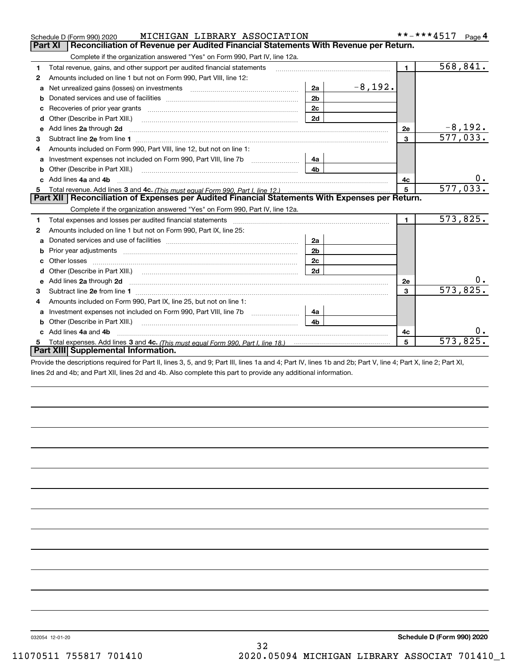|    | MICHIGAN LIBRARY ASSOCIATION<br>Schedule D (Form 990) 2020                                                                                                      |                |           |                | **-***4517 | Page $4$               |
|----|-----------------------------------------------------------------------------------------------------------------------------------------------------------------|----------------|-----------|----------------|------------|------------------------|
|    | Reconciliation of Revenue per Audited Financial Statements With Revenue per Return.<br>Part XI                                                                  |                |           |                |            |                        |
|    | Complete if the organization answered "Yes" on Form 990, Part IV, line 12a.                                                                                     |                |           |                |            |                        |
| 1  | Total revenue, gains, and other support per audited financial statements                                                                                        |                |           | $\blacksquare$ |            | $\overline{568,841}$ . |
| 2  | Amounts included on line 1 but not on Form 990, Part VIII, line 12:                                                                                             |                |           |                |            |                        |
| a  |                                                                                                                                                                 | 2a             | $-8,192.$ |                |            |                        |
| b  |                                                                                                                                                                 | 2 <sub>b</sub> |           |                |            |                        |
|    |                                                                                                                                                                 | 2c             |           |                |            |                        |
| d  |                                                                                                                                                                 | 2d             |           |                |            |                        |
| е  | Add lines 2a through 2d                                                                                                                                         |                |           | <b>2e</b>      |            | $-8,192.$              |
| З  |                                                                                                                                                                 |                |           | 3              |            | 577,033.               |
| 4  | Amounts included on Form 990, Part VIII, line 12, but not on line 1:                                                                                            |                |           |                |            |                        |
| a  |                                                                                                                                                                 | 4a             |           |                |            |                        |
| b  |                                                                                                                                                                 | 4 <sub>h</sub> |           |                |            |                        |
|    | Add lines 4a and 4b                                                                                                                                             |                |           | 4c             |            | 0.                     |
| 5  |                                                                                                                                                                 |                |           | 5              |            | 577,033.               |
|    | Part XII   Reconciliation of Expenses per Audited Financial Statements With Expenses per Return.                                                                |                |           |                |            |                        |
|    | Complete if the organization answered "Yes" on Form 990, Part IV, line 12a.                                                                                     |                |           |                |            |                        |
| 1  | Total expenses and losses per audited financial statements                                                                                                      |                |           | $\mathbf{1}$   |            | 573,825.               |
| 2  | Amounts included on line 1 but not on Form 990, Part IX, line 25:                                                                                               |                |           |                |            |                        |
| a  |                                                                                                                                                                 | 2a             |           |                |            |                        |
| b  |                                                                                                                                                                 | 2 <sub>b</sub> |           |                |            |                        |
| с  |                                                                                                                                                                 | 2c             |           |                |            |                        |
| d  | Other (Describe in Part XIII.) (Contract and Contract and Chern Contract) (Chern Chern Chern Chern Chern Chern                                                  | 2d             |           |                |            |                        |
| е  | Add lines 2a through 2d <b>must be a constructed as the constant of the constant of the constant of the construction</b>                                        |                |           | <b>2e</b>      |            |                        |
| 3  |                                                                                                                                                                 |                |           | 3              |            | 573,825.               |
| 4  | Amounts included on Form 990, Part IX, line 25, but not on line 1:                                                                                              |                |           |                |            |                        |
| a  |                                                                                                                                                                 | 4a             |           |                |            |                        |
| b  | Other (Describe in Part XIII.)                                                                                                                                  | 4 <sub>b</sub> |           |                |            |                        |
| c. | Add lines 4a and 4b                                                                                                                                             |                |           | 4c             |            | υ.                     |
| 5. |                                                                                                                                                                 |                |           | 5              |            | 573,825.               |
|    | Part XIII Supplemental Information.                                                                                                                             |                |           |                |            |                        |
|    | Draughs the descriptions required for Dart II, lines 2, 5, and 0; Dart III, lines 10, and 4; Dart IV, lines 1b, and 2b; Dart V, line 4; Dart V, line 2; Dart VI |                |           |                |            |                        |

Provide the descriptions required for Part II, lines 3, 5, and 9; Part III, lines 1a and 4; Part IV, lines 1b and 2b; Part V, line 4; Part X, line 2; Part XI, lines 2d and 4b; and Part XII, lines 2d and 4b. Also complete this part to provide any additional information.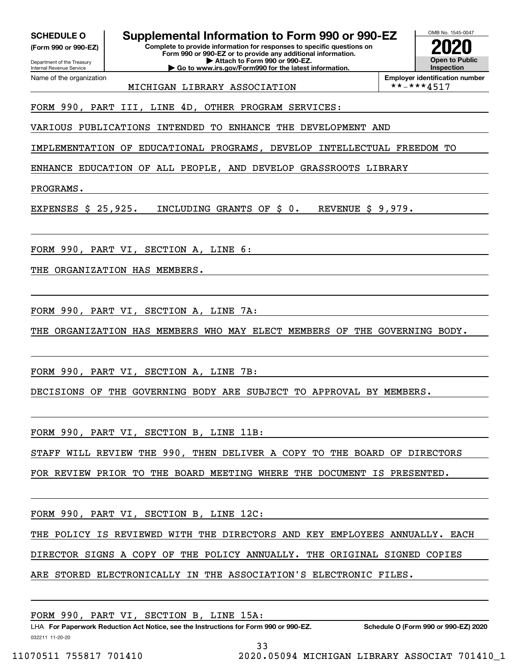**(Form 990 or 990-EZ)**

Department of the Treasury Internal Revenue Service Name of the organization

## **SCHEDULE O Supplemental Information to Form 990 or 990-EZ**

**Complete to provide information for responses to specific questions on Form 990 or 990-EZ or to provide any additional information. | Attach to Form 990 or 990-EZ. | Go to www.irs.gov/Form990 for the latest information.**



**Employer identification number**

MICHIGAN LIBRARY ASSOCIATION \*\*-\*\*\*4517

## FORM 990, PART III, LINE 4D, OTHER PROGRAM SERVICES:

VARIOUS PUBLICATIONS INTENDED TO ENHANCE THE DEVELOPMENT AND

IMPLEMENTATION OF EDUCATIONAL PROGRAMS, DEVELOP INTELLECTUAL FREEDOM TO

ENHANCE EDUCATION OF ALL PEOPLE, AND DEVELOP GRASSROOTS LIBRARY

PROGRAMS.

EXPENSES \$ 25,925. INCLUDING GRANTS OF \$ 0. REVENUE \$ 9,979.

FORM 990, PART VI, SECTION A, LINE 6:

THE ORGANIZATION HAS MEMBERS.

FORM 990, PART VI, SECTION A, LINE 7A:

THE ORGANIZATION HAS MEMBERS WHO MAY ELECT MEMBERS OF THE GOVERNING BODY.

FORM 990, PART VI, SECTION A, LINE 7B:

DECISIONS OF THE GOVERNING BODY ARE SUBJECT TO APPROVAL BY MEMBERS.

FORM 990, PART VI, SECTION B, LINE 11B:

STAFF WILL REVIEW THE 990, THEN DELIVER A COPY TO THE BOARD OF DIRECTORS

FOR REVIEW PRIOR TO THE BOARD MEETING WHERE THE DOCUMENT IS PRESENTED.

FORM 990, PART VI, SECTION B, LINE 12C:

THE POLICY IS REVIEWED WITH THE DIRECTORS AND KEY EMPLOYEES ANNUALLY. EACH

DIRECTOR SIGNS A COPY OF THE POLICY ANNUALLY. THE ORIGINAL SIGNED COPIES

ARE STORED ELECTRONICALLY IN THE ASSOCIATION'S ELECTRONIC FILES.

FORM 990, PART VI, SECTION B, LINE 15A: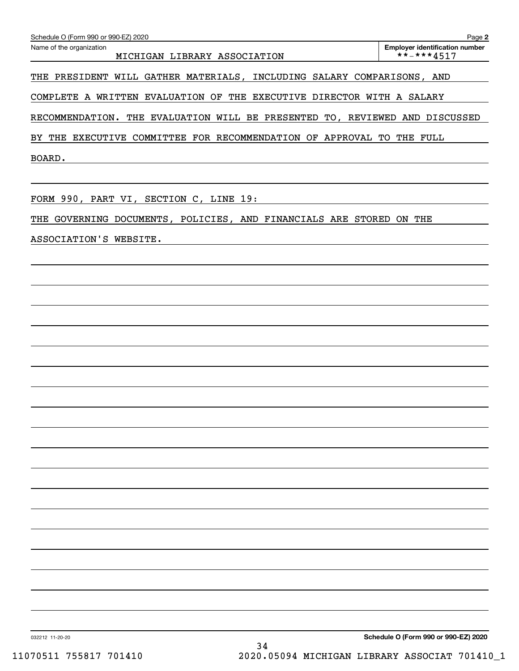| Schedule O (Form 990 or 990-EZ) 2020                                        | Page 2                                              |
|-----------------------------------------------------------------------------|-----------------------------------------------------|
| Name of the organization<br>MICHIGAN LIBRARY ASSOCIATION                    | <b>Employer identification number</b><br>**-***4517 |
| THE PRESIDENT WILL GATHER MATERIALS, INCLUDING SALARY COMPARISONS, AND      |                                                     |
| COMPLETE A WRITTEN EVALUATION OF THE EXECUTIVE DIRECTOR WITH A SALARY       |                                                     |
| RECOMMENDATION. THE EVALUATION WILL BE PRESENTED TO, REVIEWED AND DISCUSSED |                                                     |
| BY THE EXECUTIVE COMMITTEE FOR RECOMMENDATION OF APPROVAL TO THE FULL       |                                                     |
| BOARD.                                                                      |                                                     |
|                                                                             |                                                     |
| FORM 990, PART VI, SECTION C, LINE 19:                                      |                                                     |
| THE GOVERNING DOCUMENTS, POLICIES, AND FINANCIALS ARE STORED ON THE         |                                                     |
| ASSOCIATION'S WEBSITE.                                                      |                                                     |
|                                                                             |                                                     |
|                                                                             |                                                     |
|                                                                             |                                                     |
|                                                                             |                                                     |
|                                                                             |                                                     |
|                                                                             |                                                     |
|                                                                             |                                                     |
|                                                                             |                                                     |
|                                                                             |                                                     |
|                                                                             |                                                     |
|                                                                             |                                                     |
|                                                                             |                                                     |
|                                                                             |                                                     |
|                                                                             |                                                     |
|                                                                             |                                                     |
|                                                                             |                                                     |
|                                                                             |                                                     |
|                                                                             |                                                     |
| 032212 11-20-20<br>34                                                       | Schedule O (Form 990 or 990-EZ) 2020                |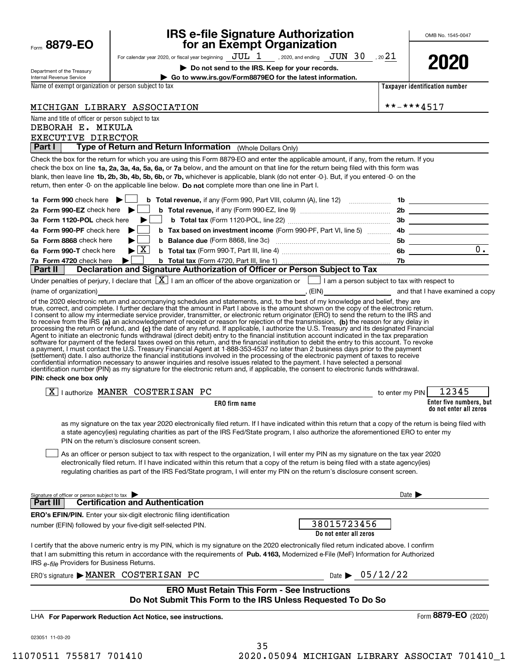|                                                      | For calendar year 2020, or fiscal year beginning $JUL$ 1 , 2020, and ending $JUN$ 30 , 20 21                                                                                                                                                                                                                                                                                                                                                                                                                                                                                                                                                                                                                                                                                                                                                                                                                                                                                                                                                          |                                                                                                                      |                                        |                                | 2020                           |
|------------------------------------------------------|-------------------------------------------------------------------------------------------------------------------------------------------------------------------------------------------------------------------------------------------------------------------------------------------------------------------------------------------------------------------------------------------------------------------------------------------------------------------------------------------------------------------------------------------------------------------------------------------------------------------------------------------------------------------------------------------------------------------------------------------------------------------------------------------------------------------------------------------------------------------------------------------------------------------------------------------------------------------------------------------------------------------------------------------------------|----------------------------------------------------------------------------------------------------------------------|----------------------------------------|--------------------------------|--------------------------------|
| Department of the Treasury                           |                                                                                                                                                                                                                                                                                                                                                                                                                                                                                                                                                                                                                                                                                                                                                                                                                                                                                                                                                                                                                                                       | Do not send to the IRS. Keep for your records.                                                                       |                                        |                                |                                |
| Internal Revenue Service                             |                                                                                                                                                                                                                                                                                                                                                                                                                                                                                                                                                                                                                                                                                                                                                                                                                                                                                                                                                                                                                                                       | Go to www.irs.gov/Form8879EO for the latest information.                                                             |                                        |                                |                                |
| Name of exempt organization or person subject to tax |                                                                                                                                                                                                                                                                                                                                                                                                                                                                                                                                                                                                                                                                                                                                                                                                                                                                                                                                                                                                                                                       |                                                                                                                      |                                        |                                | Taxpayer identification number |
|                                                      |                                                                                                                                                                                                                                                                                                                                                                                                                                                                                                                                                                                                                                                                                                                                                                                                                                                                                                                                                                                                                                                       |                                                                                                                      |                                        |                                | **-***4517                     |
|                                                      | MICHIGAN LIBRARY ASSOCIATION                                                                                                                                                                                                                                                                                                                                                                                                                                                                                                                                                                                                                                                                                                                                                                                                                                                                                                                                                                                                                          |                                                                                                                      |                                        |                                |                                |
| Name and title of officer or person subject to tax   |                                                                                                                                                                                                                                                                                                                                                                                                                                                                                                                                                                                                                                                                                                                                                                                                                                                                                                                                                                                                                                                       |                                                                                                                      |                                        |                                |                                |
| DEBORAH E. MIKULA<br>EXECUTIVE DIRECTOR              |                                                                                                                                                                                                                                                                                                                                                                                                                                                                                                                                                                                                                                                                                                                                                                                                                                                                                                                                                                                                                                                       |                                                                                                                      |                                        |                                |                                |
| Part I                                               | Type of Return and Return Information (Whole Dollars Only)                                                                                                                                                                                                                                                                                                                                                                                                                                                                                                                                                                                                                                                                                                                                                                                                                                                                                                                                                                                            |                                                                                                                      |                                        |                                |                                |
|                                                      |                                                                                                                                                                                                                                                                                                                                                                                                                                                                                                                                                                                                                                                                                                                                                                                                                                                                                                                                                                                                                                                       |                                                                                                                      |                                        |                                |                                |
|                                                      | Check the box for the return for which you are using this Form 8879-EO and enter the applicable amount, if any, from the return. If you<br>check the box on line 1a, 2a, 3a, 4a, 5a, 6a, or 7a below, and the amount on that line for the return being filed with this form was<br>blank, then leave line 1b, 2b, 3b, 4b, 5b, 6b, or 7b, whichever is applicable, blank (do not enter -0-). But, if you entered -0- on the<br>return, then enter -0- on the applicable line below. Do not complete more than one line in Part I.                                                                                                                                                                                                                                                                                                                                                                                                                                                                                                                      |                                                                                                                      |                                        |                                |                                |
|                                                      |                                                                                                                                                                                                                                                                                                                                                                                                                                                                                                                                                                                                                                                                                                                                                                                                                                                                                                                                                                                                                                                       |                                                                                                                      |                                        |                                |                                |
|                                                      | 2a Form 990-EZ check here $\blacktriangleright \Box$ b Total revenue, if any (Form 990-EZ, line 9) $\ldots$ $\ldots$ $\ldots$ $\ldots$ 2b $\ldots$                                                                                                                                                                                                                                                                                                                                                                                                                                                                                                                                                                                                                                                                                                                                                                                                                                                                                                    |                                                                                                                      |                                        |                                |                                |
| 3a Form 1120-POL check here                          | $\blacktriangleright \Box$                                                                                                                                                                                                                                                                                                                                                                                                                                                                                                                                                                                                                                                                                                                                                                                                                                                                                                                                                                                                                            |                                                                                                                      |                                        |                                |                                |
| 4a Form 990-PF check here                            | ▶                                                                                                                                                                                                                                                                                                                                                                                                                                                                                                                                                                                                                                                                                                                                                                                                                                                                                                                                                                                                                                                     |                                                                                                                      |                                        |                                |                                |
| 5a Form 8868 check here                              | ▶                                                                                                                                                                                                                                                                                                                                                                                                                                                                                                                                                                                                                                                                                                                                                                                                                                                                                                                                                                                                                                                     | <b>b</b> Tax based on investment income (roma source , and capture symmetry and the Salance due (Form 8868, line 3c) |                                        |                                |                                |
| 6a Form 990-T check here                             | $\blacktriangleright$ $\boxed{\text{X}}$                                                                                                                                                                                                                                                                                                                                                                                                                                                                                                                                                                                                                                                                                                                                                                                                                                                                                                                                                                                                              |                                                                                                                      |                                        |                                |                                |
| 7a Form 4720 check here                              |                                                                                                                                                                                                                                                                                                                                                                                                                                                                                                                                                                                                                                                                                                                                                                                                                                                                                                                                                                                                                                                       |                                                                                                                      |                                        |                                |                                |
| Part II                                              |                                                                                                                                                                                                                                                                                                                                                                                                                                                                                                                                                                                                                                                                                                                                                                                                                                                                                                                                                                                                                                                       |                                                                                                                      |                                        |                                |                                |
|                                                      | Under penalties of perjury, I declare that $\boxed{\mathbf{X}}$ I am an officer of the above organization or $\boxed{\phantom{\mathbf{X}}}$ I am a person subject to tax with respect to                                                                                                                                                                                                                                                                                                                                                                                                                                                                                                                                                                                                                                                                                                                                                                                                                                                              |                                                                                                                      |                                        |                                |                                |
| (name of organization)                               |                                                                                                                                                                                                                                                                                                                                                                                                                                                                                                                                                                                                                                                                                                                                                                                                                                                                                                                                                                                                                                                       |                                                                                                                      |                                        |                                |                                |
| PIN: check one box only                              | processing the return or refund, and (c) the date of any refund. If applicable, I authorize the U.S. Treasury and its designated Financial<br>Agent to initiate an electronic funds withdrawal (direct debit) entry to the financial institution account indicated in the tax preparation<br>software for payment of the federal taxes owed on this return, and the financial institution to debit the entry to this account. To revoke<br>a payment, I must contact the U.S. Treasury Financial Agent at 1-888-353-4537 no later than 2 business days prior to the payment<br>(settlement) date. I also authorize the financial institutions involved in the processing of the electronic payment of taxes to receive<br>confidential information necessary to answer inquiries and resolve issues related to the payment. I have selected a personal<br>identification number (PIN) as my signature for the electronic return and, if applicable, the consent to electronic funds withdrawal.<br>$\boxed{\text{X}}$   authorize MANER COSTERISAN PC |                                                                                                                      |                                        |                                |                                |
|                                                      |                                                                                                                                                                                                                                                                                                                                                                                                                                                                                                                                                                                                                                                                                                                                                                                                                                                                                                                                                                                                                                                       | ERO firm name                                                                                                        | $\frac{1}{2345}$ to enter my PIN 12345 |                                | Enter five numbers, but        |
|                                                      |                                                                                                                                                                                                                                                                                                                                                                                                                                                                                                                                                                                                                                                                                                                                                                                                                                                                                                                                                                                                                                                       |                                                                                                                      |                                        |                                | do not enter all zeros         |
|                                                      | as my signature on the tax year 2020 electronically filed return. If I have indicated within this return that a copy of the return is being filed with<br>a state agency(ies) regulating charities as part of the IRS Fed/State program, I also authorize the aforementioned ERO to enter my<br>PIN on the return's disclosure consent screen.<br>As an officer or person subject to tax with respect to the organization, I will enter my PIN as my signature on the tax year 2020<br>electronically filed return. If I have indicated within this return that a copy of the return is being filed with a state agency(ies)<br>regulating charities as part of the IRS Fed/State program, I will enter my PIN on the return's disclosure consent screen.                                                                                                                                                                                                                                                                                             |                                                                                                                      |                                        |                                |                                |
| Signature of officer or person subject to tax        |                                                                                                                                                                                                                                                                                                                                                                                                                                                                                                                                                                                                                                                                                                                                                                                                                                                                                                                                                                                                                                                       |                                                                                                                      |                                        |                                | Date $\blacktriangleright$     |
| <b>Part III</b>                                      | <b>Certification and Authentication</b>                                                                                                                                                                                                                                                                                                                                                                                                                                                                                                                                                                                                                                                                                                                                                                                                                                                                                                                                                                                                               |                                                                                                                      |                                        |                                |                                |
|                                                      | <b>ERO's EFIN/PIN.</b> Enter your six-digit electronic filing identification                                                                                                                                                                                                                                                                                                                                                                                                                                                                                                                                                                                                                                                                                                                                                                                                                                                                                                                                                                          |                                                                                                                      |                                        |                                |                                |
|                                                      | number (EFIN) followed by your five-digit self-selected PIN.                                                                                                                                                                                                                                                                                                                                                                                                                                                                                                                                                                                                                                                                                                                                                                                                                                                                                                                                                                                          |                                                                                                                      | 38015723456<br>Do not enter all zeros  |                                |                                |
| IRS e-file Providers for Business Returns.           | I certify that the above numeric entry is my PIN, which is my signature on the 2020 electronically filed return indicated above. I confirm<br>that I am submitting this return in accordance with the requirements of Pub. 4163, Modernized e-File (MeF) Information for Authorized                                                                                                                                                                                                                                                                                                                                                                                                                                                                                                                                                                                                                                                                                                                                                                   |                                                                                                                      |                                        |                                |                                |
|                                                      | ERO's signature MANER COSTERISAN PC                                                                                                                                                                                                                                                                                                                                                                                                                                                                                                                                                                                                                                                                                                                                                                                                                                                                                                                                                                                                                   |                                                                                                                      |                                        | Date $\triangleright$ 05/12/22 |                                |
|                                                      | Do Not Submit This Form to the IRS Unless Requested To Do So                                                                                                                                                                                                                                                                                                                                                                                                                                                                                                                                                                                                                                                                                                                                                                                                                                                                                                                                                                                          | <b>ERO Must Retain This Form - See Instructions</b>                                                                  |                                        |                                |                                |
|                                                      | LHA For Paperwork Reduction Act Notice, see instructions.                                                                                                                                                                                                                                                                                                                                                                                                                                                                                                                                                                                                                                                                                                                                                                                                                                                                                                                                                                                             |                                                                                                                      |                                        |                                | Form 8879-EO (2020)            |
| 023051 11-03-20                                      |                                                                                                                                                                                                                                                                                                                                                                                                                                                                                                                                                                                                                                                                                                                                                                                                                                                                                                                                                                                                                                                       |                                                                                                                      |                                        |                                |                                |

Form **8879-EO**

## For calendar year 2020, or fiscal year beginning  $\sigma$  JUL  $\,$  1 **for an Exempt Organization**

**IRS e-file Signature Authorization**

, 2020, and ending  $JUN$  30 , 20  $21$ 

35 11070511 755817 701410 2020.05094 MICHIGAN LIBRARY ASSOCIAT 701410\_1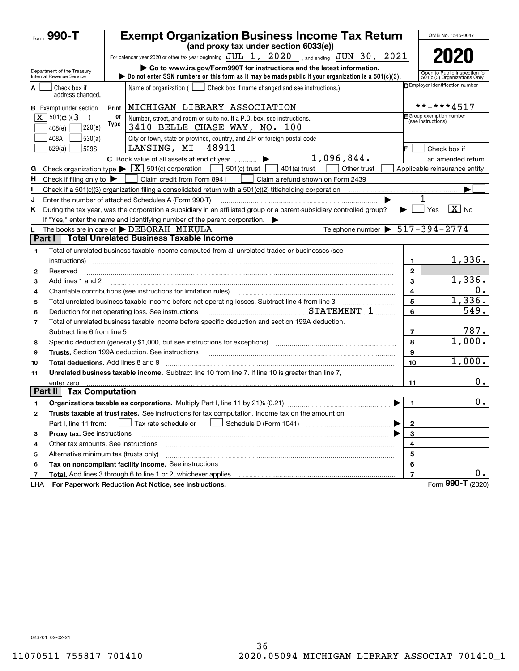| Form $990 - T$                |                                                        |              | <b>Exempt Organization Business Income Tax Return</b>                                                                                                                                               |                | OMB No. 1545-0047                                             |
|-------------------------------|--------------------------------------------------------|--------------|-----------------------------------------------------------------------------------------------------------------------------------------------------------------------------------------------------|----------------|---------------------------------------------------------------|
|                               |                                                        |              | (and proxy tax under section 6033(e))                                                                                                                                                               |                |                                                               |
|                               |                                                        |              | For calendar year 2020 or other tax year beginning $JUL$ 1, $2020$ , and ending $JUN$ 30, $2021$ .                                                                                                  |                | 2020                                                          |
|                               | Department of the Treasury<br>Internal Revenue Service |              | Go to www.irs.gov/Form990T for instructions and the latest information.<br>bo not enter SSN numbers on this form as it may be made public if your organization is a $501(c)(3)$ .                   |                | Open to Public Inspection for<br>501(c)(3) Organizations Only |
| A                             | Check box if<br>address changed.                       |              | Name of organization $($<br>Check box if name changed and see instructions.)                                                                                                                        |                | DEmployer identification number                               |
|                               | <b>B</b> Exempt under section                          | <b>Print</b> | MICHIGAN LIBRARY ASSOCIATION                                                                                                                                                                        |                | **-***4517                                                    |
| $\boxed{\mathbf{X}}$ 501(c)(3 | 220(e)<br>408(e)                                       | 0r<br>Type   | Number, street, and room or suite no. If a P.O. box, see instructions.<br>3410 BELLE CHASE WAY, NO. 100                                                                                             |                | E Group exemption number<br>(see instructions)                |
| 408A                          | 530(a) <br>529S<br>529(a)                              |              | City or town, state or province, country, and ZIP or foreign postal code<br>48911<br>LANSING, MI                                                                                                    | lF.            | Check box if                                                  |
|                               |                                                        |              | 1,096,844.<br>C Book value of all assets at end of year<br>▶                                                                                                                                        |                | an amended return.                                            |
| G                             |                                                        |              | Check organization type $\blacktriangleright \boxed{X}$ 501(c) corporation<br>501(c) trust<br>401(a) trust<br>Other trust                                                                           |                | Applicable reinsurance entity                                 |
| Н.                            | Check if filing only to $\blacktriangleright$          |              | Claim credit from Form 8941<br>Claim a refund shown on Form 2439                                                                                                                                    |                |                                                               |
|                               |                                                        |              |                                                                                                                                                                                                     |                |                                                               |
|                               |                                                        |              | Enter the number of attached Schedules A (Form 990-T)<br>▶                                                                                                                                          |                |                                                               |
| Κ                             |                                                        |              | During the tax year, was the corporation a subsidiary in an affiliated group or a parent-subsidiary controlled group?<br>If "Yes," enter the name and identifying number of the parent corporation. |                | $\overline{X}$ No<br>Yes                                      |
|                               |                                                        |              | Telephone number $\triangleright$ 517-394-2774<br>The books are in care of DEBORAH MIKULA                                                                                                           |                |                                                               |
| Part I                        |                                                        |              | <b>Total Unrelated Business Taxable Income</b>                                                                                                                                                      |                |                                                               |
| 1                             |                                                        |              | Total of unrelated business taxable income computed from all unrelated trades or businesses (see                                                                                                    |                |                                                               |
|                               | instructions)                                          |              |                                                                                                                                                                                                     | 1              | 1,336.                                                        |
| 2                             | Reserved                                               |              |                                                                                                                                                                                                     | $\mathbf{2}$   |                                                               |
| 3                             | Add lines 1 and 2                                      |              |                                                                                                                                                                                                     | 3              | 1,336.                                                        |
| 4                             |                                                        |              | Charitable contributions (see instructions for limitation rules)                                                                                                                                    | 4              | 0.                                                            |
| 5                             |                                                        |              | Total unrelated business taxable income before net operating losses. Subtract line 4 from line 3                                                                                                    | 5              | 1,336.                                                        |
| 6                             |                                                        |              | STATEMENT 1<br>Deduction for net operating loss. See instructions                                                                                                                                   | 6              | $\overline{549}$ .                                            |
| $\overline{7}$                |                                                        |              | Total of unrelated business taxable income before specific deduction and section 199A deduction.                                                                                                    |                |                                                               |
|                               | Subtract line 6 from line 5                            |              |                                                                                                                                                                                                     | 7              | $\frac{787}{1,000}$ .                                         |
| 8                             |                                                        |              | Specific deduction (generally \$1,000, but see instructions for exceptions) manufactured in the substitution of                                                                                     | 8              |                                                               |
| 9                             |                                                        |              | <b>Trusts.</b> Section 199A deduction. See instructions                                                                                                                                             | 9              |                                                               |
| 10                            | Total deductions. Add lines 8 and 9                    |              |                                                                                                                                                                                                     | 10             | 1,000.                                                        |
| 11                            |                                                        |              | Unrelated business taxable income. Subtract line 10 from line 7. If line 10 is greater than line 7.                                                                                                 |                |                                                               |
|                               | enter zero                                             |              |                                                                                                                                                                                                     | 11             | 0.                                                            |
| Part II                       | <b>Tax Computation</b>                                 |              |                                                                                                                                                                                                     |                |                                                               |
|                               |                                                        |              | Organizations taxable as corporations. Multiply Part I, line 11 by 21% (0.21)                                                                                                                       | $\mathbf{1}$   | $0$ .                                                         |
| 2                             |                                                        |              | Trusts taxable at trust rates. See instructions for tax computation. Income tax on the amount on                                                                                                    |                |                                                               |
|                               | Part I, line 11 from:                                  |              | Schedule D (Form 1041)<br>Tax rate schedule or                                                                                                                                                      | $\mathbf{2}$   |                                                               |
| з                             | Proxy tax. See instructions                            |              |                                                                                                                                                                                                     | 3              |                                                               |
| 4                             | Other tax amounts. See instructions                    |              |                                                                                                                                                                                                     | 4              |                                                               |
| 5                             | Alternative minimum tax (trusts only)                  |              |                                                                                                                                                                                                     | 5              |                                                               |
| 6                             |                                                        |              | Tax on noncompliant facility income. See instructions                                                                                                                                               | 6              |                                                               |
| 7                             |                                                        |              | Total. Add lines 3 through 6 to line 1 or 2, whichever applies                                                                                                                                      | $\overline{7}$ | $0$ .                                                         |
| LHA                           |                                                        |              | For Paperwork Reduction Act Notice, see instructions.                                                                                                                                               |                | Form 990-T (2020)                                             |

023701 02-02-21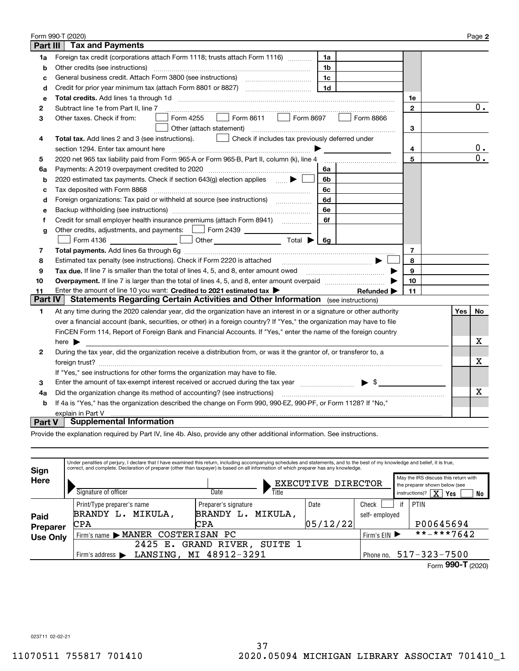|                 | Form 990-T (2020)                                                                                                       |              |     | Page 2 |
|-----------------|-------------------------------------------------------------------------------------------------------------------------|--------------|-----|--------|
| <b>Part III</b> | <b>Tax and Payments</b>                                                                                                 |              |     |        |
| 1a              | Foreign tax credit (corporations attach Form 1118; trusts attach Form 1116) [[[[[[[[[[[[[[[[[[[[[[[[<br>1a              |              |     |        |
| b               | Other credits (see instructions)<br>1b                                                                                  |              |     |        |
| c               | 1c                                                                                                                      |              |     |        |
| d               | 1 <sub>d</sub><br>Credit for prior year minimum tax (attach Form 8801 or 8827)                                          |              |     |        |
| е               |                                                                                                                         | 1e           |     |        |
| 2               | Subtract line 1e from Part II, line 7                                                                                   | $\mathbf{2}$ |     | 0.     |
| 3               | Form 8611<br>Form 4255<br>Form 8697<br>Form 8866<br>Other taxes. Check if from:<br>$\mathbf{1}$                         |              |     |        |
|                 | Other (attach statement)                                                                                                | 3            |     |        |
| 4               | Check if includes tax previously deferred under<br>Total tax. Add lines 2 and 3 (see instructions).                     |              |     |        |
|                 | section 1294. Enter tax amount here                                                                                     | 4            |     | 0.     |
| 5               | 2020 net 965 tax liability paid from Form 965-A or Form 965-B, Part II, column (k), line 4                              | 5            |     | 0.     |
| 6a              | Payments: A 2019 overpayment credited to 2020 [11] [11] maximum materials: A 2019 overpayment credited to 2020<br>6a    |              |     |        |
| b               | 2020 estimated tax payments. Check if section 643(g) election applies $\blacktriangleright$<br>6b                       |              |     |        |
| c               | Tax deposited with Form 8868<br>6с                                                                                      |              |     |        |
| d               | Foreign organizations: Tax paid or withheld at source (see instructions) [<br>6d                                        |              |     |        |
| e               | 6e                                                                                                                      |              |     |        |
| f               | 6f                                                                                                                      |              |     |        |
| g               | Other credits, adjustments, and payments:   Form 2439                                                                   |              |     |        |
|                 | Other $\overline{\hspace{1cm}}$ Total $\blacktriangleright$ $\overline{\hspace{1cm}}$ 6g<br>Form 4136                   |              |     |        |
| 7               |                                                                                                                         | 7            |     |        |
| 8               | Estimated tax penalty (see instructions). Check if Form 2220 is attached                                                | 8            |     |        |
| 9               | Tax due. If line 7 is smaller than the total of lines 4, 5, and 8, enter amount owed <b>Face and Conservers</b> in the  | 9            |     |        |
| 10              |                                                                                                                         | 10           |     |        |
| 11              | Enter the amount of line 10 you want: Credited to 2021 estimated tax<br>Refunded $\blacktriangleright$                  | 11           |     |        |
| Part IV         | <b>Statements Regarding Certain Activities and Other Information</b> (see instructions)                                 |              |     |        |
| 1               | At any time during the 2020 calendar year, did the organization have an interest in or a signature or other authority   |              | Yes | No     |
|                 | over a financial account (bank, securities, or other) in a foreign country? If "Yes," the organization may have to file |              |     |        |
|                 | FinCEN Form 114, Report of Foreign Bank and Financial Accounts. If "Yes," enter the name of the foreign country         |              |     |        |
|                 | here $\blacktriangleright$                                                                                              |              |     | х      |
| 2               | During the tax year, did the organization receive a distribution from, or was it the grantor of, or transferor to, a    |              |     |        |
|                 |                                                                                                                         |              |     | Х      |
|                 | If "Yes," see instructions for other forms the organization may have to file.                                           |              |     |        |
| 3               | Enter the amount of tax-exempt interest received or accrued during the tax year manufactured $\blacktriangleright$ \$   |              |     |        |
| 4a              | Did the organization change its method of accounting? (see instructions)                                                |              |     | x      |
| b               | If 4a is "Yes," has the organization described the change on Form 990, 990-EZ, 990-PF, or Form 1128? If "No,"           |              |     |        |
|                 | explain in Part V                                                                                                       |              |     |        |
| <b>Part V</b>   | <b>Supplemental Information</b>                                                                                         |              |     |        |

Provide the explanation required by Part IV, line 4b. Also, provide any other additional information. See instructions.

| Sign            | Under penalties of periury, I declare that I have examined this return, including accompanying schedules and statements, and to the best of my knowledge and belief, it is true,<br>correct, and complete. Declaration of preparer (other than taxpayer) is based on all information of which preparer has any knowledge. |                                                        |           |                         |  |                                                                                                                                   |  |
|-----------------|---------------------------------------------------------------------------------------------------------------------------------------------------------------------------------------------------------------------------------------------------------------------------------------------------------------------------|--------------------------------------------------------|-----------|-------------------------|--|-----------------------------------------------------------------------------------------------------------------------------------|--|
| Here            | Signature of officer                                                                                                                                                                                                                                                                                                      | Date<br>Title                                          | EXECUTIVE | <b>DIRECTOR</b>         |  | May the IRS discuss this return with<br>the preparer shown below (see<br>$\overline{\mathbf{x}}$<br>  Yes<br>instructions)?<br>No |  |
| Paid            | Print/Type preparer's name<br>MIKULA,<br><b>BRANDY</b><br>. և.                                                                                                                                                                                                                                                            | Preparer's signature<br><b>BRANDY</b><br>MIKULA,<br>Ŀ. | Date      | Check<br>self- employed |  | <b>PTIN</b>                                                                                                                       |  |
| Preparer        | CPA                                                                                                                                                                                                                                                                                                                       | CPA                                                    | 05/12/22  |                         |  | P00645694                                                                                                                         |  |
| <b>Use Only</b> | COSTERISAN<br>Firm's name MANER<br>PC.<br>Firm's $EIN$                                                                                                                                                                                                                                                                    |                                                        |           |                         |  | **-***7642                                                                                                                        |  |
|                 | 2425<br>Е.                                                                                                                                                                                                                                                                                                                | SUITE 1<br>RIVER,<br>GRAND                             |           |                         |  |                                                                                                                                   |  |
|                 | Firm's address $\blacktriangleright$                                                                                                                                                                                                                                                                                      | LANSING, MI 48912-3291<br>Phone no.                    |           |                         |  | $517 - 323 - 7500$                                                                                                                |  |
|                 |                                                                                                                                                                                                                                                                                                                           |                                                        |           |                         |  |                                                                                                                                   |  |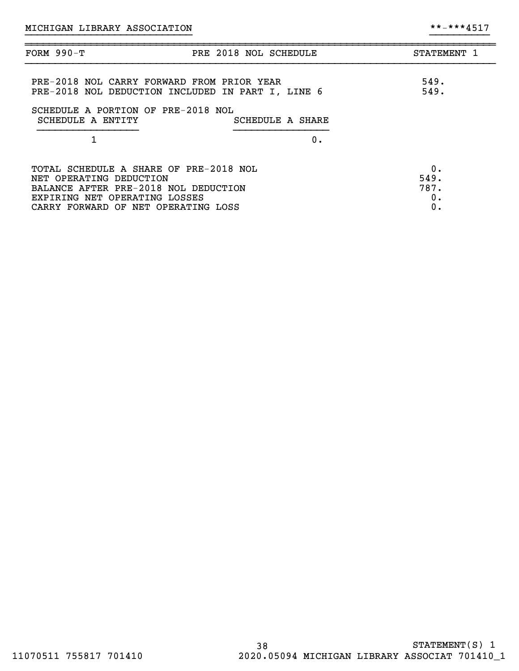| $FORM 990-T$                                                                                                                               | PRE 2018 NOL SCHEDULE | STATEMENT 1              |
|--------------------------------------------------------------------------------------------------------------------------------------------|-----------------------|--------------------------|
| PRE-2018 NOL CARRY FORWARD FROM PRIOR YEAR<br>PRE-2018 NOL DEDUCTION INCLUDED IN PART I, LINE 6                                            |                       | 549.<br>549.             |
| SCHEDULE A PORTION OF PRE-2018 NOL<br>SCHEDULE A ENTITY                                                                                    | SCHEDULE A SHARE      |                          |
|                                                                                                                                            | 0.                    |                          |
| TOTAL SCHEDULE A SHARE OF PRE-2018 NOL<br>NET OPERATING DEDUCTION<br>BALANCE AFTER PRE-2018 NOL DEDUCTION<br>EXPIRING NET OPERATING LOSSES |                       | 0.<br>549.<br>787.<br>0. |

CARRY FORWARD OF NET OPERATING LOSS 0.

}}}}}}}}}}}}}}}}}}}}}}}}}}}} }}}}}}}}}}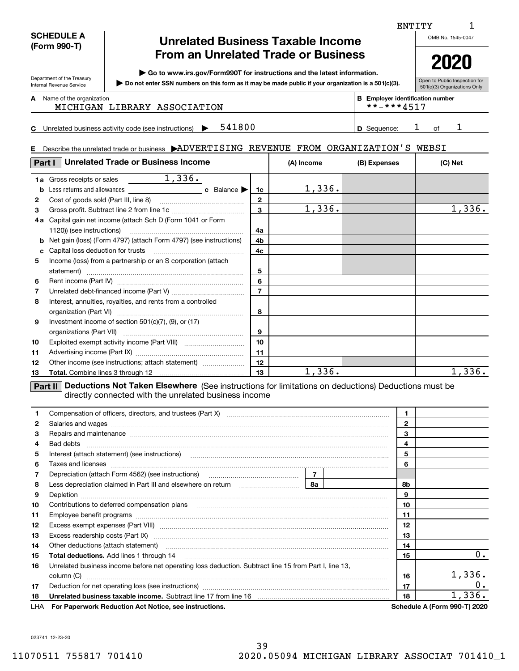| <b>Unrelated Business Taxable Income</b>   |
|--------------------------------------------|
| <b>From an Unrelated Trade or Business</b> |

**| Go to www.irs.gov/Form990T for instructions and the latest information.**

**Do not enter SSN numbers on this form as it may be made public if your organization is a 501(c)(3). |** 

Open to Public Inspection for 501(c)(3) Organizations Only

 $***-***4517$ 

Name of the organization **mumber and the organization number contracts the organization number BEEnployer identification number A**

Department of the Treasury Internal Revenue Service

**SCHEDULE A (Form 990-T)**

|  | MICHIGAN LIBRARY ASSOCIATION |  |
|--|------------------------------|--|

**C541800 1 1 D** Sequence: 1 of 1 Unrelated business activity code (see instructions)  $\blacktriangleright$  541800 **D** Sequence: 1 of

#### **E**Describe the unrelated trade or business  $\blacktriangleright$ ADVERTISING REVENUE FROM ORGANIZATION'S WEBSI

| Part I | <b>Unrelated Trade or Business Income</b>                                                                                                                                                                                             |                  | (A) Income | (B) Expenses | (C) Net |
|--------|---------------------------------------------------------------------------------------------------------------------------------------------------------------------------------------------------------------------------------------|------------------|------------|--------------|---------|
| b      | 1a Gross receipts or sales $\frac{1}{2}$ 1, 336.<br>Less returns and allowances <b>c</b> Balance <b>b</b>                                                                                                                             | 1c               | 1,336.     |              |         |
| 2      |                                                                                                                                                                                                                                       | $\mathbf{2}$     |            |              |         |
| 3      |                                                                                                                                                                                                                                       | 3                | 1,336.     |              | 1,336.  |
|        | 4a Capital gain net income (attach Sch D (Form 1041 or Form                                                                                                                                                                           | 4a               |            |              |         |
|        | <b>b</b> Net gain (loss) (Form 4797) (attach Form 4797) (see instructions)                                                                                                                                                            | 4b               |            |              |         |
| c.     |                                                                                                                                                                                                                                       | 4c               |            |              |         |
| 5      | Income (loss) from a partnership or an S corporation (attach                                                                                                                                                                          |                  |            |              |         |
|        |                                                                                                                                                                                                                                       | 5                |            |              |         |
| 6      |                                                                                                                                                                                                                                       | 6                |            |              |         |
| 7      |                                                                                                                                                                                                                                       | $\overline{7}$   |            |              |         |
| 8      | Interest, annuities, royalties, and rents from a controlled                                                                                                                                                                           | 8                |            |              |         |
| 9      | Investment income of section $501(c)(7)$ , (9), or (17)                                                                                                                                                                               | 9                |            |              |         |
| 10     |                                                                                                                                                                                                                                       | 10 <sup>10</sup> |            |              |         |
| 11     |                                                                                                                                                                                                                                       | 11               |            |              |         |
| 12     | Other income (see instructions; attach statement)                                                                                                                                                                                     | 12               |            |              |         |
| 13     |                                                                                                                                                                                                                                       | - 13             | 1,336.     |              | 1,336.  |
|        | $\blacksquare$ . A contract of the first section of the contract of the contract of the contract of the contract of the contract of the contract of the contract of the contract of the contract of the contract of the contract of t |                  |            |              |         |

**Part II Deductions Not Taken Elsewhere** (See instructions for limitations on deductions) Deductions must be directly connected with the unrelated business income

|              | Compensation of officers, directors, and trustees (Part X) [11] [2010] [2010] [2010] [2010] [2010] [2010] [2010] [2010] [2010] [2010] [2010] [2010] [2010] [2010] [2010] [2010] [2010] [2010] [2010] [2010] [2010] [2010] [201 |  |  | $\mathbf{1}$ |                              |
|--------------|--------------------------------------------------------------------------------------------------------------------------------------------------------------------------------------------------------------------------------|--|--|--------------|------------------------------|
| $\mathbf{2}$ | Salaries and wages www.communication.communications.com/international/communications.com/internations.com/internations.com/internations.com/internations.com/internations.com/internations.com/internations.com/internations.c |  |  |              |                              |
| 3            | Repairs and maintenance material content content content and maintenance material content and maintenance material content and maintenance material content and maintenance material content and material content and material |  |  | 3            |                              |
| 4            |                                                                                                                                                                                                                                |  |  | 4            |                              |
| 5            |                                                                                                                                                                                                                                |  |  | 5            |                              |
| 6            |                                                                                                                                                                                                                                |  |  | 6            |                              |
| 7            |                                                                                                                                                                                                                                |  |  |              |                              |
| 8            |                                                                                                                                                                                                                                |  |  | 8b           |                              |
| 9            |                                                                                                                                                                                                                                |  |  | 9            |                              |
| 10           | Contributions to deferred compensation plans                                                                                                                                                                                   |  |  | 10           |                              |
| 11           |                                                                                                                                                                                                                                |  |  | 11           |                              |
| 12           |                                                                                                                                                                                                                                |  |  | 12           |                              |
| 13           |                                                                                                                                                                                                                                |  |  | 13           |                              |
| 14           | Other deductions (attach statement) manufactured and content of the deductions (attach statement)                                                                                                                              |  |  | 14           |                              |
| 15           |                                                                                                                                                                                                                                |  |  | 15           | 0.                           |
| 16           | Unrelated business income before net operating loss deduction. Subtract line 15 from Part I, line 13,                                                                                                                          |  |  |              |                              |
|              | column (C)                                                                                                                                                                                                                     |  |  | 16           | 1,336.                       |
| 17           |                                                                                                                                                                                                                                |  |  | 17           | 0.                           |
| 18           | Unrelated business taxable income. Subtract line 17 from line 16 [11] manuscripts in the university control of                                                                                                                 |  |  | 18           | 1,336.                       |
|              | LHA For Paperwork Reduction Act Notice, see instructions.                                                                                                                                                                      |  |  |              | Schedule A (Form 990-T) 2020 |

023741 12-23-20

ENTITY

OMB No. 1545-0047

| Т |  |
|---|--|
|   |  |

1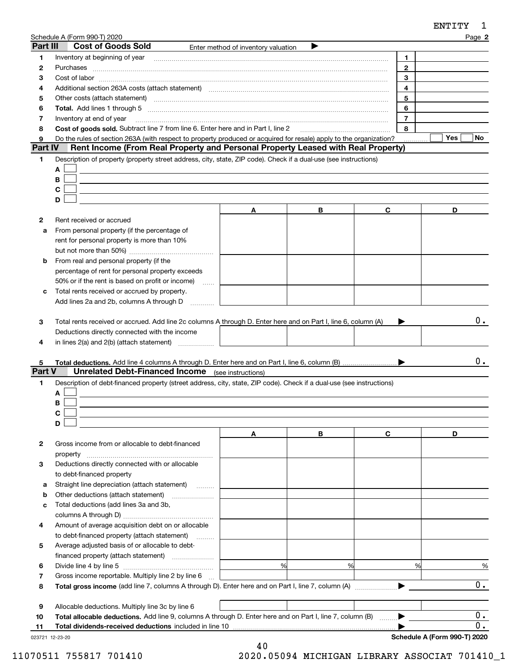|                | Schedule A (Form 990-T) 2020                                                                                                                                                                                                   |                                     |   |                | Page 2           |
|----------------|--------------------------------------------------------------------------------------------------------------------------------------------------------------------------------------------------------------------------------|-------------------------------------|---|----------------|------------------|
| Part III       | <b>Cost of Goods Sold</b>                                                                                                                                                                                                      | Enter method of inventory valuation |   |                |                  |
| 1              |                                                                                                                                                                                                                                |                                     |   | 1.             |                  |
| 2              | Purchases                                                                                                                                                                                                                      |                                     |   | $\mathbf{2}$   |                  |
| з              |                                                                                                                                                                                                                                |                                     |   | 3              |                  |
| 4              |                                                                                                                                                                                                                                |                                     |   | 4              |                  |
| 5              | Other costs (attach statement) manufactured and contract and contract and contract and contract and contract and contract and contract and contract and contract and contract and contract and contract and contract and contr |                                     |   | 5              |                  |
| 6              |                                                                                                                                                                                                                                |                                     |   | 6              |                  |
| 7              | Inventory at end of year                                                                                                                                                                                                       |                                     |   | $\overline{7}$ |                  |
| 8              | Cost of goods sold. Subtract line 7 from line 6. Enter here and in Part I, line 2                                                                                                                                              |                                     |   | 8              |                  |
| 9              | Do the rules of section 263A (with respect to property produced or acquired for resale) apply to the organization?                                                                                                             |                                     |   |                | Yes<br>No.       |
| <b>Part IV</b> | Rent Income (From Real Property and Personal Property Leased with Real Property)                                                                                                                                               |                                     |   |                |                  |
| 1              | Description of property (property street address, city, state, ZIP code). Check if a dual-use (see instructions)                                                                                                               |                                     |   |                |                  |
|                | A                                                                                                                                                                                                                              |                                     |   |                |                  |
|                | B                                                                                                                                                                                                                              |                                     |   |                |                  |
|                | С                                                                                                                                                                                                                              |                                     |   |                |                  |
|                | D                                                                                                                                                                                                                              |                                     |   |                |                  |
|                |                                                                                                                                                                                                                                | A                                   | В | C              | D                |
| 2              | Rent received or accrued                                                                                                                                                                                                       |                                     |   |                |                  |
| a              | From personal property (if the percentage of                                                                                                                                                                                   |                                     |   |                |                  |
|                | rent for personal property is more than 10%                                                                                                                                                                                    |                                     |   |                |                  |
|                |                                                                                                                                                                                                                                |                                     |   |                |                  |
| b              | From real and personal property (if the                                                                                                                                                                                        |                                     |   |                |                  |
|                |                                                                                                                                                                                                                                |                                     |   |                |                  |
|                | percentage of rent for personal property exceeds                                                                                                                                                                               |                                     |   |                |                  |
|                | 50% or if the rent is based on profit or income)<br><b>Service</b>                                                                                                                                                             |                                     |   |                |                  |
| с              | Total rents received or accrued by property.                                                                                                                                                                                   |                                     |   |                |                  |
|                | Add lines 2a and 2b, columns A through D                                                                                                                                                                                       |                                     |   |                |                  |
|                |                                                                                                                                                                                                                                |                                     |   |                |                  |
| з              | Total rents received or accrued. Add line 2c columns A through D. Enter here and on Part I, line 6, column (A)                                                                                                                 |                                     |   |                | 0.               |
|                | Deductions directly connected with the income                                                                                                                                                                                  |                                     |   |                |                  |
| 4              | in lines $2(a)$ and $2(b)$ (attach statement) $\ldots$                                                                                                                                                                         |                                     |   |                |                  |
|                |                                                                                                                                                                                                                                |                                     |   |                |                  |
| 5              |                                                                                                                                                                                                                                |                                     |   |                | 0.               |
| Part V         | <b>Unrelated Debt-Financed Income</b> (see instructions)                                                                                                                                                                       |                                     |   |                |                  |
| 1              | Description of debt-financed property (street address, city, state, ZIP code). Check if a dual-use (see instructions)                                                                                                          |                                     |   |                |                  |
|                | A                                                                                                                                                                                                                              |                                     |   |                |                  |
|                | В                                                                                                                                                                                                                              |                                     |   |                |                  |
|                | C.                                                                                                                                                                                                                             |                                     |   |                |                  |
|                | D                                                                                                                                                                                                                              |                                     |   |                |                  |
|                |                                                                                                                                                                                                                                | A                                   | В | C              | D                |
| 2              | Gross income from or allocable to debt-financed                                                                                                                                                                                |                                     |   |                |                  |
|                | property                                                                                                                                                                                                                       |                                     |   |                |                  |
| 3              | Deductions directly connected with or allocable                                                                                                                                                                                |                                     |   |                |                  |
|                | to debt-financed property                                                                                                                                                                                                      |                                     |   |                |                  |
| а              | Straight line depreciation (attach statement)                                                                                                                                                                                  |                                     |   |                |                  |
| b              | Other deductions (attach statement)                                                                                                                                                                                            |                                     |   |                |                  |
| c              | Total deductions (add lines 3a and 3b,                                                                                                                                                                                         |                                     |   |                |                  |
|                |                                                                                                                                                                                                                                |                                     |   |                |                  |
| 4              | Amount of average acquisition debt on or allocable                                                                                                                                                                             |                                     |   |                |                  |
|                |                                                                                                                                                                                                                                |                                     |   |                |                  |
|                | to debt-financed property (attach statement)                                                                                                                                                                                   |                                     |   |                |                  |
| 5              | Average adjusted basis of or allocable to debt-                                                                                                                                                                                |                                     |   |                |                  |
|                |                                                                                                                                                                                                                                |                                     |   |                |                  |
| 6              |                                                                                                                                                                                                                                | %                                   | % | %              | %                |
| 7              | Gross income reportable. Multiply line 2 by line 6                                                                                                                                                                             |                                     |   |                |                  |
| 8              |                                                                                                                                                                                                                                |                                     |   |                | 0.               |
|                |                                                                                                                                                                                                                                |                                     |   |                |                  |
| 9              | Allocable deductions. Multiply line 3c by line 6                                                                                                                                                                               |                                     |   |                |                  |
| 10             | Total allocable deductions. Add line 9, columns A through D. Enter here and on Part I, line 7, column (B)                                                                                                                      |                                     |   |                | $\overline{0}$ . |

| 023721 12-23-20 |    |
|-----------------|----|
|                 | 40 |

**Total dividends-received deductions** included in line 10 …………………………………………………………………

0.

ENTITY 1

**11**

 $\blacktriangleright$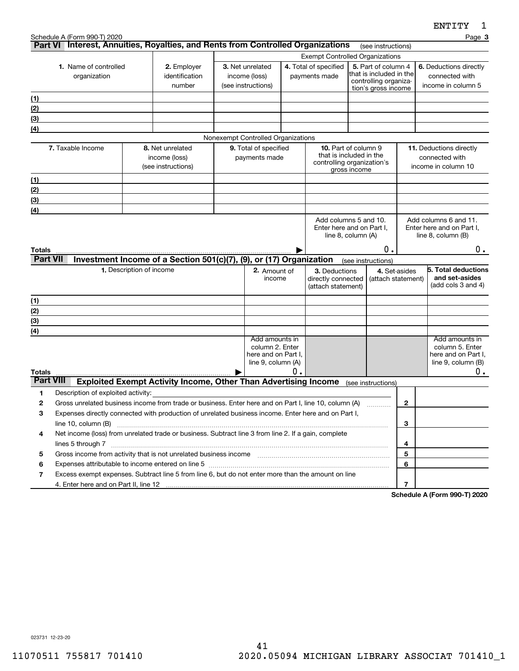(see instructions)

**3**

|                                                                                                                         |                                                                                                                                                                                                                                                                                                                                                              |                                                                                    | <b>Exempt Controlled Organizations</b> |                       |                       |                                                                       |                      |                                   |                                                    |                        |                     |
|-------------------------------------------------------------------------------------------------------------------------|--------------------------------------------------------------------------------------------------------------------------------------------------------------------------------------------------------------------------------------------------------------------------------------------------------------------------------------------------------------|------------------------------------------------------------------------------------|----------------------------------------|-----------------------|-----------------------|-----------------------------------------------------------------------|----------------------|-----------------------------------|----------------------------------------------------|------------------------|---------------------|
| 1. Name of controlled                                                                                                   |                                                                                                                                                                                                                                                                                                                                                              | 2. Employer                                                                        | 3. Net unrelated                       |                       | 4. Total of specified |                                                                       | 5. Part of column 4  |                                   |                                                    | 6. Deductions directly |                     |
| organization                                                                                                            |                                                                                                                                                                                                                                                                                                                                                              | identification                                                                     |                                        | income (loss)         |                       | payments made                                                         |                      | controlling organiza-             | that is included in the                            |                        | connected with      |
|                                                                                                                         |                                                                                                                                                                                                                                                                                                                                                              | number                                                                             |                                        | (see instructions)    |                       | tion's gross income                                                   |                      |                                   |                                                    | income in column 5     |                     |
| (1)                                                                                                                     |                                                                                                                                                                                                                                                                                                                                                              |                                                                                    |                                        |                       |                       |                                                                       |                      |                                   |                                                    |                        |                     |
| (2)                                                                                                                     |                                                                                                                                                                                                                                                                                                                                                              |                                                                                    |                                        |                       |                       |                                                                       |                      |                                   |                                                    |                        |                     |
| (3)                                                                                                                     |                                                                                                                                                                                                                                                                                                                                                              |                                                                                    |                                        |                       |                       |                                                                       |                      |                                   |                                                    |                        |                     |
| (4)                                                                                                                     |                                                                                                                                                                                                                                                                                                                                                              |                                                                                    |                                        |                       |                       |                                                                       |                      |                                   |                                                    |                        |                     |
| Nonexempt Controlled Organizations                                                                                      |                                                                                                                                                                                                                                                                                                                                                              |                                                                                    |                                        |                       |                       |                                                                       |                      |                                   |                                                    |                        |                     |
| 7. Taxable Income                                                                                                       |                                                                                                                                                                                                                                                                                                                                                              | 8. Net unrelated                                                                   |                                        | 9. Total of specified |                       |                                                                       | 10. Part of column 9 |                                   | 11. Deductions directly<br>connected with          |                        |                     |
|                                                                                                                         |                                                                                                                                                                                                                                                                                                                                                              | income (loss)<br>(see instructions)                                                |                                        | payments made         |                       | that is included in the<br>controlling organization's<br>gross income |                      |                                   |                                                    |                        |                     |
|                                                                                                                         |                                                                                                                                                                                                                                                                                                                                                              |                                                                                    |                                        |                       |                       |                                                                       |                      |                                   | income in column 10                                |                        |                     |
| (1)                                                                                                                     |                                                                                                                                                                                                                                                                                                                                                              |                                                                                    |                                        |                       |                       |                                                                       |                      |                                   |                                                    |                        |                     |
| (2)                                                                                                                     |                                                                                                                                                                                                                                                                                                                                                              |                                                                                    |                                        |                       |                       |                                                                       |                      |                                   |                                                    |                        |                     |
| (3)                                                                                                                     |                                                                                                                                                                                                                                                                                                                                                              |                                                                                    |                                        |                       |                       |                                                                       |                      |                                   |                                                    |                        |                     |
| (4)                                                                                                                     |                                                                                                                                                                                                                                                                                                                                                              |                                                                                    |                                        |                       |                       |                                                                       |                      |                                   |                                                    |                        |                     |
|                                                                                                                         |                                                                                                                                                                                                                                                                                                                                                              |                                                                                    |                                        |                       |                       | Add columns 5 and 10.<br>Enter here and on Part I,                    |                      |                                   | Add columns 6 and 11.<br>Enter here and on Part I. |                        |                     |
|                                                                                                                         |                                                                                                                                                                                                                                                                                                                                                              |                                                                                    |                                        |                       |                       | line 8, column (A)                                                    |                      |                                   |                                                    |                        | line 8, column (B)  |
| <b>Totals</b>                                                                                                           |                                                                                                                                                                                                                                                                                                                                                              |                                                                                    |                                        |                       |                       |                                                                       |                      | 0.                                | υ.                                                 |                        |                     |
| <b>Part VII</b>                                                                                                         |                                                                                                                                                                                                                                                                                                                                                              | Investment Income of a Section 501(c)(7), (9), or (17) Organization                |                                        |                       |                       |                                                                       |                      | (see instructions)                |                                                    |                        |                     |
|                                                                                                                         | 1. Description of income                                                                                                                                                                                                                                                                                                                                     |                                                                                    |                                        | 2. Amount of          |                       | 3. Deductions                                                         |                      | 4. Set-asides                     |                                                    |                        | 5. Total deductions |
|                                                                                                                         | income                                                                                                                                                                                                                                                                                                                                                       |                                                                                    |                                        |                       |                       | directly connected<br>(attach statement)                              |                      |                                   | and set-asides                                     |                        |                     |
|                                                                                                                         |                                                                                                                                                                                                                                                                                                                                                              |                                                                                    |                                        |                       |                       | (attach statement)                                                    |                      |                                   |                                                    |                        | (add cols 3 and 4)  |
| (1)                                                                                                                     |                                                                                                                                                                                                                                                                                                                                                              |                                                                                    |                                        |                       |                       |                                                                       |                      |                                   |                                                    |                        |                     |
| (2)                                                                                                                     |                                                                                                                                                                                                                                                                                                                                                              |                                                                                    |                                        |                       |                       |                                                                       |                      |                                   |                                                    |                        |                     |
| (3)                                                                                                                     |                                                                                                                                                                                                                                                                                                                                                              |                                                                                    |                                        |                       |                       |                                                                       |                      |                                   |                                                    |                        |                     |
| (4)                                                                                                                     |                                                                                                                                                                                                                                                                                                                                                              |                                                                                    |                                        |                       |                       |                                                                       |                      |                                   |                                                    |                        |                     |
|                                                                                                                         | Add amounts in<br>column 2. Enter                                                                                                                                                                                                                                                                                                                            |                                                                                    |                                        |                       |                       |                                                                       |                      | Add amounts in<br>column 5. Enter |                                                    |                        |                     |
|                                                                                                                         |                                                                                                                                                                                                                                                                                                                                                              |                                                                                    |                                        | here and on Part I,   |                       |                                                                       |                      |                                   |                                                    |                        | here and on Part I, |
|                                                                                                                         |                                                                                                                                                                                                                                                                                                                                                              |                                                                                    |                                        | line 9, column (A)    |                       |                                                                       |                      |                                   |                                                    |                        | line 9, column (B)  |
| <b>Totals</b><br><b>Part VIII</b>                                                                                       |                                                                                                                                                                                                                                                                                                                                                              |                                                                                    |                                        |                       | 0.                    |                                                                       |                      |                                   |                                                    |                        | 0.                  |
|                                                                                                                         |                                                                                                                                                                                                                                                                                                                                                              | Exploited Exempt Activity Income, Other Than Advertising Income (see instructions) |                                        |                       |                       |                                                                       |                      |                                   |                                                    |                        |                     |
| 1<br>Description of exploited activity:                                                                                 |                                                                                                                                                                                                                                                                                                                                                              |                                                                                    |                                        |                       |                       |                                                                       |                      |                                   |                                                    |                        |                     |
| $\overline{2}$<br>Gross unrelated business income from trade or business. Enter here and on Part I, line 10, column (A) |                                                                                                                                                                                                                                                                                                                                                              |                                                                                    |                                        |                       |                       |                                                                       |                      |                                   | $\mathbf{2}$                                       |                        |                     |
| Expenses directly connected with production of unrelated business income. Enter here and on Part I,<br>3                |                                                                                                                                                                                                                                                                                                                                                              |                                                                                    |                                        |                       |                       |                                                                       |                      |                                   |                                                    |                        |                     |
|                                                                                                                         |                                                                                                                                                                                                                                                                                                                                                              |                                                                                    |                                        |                       |                       |                                                                       |                      |                                   | 3                                                  |                        |                     |
|                                                                                                                         | Net income (loss) from unrelated trade or business. Subtract line 3 from line 2. If a gain, complete<br>4                                                                                                                                                                                                                                                    |                                                                                    |                                        |                       |                       |                                                                       |                      | 4                                 |                                                    |                        |                     |
| 5                                                                                                                       | lines 5 through 7 www.communication.com/www.communication.com/www.communication.com/www.com/www.com<br>Gross income from activity that is not unrelated business income [11] [11] content material content from activity that is not unrelated business income [11] [11] $\alpha$ [12] $\alpha$ [12] $\alpha$ [12] $\alpha$ [12] $\alpha$ [12] $\alpha$ [12] |                                                                                    |                                        |                       |                       |                                                                       |                      | 5                                 |                                                    |                        |                     |
| 6                                                                                                                       |                                                                                                                                                                                                                                                                                                                                                              |                                                                                    |                                        |                       |                       |                                                                       |                      | 6                                 |                                                    |                        |                     |
| 7<br>Excess exempt expenses. Subtract line 5 from line 6, but do not enter more than the amount on line                 |                                                                                                                                                                                                                                                                                                                                                              |                                                                                    |                                        |                       |                       |                                                                       |                      |                                   |                                                    |                        |                     |
| 4. Enter here and on Part II, line 12                                                                                   |                                                                                                                                                                                                                                                                                                                                                              |                                                                                    |                                        |                       |                       |                                                                       |                      |                                   | $\overline{7}$                                     |                        |                     |
|                                                                                                                         |                                                                                                                                                                                                                                                                                                                                                              |                                                                                    |                                        |                       |                       |                                                                       |                      | $\sim$                            | $\sim$ and $\sim$ A $/$ F $\sim$                   |                        | 0.00, T1000         |

**Part VI Interest, Annuities, Royalties, and Rents from Controlled Organizations**

**Schedule A (Form 990-T) 2020**

023731 12-23-20

Schedule A (Form 990-T) 2020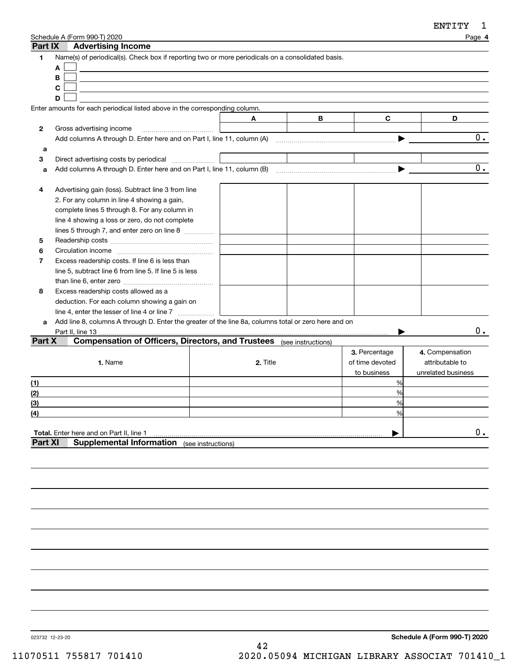| Part IX        | Schedule A (Form 990-T) 2020<br><b>Advertising Income</b>                                            |          |   |   |                  | Page 4             |
|----------------|------------------------------------------------------------------------------------------------------|----------|---|---|------------------|--------------------|
| 1              | Name(s) of periodical(s). Check box if reporting two or more periodicals on a consolidated basis.    |          |   |   |                  |                    |
|                | A                                                                                                    |          |   |   |                  |                    |
|                | B                                                                                                    |          |   |   |                  |                    |
|                | C                                                                                                    |          |   |   |                  |                    |
|                | D                                                                                                    |          |   |   |                  |                    |
|                | Enter amounts for each periodical listed above in the corresponding column.                          |          |   |   |                  |                    |
|                |                                                                                                      |          | A | В | C                | D                  |
| 2              | Gross advertising income                                                                             |          |   |   |                  |                    |
|                |                                                                                                      |          |   |   |                  | 0.                 |
| a              |                                                                                                      |          |   |   |                  |                    |
| 3              | Direct advertising costs by periodical                                                               |          |   |   |                  |                    |
| a              |                                                                                                      |          |   |   |                  | 0.                 |
|                |                                                                                                      |          |   |   |                  |                    |
| 4              | Advertising gain (loss). Subtract line 3 from line                                                   |          |   |   |                  |                    |
|                | 2. For any column in line 4 showing a gain,                                                          |          |   |   |                  |                    |
|                | complete lines 5 through 8. For any column in                                                        |          |   |   |                  |                    |
|                | line 4 showing a loss or zero, do not complete                                                       |          |   |   |                  |                    |
|                | lines 5 through 7, and enter zero on line 8                                                          |          |   |   |                  |                    |
| 5              |                                                                                                      |          |   |   |                  |                    |
| 6              |                                                                                                      |          |   |   |                  |                    |
| 7              | Excess readership costs. If line 6 is less than                                                      |          |   |   |                  |                    |
|                | line 5, subtract line 6 from line 5. If line 5 is less                                               |          |   |   |                  |                    |
|                |                                                                                                      |          |   |   |                  |                    |
| 8              | Excess readership costs allowed as a                                                                 |          |   |   |                  |                    |
|                | deduction. For each column showing a gain on                                                         |          |   |   |                  |                    |
|                | line 4, enter the lesser of line 4 or line 7                                                         |          |   |   |                  |                    |
| a              | Add line 8, columns A through D. Enter the greater of the line 8a, columns total or zero here and on |          |   |   |                  |                    |
|                | Part II, line 13                                                                                     |          |   |   |                  | 0.                 |
| Part X         | <b>Compensation of Officers, Directors, and Trustees</b> (see instructions)                          |          |   |   |                  |                    |
|                |                                                                                                      |          |   |   | 3. Percentage    | 4. Compensation    |
| 1. Name        |                                                                                                      | 2. Title |   |   | of time devoted  | attributable to    |
|                |                                                                                                      |          |   |   |                  | unrelated business |
| (1)            |                                                                                                      |          |   |   | to business<br>% |                    |
| (2)            |                                                                                                      |          |   |   | %                |                    |
| (3)            |                                                                                                      |          |   |   | %                |                    |
| (4)            |                                                                                                      |          |   |   | %                |                    |
|                |                                                                                                      |          |   |   |                  |                    |
|                | Total. Enter here and on Part II, line 1                                                             |          |   |   |                  | 0.                 |
| <b>Part XI</b> | <b>Supplemental Information</b> (see instructions)                                                   |          |   |   |                  |                    |
|                |                                                                                                      |          |   |   |                  |                    |
|                |                                                                                                      |          |   |   |                  |                    |
|                |                                                                                                      |          |   |   |                  |                    |

Schedule A (Form 990-T) 2020

023732 12-23-20